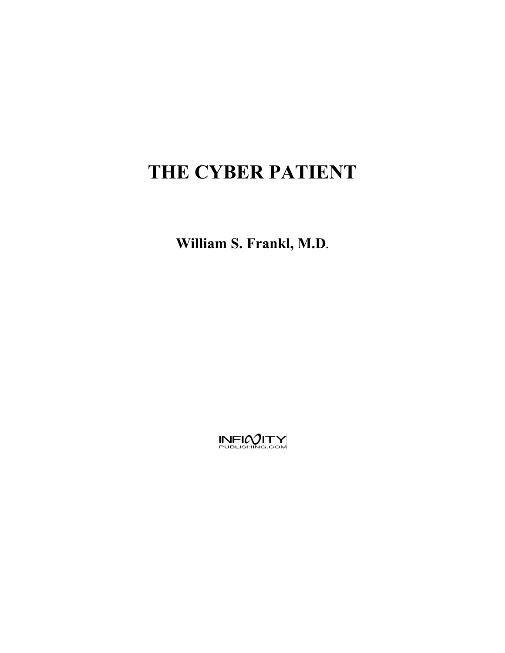# **THE CYBER PATIENT**

**William S. Frankl, M.D.**

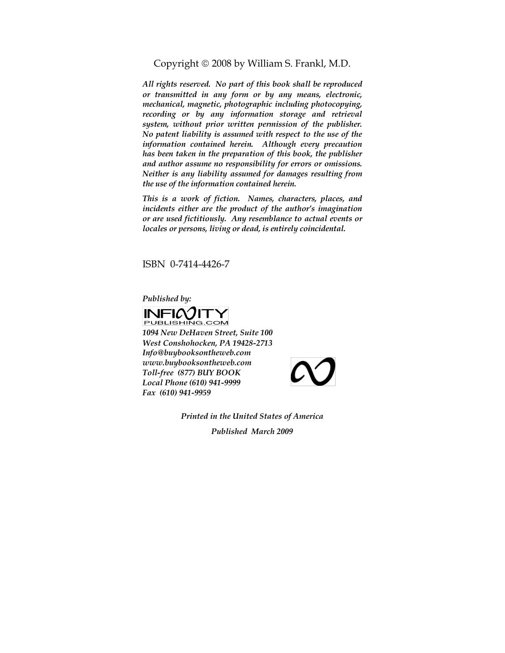Copyright  $\odot$  2008 by William S. Frankl, M.D.

*All rights reserved. No part of this book shall be reproduced or transmitted in any form or by any means, electronic, mechanical, magnetic, photographic including photocopying, recording or by any information storage and retrieval system, without prior written permission of the publisher. No patent liability is assumed with respect to the use of the information contained herein. Although every precaution has been taken in the preparation of this book, the publisher and author assume no responsibility for errors or omissions. Neither is any liability assumed for damages resulting from the use of the information contained herein.*

*This is a work of fiction. Names, characters, places, and incidents either are the product of the author's imagination or are used fictitiously. Any resemblance to actual events or locales or persons, living or dead, is entirely coincidental.*

ISBN 0-7414-4426-7

*Published by:*





*Printed in the United States of America*

*Published March 2009*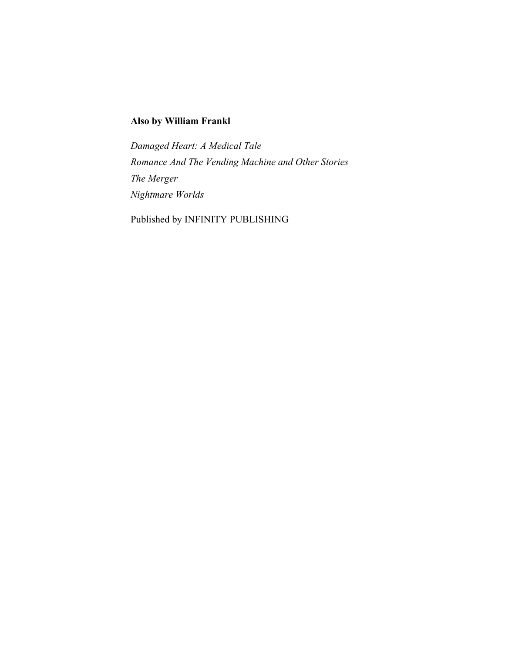### **Also by William Frankl**

*Damaged Heart: A Medical Tale Romance And The Vending Machine and Other Stories The Merger Nightmare Worlds*

Published by INFINITY PUBLISHING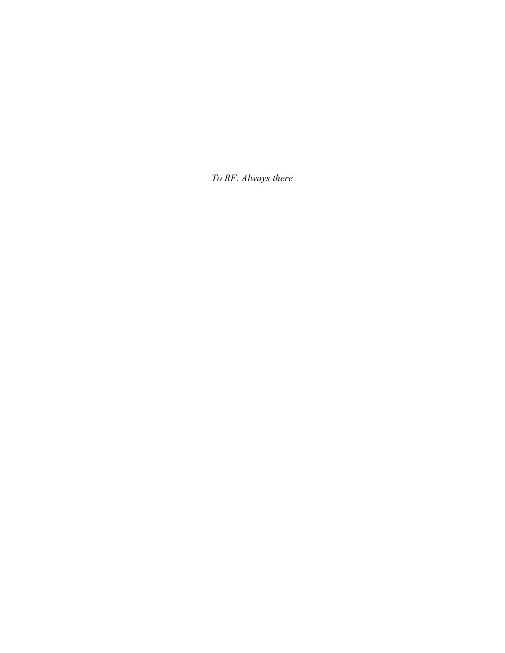*To RF. Always there*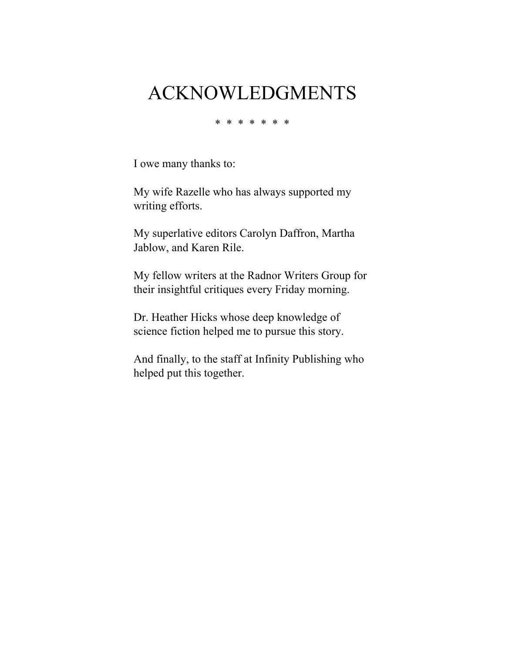## ACKNOWLEDGMENTS

\* \* \* \* \* \* \*

I owe many thanks to:

My wife Razelle who has always supported my writing efforts.

My superlative editors Carolyn Daffron, Martha Jablow, and Karen Rile.

My fellow writers at the Radnor Writers Group for their insightful critiques every Friday morning.

Dr. Heather Hicks whose deep knowledge of science fiction helped me to pursue this story.

And finally, to the staff at Infinity Publishing who helped put this together.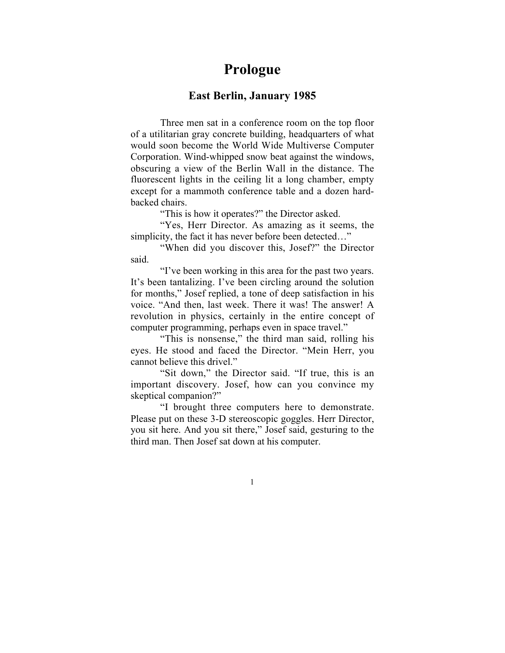## **Prologue**

#### **East Berlin, January 1985**

Three men sat in a conference room on the top floor of a utilitarian gray concrete building, headquarters of what would soon become the World Wide Multiverse Computer Corporation. Wind-whipped snow beat against the windows, obscuring a view of the Berlin Wall in the distance. The fluorescent lights in the ceiling lit a long chamber, empty except for a mammoth conference table and a dozen hardbacked chairs.

"This is how it operates?" the Director asked.

"Yes, Herr Director. As amazing as it seems, the simplicity, the fact it has never before been detected…"

"When did you discover this, Josef?" the Director said.

"I've been working in this area for the past two years. It's been tantalizing. I've been circling around the solution for months," Josef replied, a tone of deep satisfaction in his voice. "And then, last week. There it was! The answer! A revolution in physics, certainly in the entire concept of computer programming, perhaps even in space travel."

"This is nonsense," the third man said, rolling his eyes. He stood and faced the Director. "Mein Herr, you cannot believe this drivel."

"Sit down," the Director said. "If true, this is an important discovery. Josef, how can you convince my skeptical companion?"

"I brought three computers here to demonstrate. Please put on these 3-D stereoscopic goggles. Herr Director, you sit here. And you sit there," Josef said, gesturing to the third man. Then Josef sat down at his computer.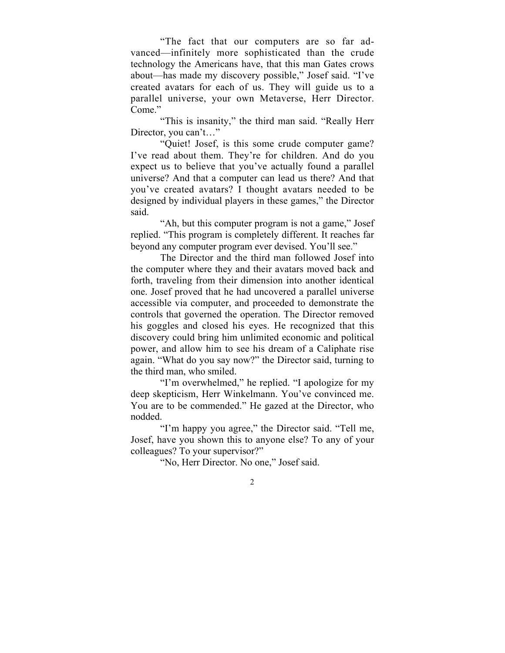"The fact that our computers are so far advanced—infinitely more sophisticated than the crude technology the Americans have, that this man Gates crows about—has made my discovery possible," Josef said. "I've created avatars for each of us. They will guide us to a parallel universe, your own Metaverse, Herr Director. Come."

"This is insanity," the third man said. "Really Herr Director, you can't…"

"Quiet! Josef, is this some crude computer game? I've read about them. They're for children. And do you expect us to believe that you've actually found a parallel universe? And that a computer can lead us there? And that you've created avatars? I thought avatars needed to be designed by individual players in these games," the Director said.

"Ah, but this computer program is not a game," Josef replied. "This program is completely different. It reaches far beyond any computer program ever devised. You'll see."

The Director and the third man followed Josef into the computer where they and their avatars moved back and forth, traveling from their dimension into another identical one. Josef proved that he had uncovered a parallel universe accessible via computer, and proceeded to demonstrate the controls that governed the operation. The Director removed his goggles and closed his eyes. He recognized that this discovery could bring him unlimited economic and political power, and allow him to see his dream of a Caliphate rise again. "What do you say now?" the Director said, turning to the third man, who smiled.

"I'm overwhelmed," he replied. "I apologize for my deep skepticism, Herr Winkelmann. You've convinced me. You are to be commended." He gazed at the Director, who nodded.

"I'm happy you agree," the Director said. "Tell me, Josef, have you shown this to anyone else? To any of your colleagues? To your supervisor?"

"No, Herr Director. No one," Josef said.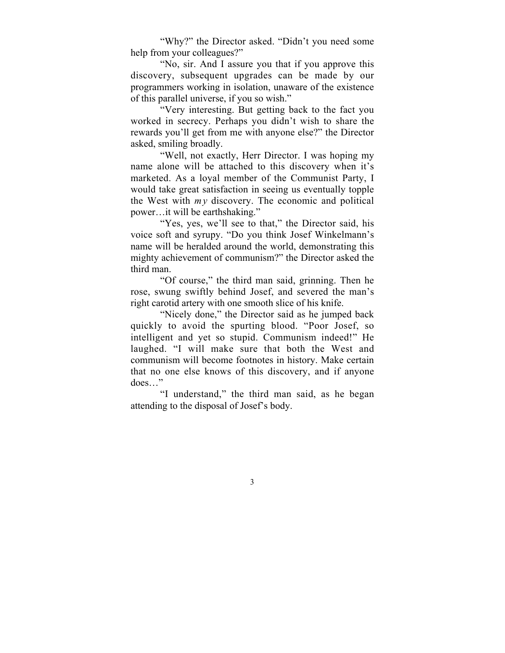"Why?" the Director asked. "Didn't you need some help from your colleagues?"

"No, sir. And I assure you that if you approve this discovery, subsequent upgrades can be made by our programmers working in isolation, unaware of the existence of this parallel universe, if you so wish."

"Very interesting. But getting back to the fact you worked in secrecy. Perhaps you didn't wish to share the rewards you'll get from me with anyone else?" the Director asked, smiling broadly.

"Well, not exactly, Herr Director. I was hoping my name alone will be attached to this discovery when it's marketed. As a loyal member of the Communist Party, I would take great satisfaction in seeing us eventually topple the West with  $m y$  discovery. The economic and political power…it will be earthshaking."

"Yes, yes, we'll see to that," the Director said, his voice soft and syrupy. "Do you think Josef Winkelmann's name will be heralded around the world, demonstrating this mighty achievement of communism?" the Director asked the third man.

"Of course," the third man said, grinning. Then he rose, swung swiftly behind Josef, and severed the man's right carotid artery with one smooth slice of his knife.

"Nicely done," the Director said as he jumped back quickly to avoid the spurting blood. "Poor Josef, so intelligent and yet so stupid. Communism indeed!" He laughed. "I will make sure that both the West and communism will become footnotes in history. Make certain that no one else knows of this discovery, and if anyone does…"

"I understand," the third man said, as he began attending to the disposal of Josef's body.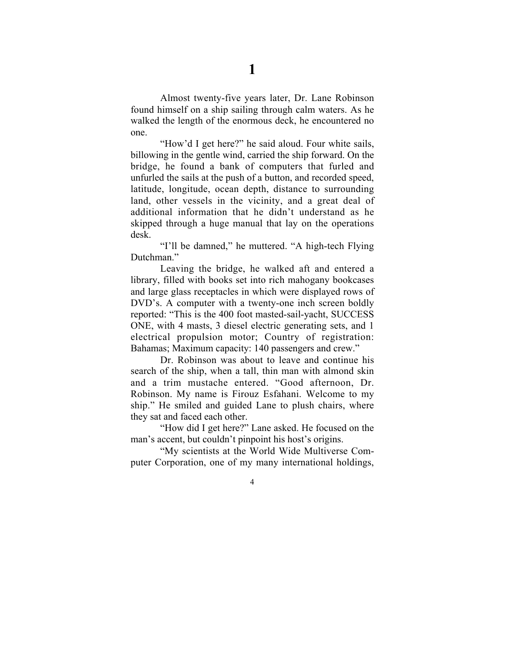Almost twenty-five years later, Dr. Lane Robinson found himself on a ship sailing through calm waters. As he walked the length of the enormous deck, he encountered no one.

"How'd I get here?" he said aloud. Four white sails, billowing in the gentle wind, carried the ship forward. On the bridge, he found a bank of computers that furled and unfurled the sails at the push of a button, and recorded speed, latitude, longitude, ocean depth, distance to surrounding land, other vessels in the vicinity, and a great deal of additional information that he didn't understand as he skipped through a huge manual that lay on the operations desk.

"I'll be damned," he muttered. "A high-tech Flying Dutchman."

Leaving the bridge, he walked aft and entered a library, filled with books set into rich mahogany bookcases and large glass receptacles in which were displayed rows of DVD's. A computer with a twenty-one inch screen boldly reported: "This is the 400 foot masted-sail-yacht, SUCCESS ONE, with 4 masts, 3 diesel electric generating sets, and 1 electrical propulsion motor; Country of registration: Bahamas; Maximum capacity: 140 passengers and crew."

Dr. Robinson was about to leave and continue his search of the ship, when a tall, thin man with almond skin and a trim mustache entered. "Good afternoon, Dr. Robinson. My name is Firouz Esfahani. Welcome to my ship." He smiled and guided Lane to plush chairs, where they sat and faced each other.

"How did I get here?" Lane asked. He focused on the man's accent, but couldn't pinpoint his host's origins.

"My scientists at the World Wide Multiverse Computer Corporation, one of my many international holdings,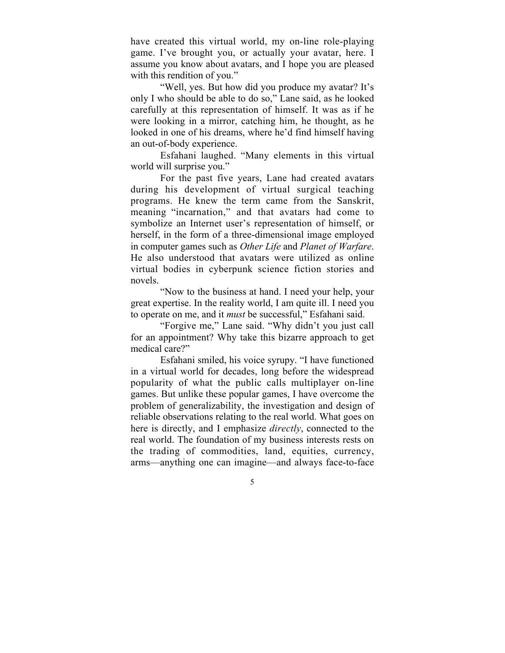have created this virtual world, my on-line role-playing game. I've brought you, or actually your avatar, here. I assume you know about avatars, and I hope you are pleased with this rendition of you."

"Well, yes. But how did you produce my avatar? It's only I who should be able to do so," Lane said, as he looked carefully at this representation of himself. It was as if he were looking in a mirror, catching him, he thought, as he looked in one of his dreams, where he'd find himself having an out-of-body experience.

Esfahani laughed. "Many elements in this virtual world will surprise you."

For the past five years, Lane had created avatars during his development of virtual surgical teaching programs. He knew the term came from the Sanskrit, meaning "incarnation," and that avatars had come to symbolize an Internet user's representation of himself, or herself, in the form of a three-dimensional image employed in computer games such as *Other Life* and *Planet of Warfare*. He also understood that avatars were utilized as online virtual bodies in cyberpunk science fiction stories and novels.

"Now to the business at hand. I need your help, your great expertise. In the reality world, I am quite ill. I need you to operate on me, and it *must* be successful," Esfahani said.

"Forgive me," Lane said. "Why didn't you just call for an appointment? Why take this bizarre approach to get medical care?"

Esfahani smiled, his voice syrupy. "I have functioned in a virtual world for decades, long before the widespread popularity of what the public calls multiplayer on-line games. But unlike these popular games, I have overcome the problem of generalizability, the investigation and design of reliable observations relating to the real world. What goes on here is directly, and I emphasize *directly*, connected to the real world. The foundation of my business interests rests on the trading of commodities, land, equities, currency, arms—anything one can imagine—and always face-to-face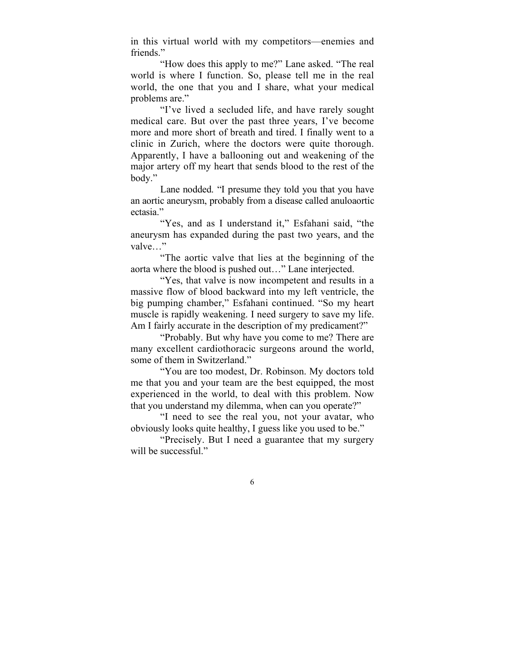in this virtual world with my competitors—enemies and friends."

"How does this apply to me?" Lane asked. "The real world is where I function. So, please tell me in the real world, the one that you and I share, what your medical problems are."

"I've lived a secluded life, and have rarely sought medical care. But over the past three years, I've become more and more short of breath and tired. I finally went to a clinic in Zurich, where the doctors were quite thorough. Apparently, I have a ballooning out and weakening of the major artery off my heart that sends blood to the rest of the body."

Lane nodded. "I presume they told you that you have an aortic aneurysm, probably from a disease called anuloaortic ectasia."

"Yes, and as I understand it," Esfahani said, "the aneurysm has expanded during the past two years, and the valve…"

"The aortic valve that lies at the beginning of the aorta where the blood is pushed out…" Lane interjected.

"Yes, that valve is now incompetent and results in a massive flow of blood backward into my left ventricle, the big pumping chamber," Esfahani continued. "So my heart muscle is rapidly weakening. I need surgery to save my life. Am I fairly accurate in the description of my predicament?"

"Probably. But why have you come to me? There are many excellent cardiothoracic surgeons around the world, some of them in Switzerland."

"You are too modest, Dr. Robinson. My doctors told me that you and your team are the best equipped, the most experienced in the world, to deal with this problem. Now that you understand my dilemma, when can you operate?"

"I need to see the real you, not your avatar, who obviously looks quite healthy, I guess like you used to be."

"Precisely. But I need a guarantee that my surgery will be successful."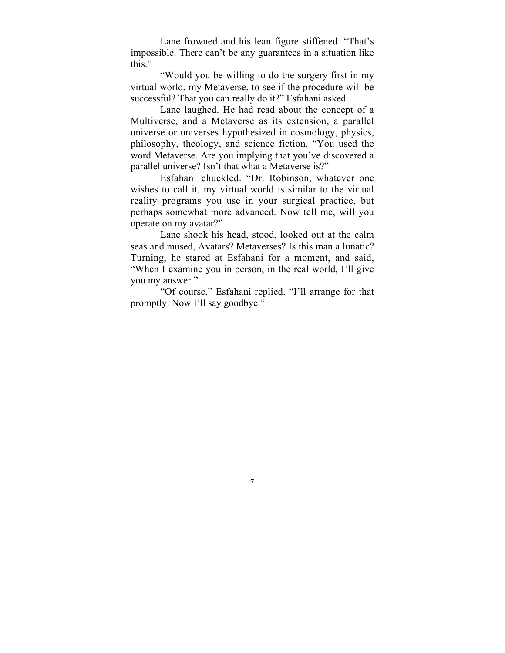Lane frowned and his lean figure stiffened. "That's impossible. There can't be any guarantees in a situation like this."

"Would you be willing to do the surgery first in my virtual world, my Metaverse, to see if the procedure will be successful? That you can really do it?" Esfahani asked.

Lane laughed. He had read about the concept of a Multiverse, and a Metaverse as its extension, a parallel universe or universes hypothesized in cosmology, physics, philosophy, theology, and science fiction. "You used the word Metaverse. Are you implying that you've discovered a parallel universe? Isn't that what a Metaverse is?"

Esfahani chuckled. "Dr. Robinson, whatever one wishes to call it, my virtual world is similar to the virtual reality programs you use in your surgical practice, but perhaps somewhat more advanced. Now tell me, will you operate on my avatar?"

Lane shook his head, stood, looked out at the calm seas and mused, Avatars? Metaverses? Is this man a lunatic? Turning, he stared at Esfahani for a moment, and said, "When I examine you in person, in the real world, I'll give you my answer."

"Of course," Esfahani replied. "I'll arrange for that promptly. Now I'll say goodbye."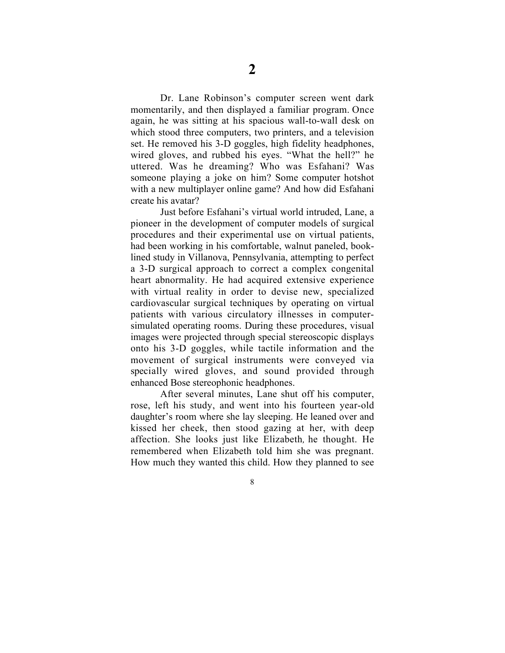Dr. Lane Robinson's computer screen went dark momentarily, and then displayed a familiar program. Once again, he was sitting at his spacious wall-to-wall desk on which stood three computers, two printers, and a television set. He removed his 3-D goggles, high fidelity headphones, wired gloves, and rubbed his eyes. "What the hell?" he uttered. Was he dreaming? Who was Esfahani? Was someone playing a joke on him? Some computer hotshot with a new multiplayer online game? And how did Esfahani create his avatar?

Just before Esfahani's virtual world intruded, Lane, a pioneer in the development of computer models of surgical procedures and their experimental use on virtual patients, had been working in his comfortable, walnut paneled, booklined study in Villanova, Pennsylvania, attempting to perfect a 3-D surgical approach to correct a complex congenital heart abnormality. He had acquired extensive experience with virtual reality in order to devise new, specialized cardiovascular surgical techniques by operating on virtual patients with various circulatory illnesses in computersimulated operating rooms. During these procedures, visual images were projected through special stereoscopic displays onto his 3-D goggles, while tactile information and the movement of surgical instruments were conveyed via specially wired gloves, and sound provided through enhanced Bose stereophonic headphones.

After several minutes, Lane shut off his computer, rose, left his study, and went into his fourteen year-old daughter's room where she lay sleeping. He leaned over and kissed her cheek, then stood gazing at her, with deep affection. She looks just like Elizabeth*,* he thought. He remembered when Elizabeth told him she was pregnant. How much they wanted this child. How they planned to see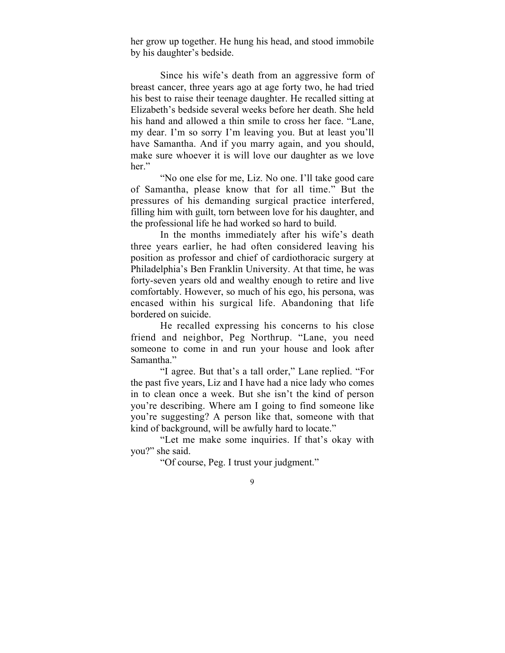her grow up together. He hung his head, and stood immobile by his daughter's bedside.

Since his wife's death from an aggressive form of breast cancer, three years ago at age forty two, he had tried his best to raise their teenage daughter. He recalled sitting at Elizabeth's bedside several weeks before her death. She held his hand and allowed a thin smile to cross her face. "Lane, my dear. I'm so sorry I'm leaving you. But at least you'll have Samantha. And if you marry again, and you should, make sure whoever it is will love our daughter as we love her."

"No one else for me, Liz. No one. I'll take good care of Samantha, please know that for all time." But the pressures of his demanding surgical practice interfered, filling him with guilt, torn between love for his daughter, and the professional life he had worked so hard to build.

In the months immediately after his wife's death three years earlier, he had often considered leaving his position as professor and chief of cardiothoracic surgery at Philadelphia's Ben Franklin University. At that time, he was forty-seven years old and wealthy enough to retire and live comfortably. However, so much of his ego, his persona, was encased within his surgical life. Abandoning that life bordered on suicide.

He recalled expressing his concerns to his close friend and neighbor, Peg Northrup. "Lane, you need someone to come in and run your house and look after Samantha."

"I agree. But that's a tall order," Lane replied. "For the past five years, Liz and I have had a nice lady who comes in to clean once a week. But she isn't the kind of person you're describing. Where am I going to find someone like you're suggesting? A person like that, someone with that kind of background, will be awfully hard to locate."

"Let me make some inquiries. If that's okay with you?" she said.

"Of course, Peg. I trust your judgment."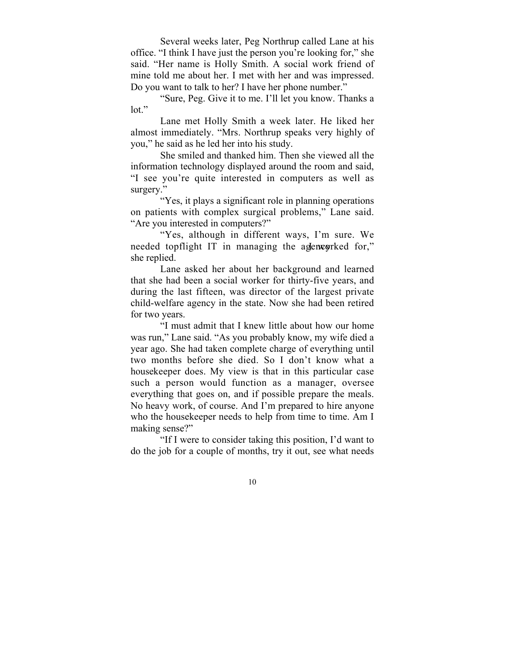Several weeks later, Peg Northrup called Lane at his office. "I think I have just the person you're looking for," she said. "Her name is Holly Smith. A social work friend of mine told me about her. I met with her and was impressed. Do you want to talk to her? I have her phone number."

"Sure, Peg. Give it to me. I'll let you know. Thanks a lot."

Lane met Holly Smith a week later. He liked her almost immediately. "Mrs. Northrup speaks very highly of you," he said as he led her into his study.

She smiled and thanked him. Then she viewed all the information technology displayed around the room and said, "I see you're quite interested in computers as well as surgery."

"Yes, it plays a significant role in planning operations on patients with complex surgical problems," Lane said. "Are you interested in computers?"

"Yes, although in different ways, I'm sure. We needed topflight IT in managing the agenerated for," she replied.

Lane asked her about her background and learned that she had been a social worker for thirty-five years, and during the last fifteen, was director of the largest private child-welfare agency in the state. Now she had been retired for two years.

"I must admit that I knew little about how our home was run," Lane said. "As you probably know, my wife died a year ago. She had taken complete charge of everything until two months before she died. So I don't know what a housekeeper does. My view is that in this particular case such a person would function as a manager, oversee everything that goes on, and if possible prepare the meals. No heavy work, of course. And I'm prepared to hire anyone who the housekeeper needs to help from time to time. Am I making sense?"

"If I were to consider taking this position, I'd want to do the job for a couple of months, try it out, see what needs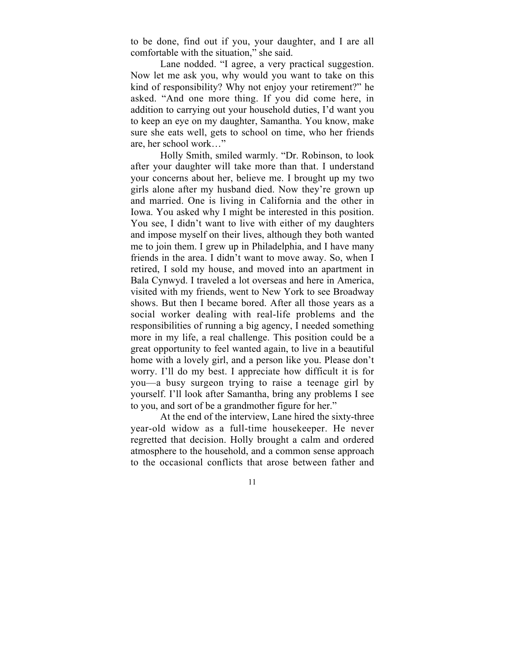to be done, find out if you, your daughter, and I are all comfortable with the situation," she said.

Lane nodded. "I agree, a very practical suggestion. Now let me ask you, why would you want to take on this kind of responsibility? Why not enjoy your retirement?" he asked. "And one more thing. If you did come here, in addition to carrying out your household duties, I'd want you to keep an eye on my daughter, Samantha. You know, make sure she eats well, gets to school on time, who her friends are, her school work…"

Holly Smith, smiled warmly. "Dr. Robinson, to look after your daughter will take more than that. I understand your concerns about her, believe me. I brought up my two girls alone after my husband died. Now they're grown up and married. One is living in California and the other in Iowa. You asked why I might be interested in this position. You see, I didn't want to live with either of my daughters and impose myself on their lives, although they both wanted me to join them. I grew up in Philadelphia, and I have many friends in the area. I didn't want to move away. So, when I retired, I sold my house, and moved into an apartment in Bala Cynwyd. I traveled a lot overseas and here in America, visited with my friends, went to New York to see Broadway shows. But then I became bored. After all those years as a social worker dealing with real-life problems and the responsibilities of running a big agency, I needed something more in my life, a real challenge. This position could be a great opportunity to feel wanted again, to live in a beautiful home with a lovely girl, and a person like you. Please don't worry. I'll do my best. I appreciate how difficult it is for you—a busy surgeon trying to raise a teenage girl by yourself. I'll look after Samantha, bring any problems I see to you, and sort of be a grandmother figure for her."

At the end of the interview, Lane hired the sixty-three year-old widow as a full-time housekeeper. He never regretted that decision. Holly brought a calm and ordered atmosphere to the household, and a common sense approach to the occasional conflicts that arose between father and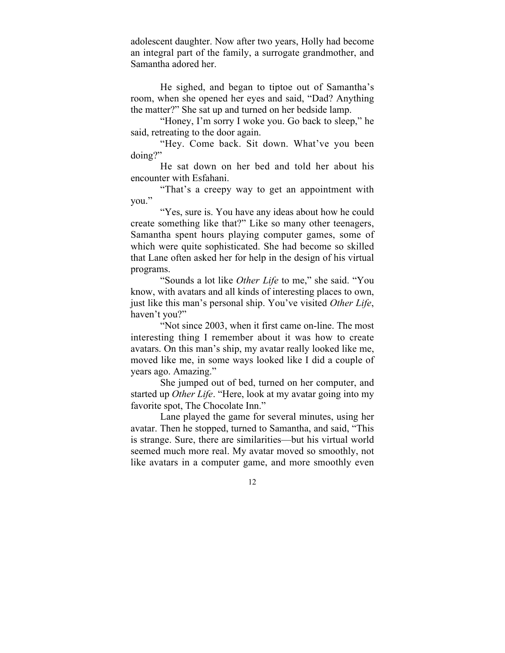adolescent daughter. Now after two years, Holly had become an integral part of the family, a surrogate grandmother, and Samantha adored her.

He sighed, and began to tiptoe out of Samantha's room, when she opened her eyes and said, "Dad? Anything the matter?" She sat up and turned on her bedside lamp.

"Honey, I'm sorry I woke you. Go back to sleep," he said, retreating to the door again.

"Hey. Come back. Sit down. What've you been doing?"

He sat down on her bed and told her about his encounter with Esfahani.

"That's a creepy way to get an appointment with you."

"Yes, sure is. You have any ideas about how he could create something like that?" Like so many other teenagers, Samantha spent hours playing computer games, some of which were quite sophisticated. She had become so skilled that Lane often asked her for help in the design of his virtual programs.

"Sounds a lot like *Other Life* to me," she said. "You know, with avatars and all kinds of interesting places to own, just like this man's personal ship. You've visited *Other Life*, haven't you?"

"Not since 2003, when it first came on-line. The most interesting thing I remember about it was how to create avatars. On this man's ship, my avatar really looked like me, moved like me, in some ways looked like I did a couple of years ago. Amazing."

She jumped out of bed, turned on her computer, and started up *Other Life*. "Here, look at my avatar going into my favorite spot, The Chocolate Inn."

Lane played the game for several minutes, using her avatar. Then he stopped, turned to Samantha, and said, "This is strange. Sure, there are similarities—but his virtual world seemed much more real. My avatar moved so smoothly, not like avatars in a computer game, and more smoothly even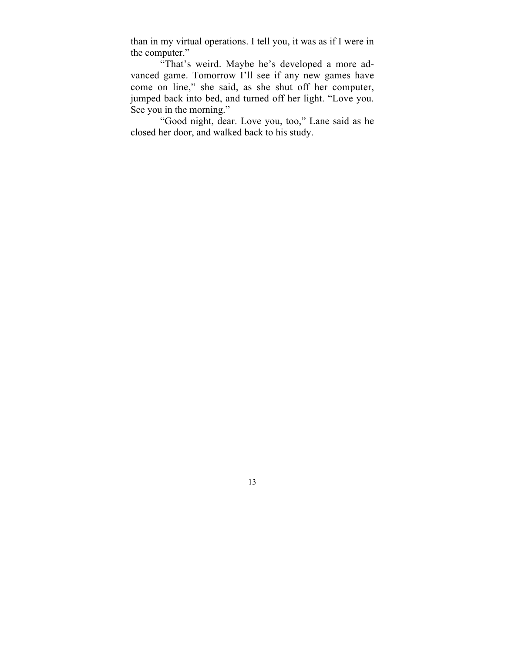than in my virtual operations. I tell you, it was as if I were in the computer."

"That's weird. Maybe he's developed a more advanced game. Tomorrow I'll see if any new games have come on line," she said, as she shut off her computer, jumped back into bed, and turned off her light. "Love you. See you in the morning."

"Good night, dear. Love you, too," Lane said as he closed her door, and walked back to his study.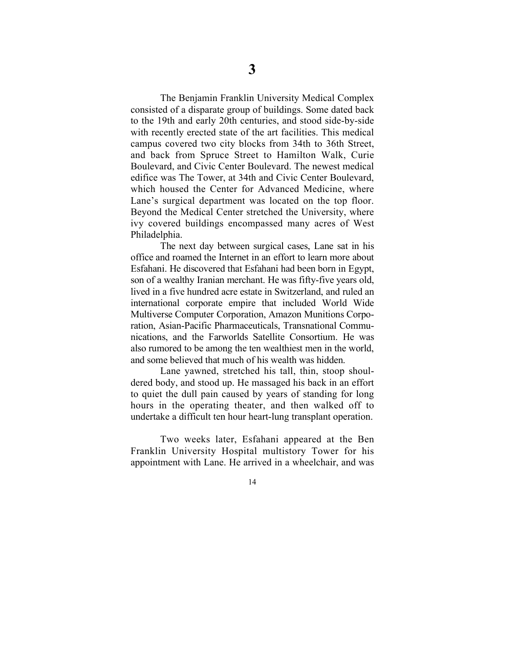The Benjamin Franklin University Medical Complex consisted of a disparate group of buildings. Some dated back to the 19th and early 20th centuries, and stood side-by-side with recently erected state of the art facilities. This medical campus covered two city blocks from 34th to 36th Street, and back from Spruce Street to Hamilton Walk, Curie Boulevard, and Civic Center Boulevard. The newest medical edifice was The Tower, at 34th and Civic Center Boulevard, which housed the Center for Advanced Medicine, where Lane's surgical department was located on the top floor. Beyond the Medical Center stretched the University, where ivy covered buildings encompassed many acres of West Philadelphia.

The next day between surgical cases, Lane sat in his office and roamed the Internet in an effort to learn more about Esfahani. He discovered that Esfahani had been born in Egypt, son of a wealthy Iranian merchant. He was fifty-five years old, lived in a five hundred acre estate in Switzerland, and ruled an international corporate empire that included World Wide Multiverse Computer Corporation, Amazon Munitions Corporation, Asian-Pacific Pharmaceuticals, Transnational Communications, and the Farworlds Satellite Consortium. He was also rumored to be among the ten wealthiest men in the world, and some believed that much of his wealth was hidden.

Lane yawned, stretched his tall, thin, stoop shouldered body, and stood up. He massaged his back in an effort to quiet the dull pain caused by years of standing for long hours in the operating theater, and then walked off to undertake a difficult ten hour heart-lung transplant operation.

Two weeks later, Esfahani appeared at the Ben Franklin University Hospital multistory Tower for his appointment with Lane. He arrived in a wheelchair, and was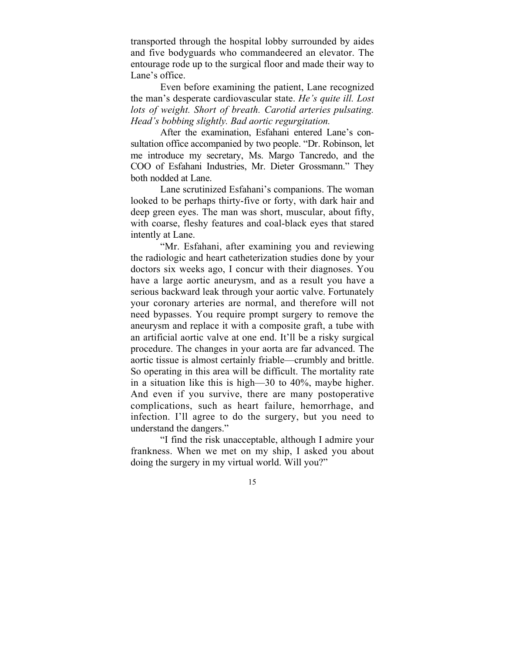transported through the hospital lobby surrounded by aides and five bodyguards who commandeered an elevator. The entourage rode up to the surgical floor and made their way to Lane's office.

Even before examining the patient, Lane recognized the man's desperate cardiovascular state. *He's quite ill. Lost lots of weight. Short of breath. Carotid arteries pulsating. Head's bobbing slightly. Bad aortic regurgitation.*

After the examination, Esfahani entered Lane's consultation office accompanied by two people. "Dr. Robinson, let me introduce my secretary, Ms. Margo Tancredo, and the COO of Esfahani Industries, Mr. Dieter Grossmann." They both nodded at Lane.

Lane scrutinized Esfahani's companions. The woman looked to be perhaps thirty-five or forty, with dark hair and deep green eyes. The man was short, muscular, about fifty, with coarse, fleshy features and coal-black eyes that stared intently at Lane.

"Mr. Esfahani, after examining you and reviewing the radiologic and heart catheterization studies done by your doctors six weeks ago, I concur with their diagnoses. You have a large aortic aneurysm, and as a result you have a serious backward leak through your aortic valve. Fortunately your coronary arteries are normal, and therefore will not need bypasses. You require prompt surgery to remove the aneurysm and replace it with a composite graft, a tube with an artificial aortic valve at one end. It'll be a risky surgical procedure. The changes in your aorta are far advanced. The aortic tissue is almost certainly friable—crumbly and brittle. So operating in this area will be difficult. The mortality rate in a situation like this is high—30 to 40%, maybe higher. And even if you survive, there are many postoperative complications, such as heart failure, hemorrhage, and infection. I'll agree to do the surgery, but you need to understand the dangers."

"I find the risk unacceptable, although I admire your frankness. When we met on my ship, I asked you about doing the surgery in my virtual world. Will you?"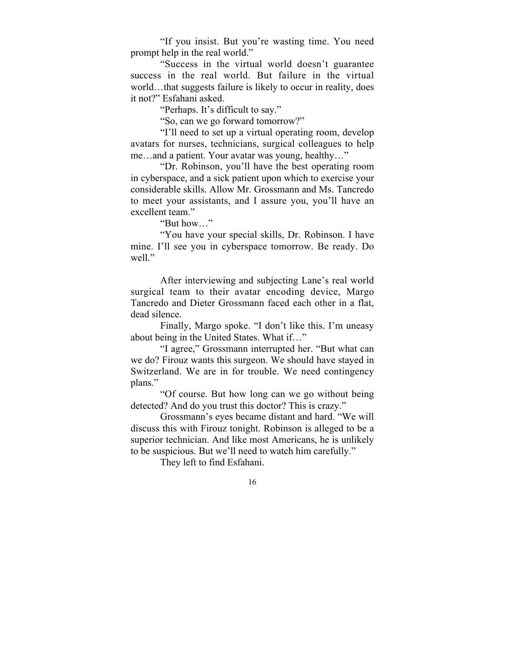"If you insist. But you're wasting time. You need prompt help in the real world."

"Success in the virtual world doesn't guarantee success in the real world. But failure in the virtual world…that suggests failure is likely to occur in reality, does it not?" Esfahani asked.

"Perhaps. It's difficult to say."

"So, can we go forward tomorrow?"

"I'll need to set up a virtual operating room, develop avatars for nurses, technicians, surgical colleagues to help me…and a patient. Your avatar was young, healthy…"

"Dr. Robinson, you'll have the best operating room in cyberspace, and a sick patient upon which to exercise your considerable skills. Allow Mr. Grossmann and Ms. Tancredo to meet your assistants, and I assure you, you'll have an excellent team."

"But how…"

"You have your special skills, Dr. Robinson. I have mine. I'll see you in cyberspace tomorrow. Be ready. Do well."

After interviewing and subjecting Lane's real world surgical team to their avatar encoding device, Margo Tancredo and Dieter Grossmann faced each other in a flat, dead silence.

Finally, Margo spoke. "I don't like this. I'm uneasy about being in the United States. What if…"

"I agree," Grossmann interrupted her. "But what can we do? Firouz wants this surgeon. We should have stayed in Switzerland. We are in for trouble. We need contingency plans."

"Of course. But how long can we go without being detected? And do you trust this doctor? This is crazy."

Grossmann's eyes became distant and hard. "We will discuss this with Firouz tonight. Robinson is alleged to be a superior technician. And like most Americans, he is unlikely to be suspicious. But we'll need to watch him carefully."

They left to find Esfahani.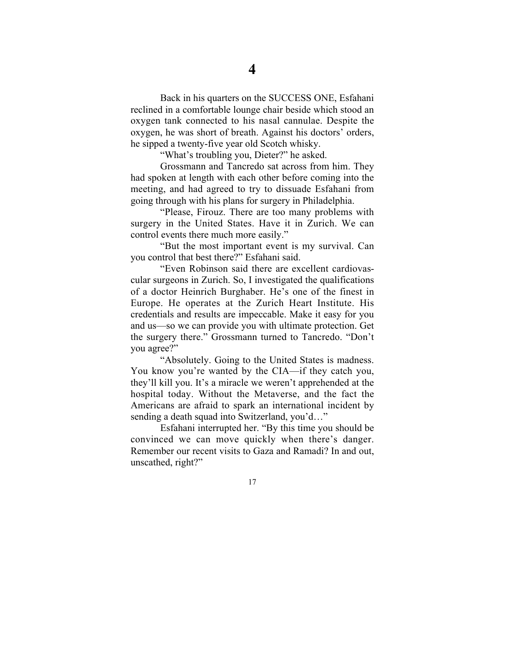Back in his quarters on the SUCCESS ONE, Esfahani reclined in a comfortable lounge chair beside which stood an oxygen tank connected to his nasal cannulae. Despite the oxygen, he was short of breath. Against his doctors' orders, he sipped a twenty-five year old Scotch whisky.

"What's troubling you, Dieter?" he asked.

Grossmann and Tancredo sat across from him. They had spoken at length with each other before coming into the meeting, and had agreed to try to dissuade Esfahani from going through with his plans for surgery in Philadelphia.

"Please, Firouz. There are too many problems with surgery in the United States. Have it in Zurich. We can control events there much more easily."

"But the most important event is my survival. Can you control that best there?" Esfahani said.

"Even Robinson said there are excellent cardiovascular surgeons in Zurich. So, I investigated the qualifications of a doctor Heinrich Burghaber. He's one of the finest in Europe. He operates at the Zurich Heart Institute. His credentials and results are impeccable. Make it easy for you and us—so we can provide you with ultimate protection. Get the surgery there." Grossmann turned to Tancredo. "Don't you agree?"

"Absolutely. Going to the United States is madness. You know you're wanted by the CIA—if they catch you, they'll kill you. It's a miracle we weren't apprehended at the hospital today. Without the Metaverse, and the fact the Americans are afraid to spark an international incident by sending a death squad into Switzerland, you'd…"

Esfahani interrupted her. "By this time you should be convinced we can move quickly when there's danger. Remember our recent visits to Gaza and Ramadi? In and out, unscathed, right?"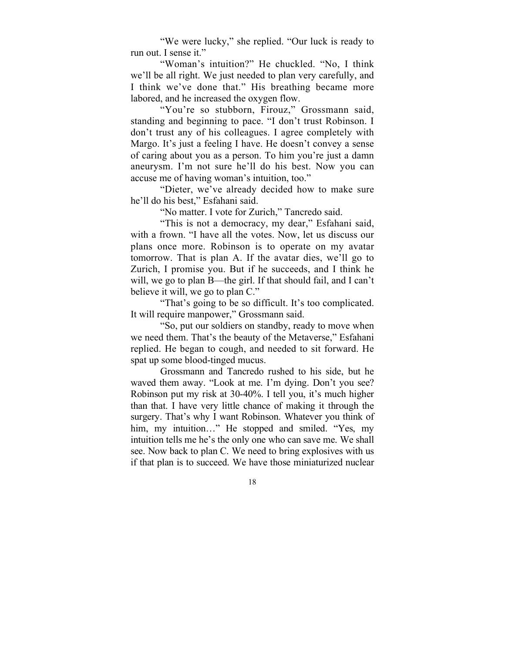"We were lucky," she replied. "Our luck is ready to run out. I sense it."

"Woman's intuition?" He chuckled. "No, I think we'll be all right. We just needed to plan very carefully, and I think we've done that." His breathing became more labored, and he increased the oxygen flow.

"You're so stubborn, Firouz," Grossmann said, standing and beginning to pace. "I don't trust Robinson. I don't trust any of his colleagues. I agree completely with Margo. It's just a feeling I have. He doesn't convey a sense of caring about you as a person. To him you're just a damn aneurysm. I'm not sure he'll do his best. Now you can accuse me of having woman's intuition, too."

"Dieter, we've already decided how to make sure he'll do his best," Esfahani said.

"No matter. I vote for Zurich," Tancredo said.

"This is not a democracy, my dear," Esfahani said, with a frown. "I have all the votes. Now, let us discuss our plans once more. Robinson is to operate on my avatar tomorrow. That is plan A. If the avatar dies, we'll go to Zurich, I promise you. But if he succeeds, and I think he will, we go to plan B—the girl. If that should fail, and I can't believe it will, we go to plan C."

"That's going to be so difficult. It's too complicated. It will require manpower," Grossmann said.

"So, put our soldiers on standby, ready to move when we need them. That's the beauty of the Metaverse," Esfahani replied. He began to cough, and needed to sit forward. He spat up some blood-tinged mucus.

Grossmann and Tancredo rushed to his side, but he waved them away. "Look at me. I'm dying. Don't you see? Robinson put my risk at 30-40%. I tell you, it's much higher than that. I have very little chance of making it through the surgery. That's why I want Robinson. Whatever you think of him, my intuition..." He stopped and smiled. "Yes, my intuition tells me he's the only one who can save me. We shall see. Now back to plan C. We need to bring explosives with us if that plan is to succeed. We have those miniaturized nuclear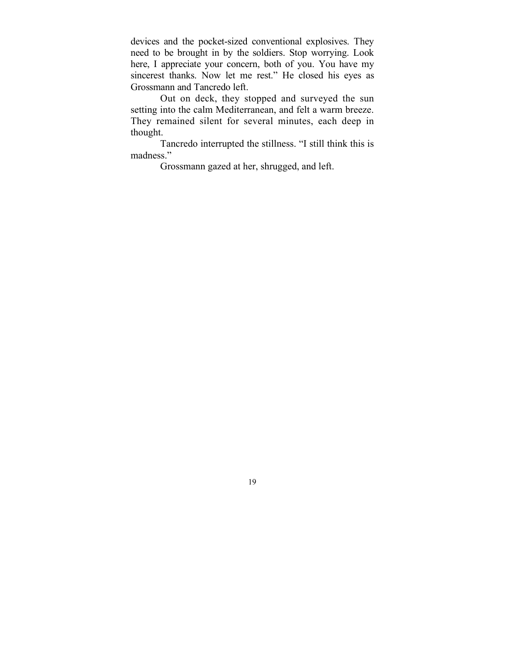devices and the pocket-sized conventional explosives. They need to be brought in by the soldiers. Stop worrying. Look here, I appreciate your concern, both of you. You have my sincerest thanks. Now let me rest." He closed his eyes as Grossmann and Tancredo left.

Out on deck, they stopped and surveyed the sun setting into the calm Mediterranean, and felt a warm breeze. They remained silent for several minutes, each deep in thought.

Tancredo interrupted the stillness. "I still think this is madness."

Grossmann gazed at her, shrugged, and left.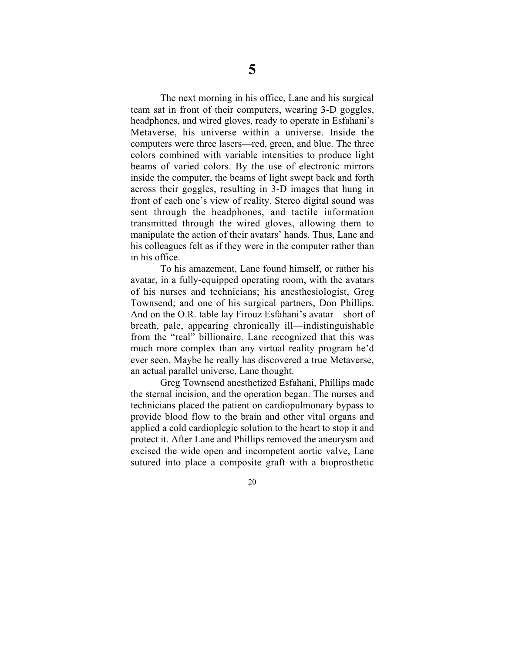The next morning in his office, Lane and his surgical team sat in front of their computers, wearing 3-D goggles, headphones, and wired gloves, ready to operate in Esfahani's Metaverse, his universe within a universe. Inside the computers were three lasers—red, green, and blue. The three colors combined with variable intensities to produce light beams of varied colors. By the use of electronic mirrors inside the computer, the beams of light swept back and forth across their goggles, resulting in 3-D images that hung in front of each one's view of reality. Stereo digital sound was sent through the headphones, and tactile information transmitted through the wired gloves, allowing them to manipulate the action of their avatars' hands. Thus, Lane and his colleagues felt as if they were in the computer rather than in his office.

To his amazement, Lane found himself, or rather his avatar, in a fully-equipped operating room, with the avatars of his nurses and technicians; his anesthesiologist, Greg Townsend; and one of his surgical partners, Don Phillips. And on the O.R. table lay Firouz Esfahani's avatar—short of breath, pale, appearing chronically ill—indistinguishable from the "real" billionaire. Lane recognized that this was much more complex than any virtual reality program he'd ever seen. Maybe he really has discovered a true Metaverse, an actual parallel universe, Lane thought.

Greg Townsend anesthetized Esfahani, Phillips made the sternal incision, and the operation began. The nurses and technicians placed the patient on cardiopulmonary bypass to provide blood flow to the brain and other vital organs and applied a cold cardioplegic solution to the heart to stop it and protect it. After Lane and Phillips removed the aneurysm and excised the wide open and incompetent aortic valve, Lane sutured into place a composite graft with a bioprosthetic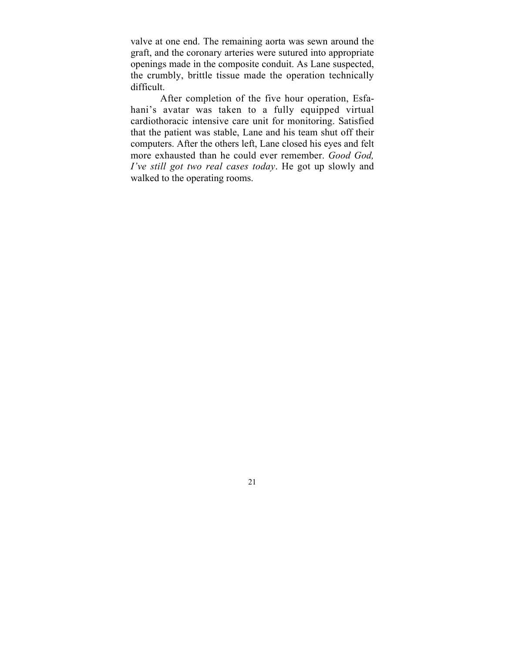valve at one end. The remaining aorta was sewn around the graft, and the coronary arteries were sutured into appropriate openings made in the composite conduit. As Lane suspected, the crumbly, brittle tissue made the operation technically difficult.

After completion of the five hour operation, Esfahani's avatar was taken to a fully equipped virtual cardiothoracic intensive care unit for monitoring. Satisfied that the patient was stable, Lane and his team shut off their computers. After the others left, Lane closed his eyes and felt more exhausted than he could ever remember. *Good God, I've still got two real cases today*. He got up slowly and walked to the operating rooms.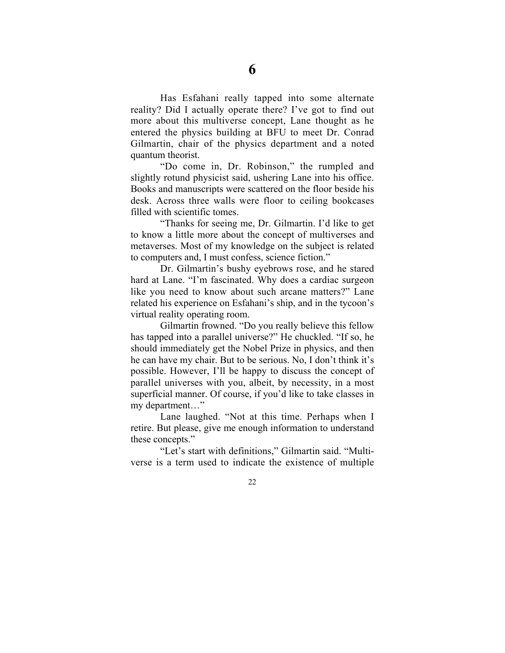Has Esfahani really tapped into some alternate reality? Did I actually operate there? I've got to find out more about this multiverse concept, Lane thought as he entered the physics building at BFU to meet Dr. Conrad Gilmartin, chair of the physics department and a noted quantum theorist.

"Do come in, Dr. Robinson," the rumpled and slightly rotund physicist said, ushering Lane into his office. Books and manuscripts were scattered on the floor beside his desk. Across three walls were floor to ceiling bookcases filled with scientific tomes.

"Thanks for seeing me, Dr. Gilmartin. I'd like to get to know a little more about the concept of multiverses and metaverses. Most of my knowledge on the subject is related to computers and, I must confess, science fiction."

Dr. Gilmartin's bushy eyebrows rose, and he stared hard at Lane. "I'm fascinated. Why does a cardiac surgeon like you need to know about such arcane matters?" Lane related his experience on Esfahani's ship, and in the tycoon's virtual reality operating room.

Gilmartin frowned. "Do you really believe this fellow has tapped into a parallel universe?" He chuckled. "If so, he should immediately get the Nobel Prize in physics, and then he can have my chair. But to be serious. No, I don't think it's possible. However, I'll be happy to discuss the concept of parallel universes with you, albeit, by necessity, in a most superficial manner. Of course, if you'd like to take classes in my department…"

Lane laughed. "Not at this time. Perhaps when I retire. But please, give me enough information to understand these concepts."

"Let's start with definitions," Gilmartin said. "Multiverse is a term used to indicate the existence of multiple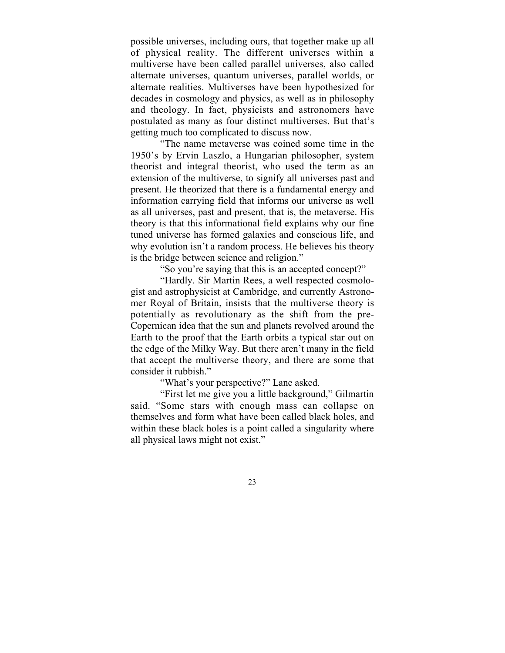possible universes, including ours, that together make up all of physical reality. The different universes within a multiverse have been called parallel universes, also called alternate universes, quantum universes, parallel worlds, or alternate realities. Multiverses have been hypothesized for decades in cosmology and physics, as well as in philosophy and theology. In fact, physicists and astronomers have postulated as many as four distinct multiverses. But that's getting much too complicated to discuss now.

"The name metaverse was coined some time in the 1950's by Ervin Laszlo, a Hungarian philosopher, system theorist and integral theorist, who used the term as an extension of the multiverse, to signify all universes past and present. He theorized that there is a fundamental energy and information carrying field that informs our universe as well as all universes, past and present, that is, the metaverse. His theory is that this informational field explains why our fine tuned universe has formed galaxies and conscious life, and why evolution isn't a random process. He believes his theory is the bridge between science and religion."

"So you're saying that this is an accepted concept?"

"Hardly. Sir Martin Rees, a well respected cosmologist and astrophysicist at Cambridge, and currently Astronomer Royal of Britain, insists that the multiverse theory is potentially as revolutionary as the shift from the pre-Copernican idea that the sun and planets revolved around the Earth to the proof that the Earth orbits a typical star out on the edge of the Milky Way. But there aren't many in the field that accept the multiverse theory, and there are some that consider it rubbish."

"What's your perspective?" Lane asked.

"First let me give you a little background," Gilmartin said. "Some stars with enough mass can collapse on themselves and form what have been called black holes, and within these black holes is a point called a singularity where all physical laws might not exist."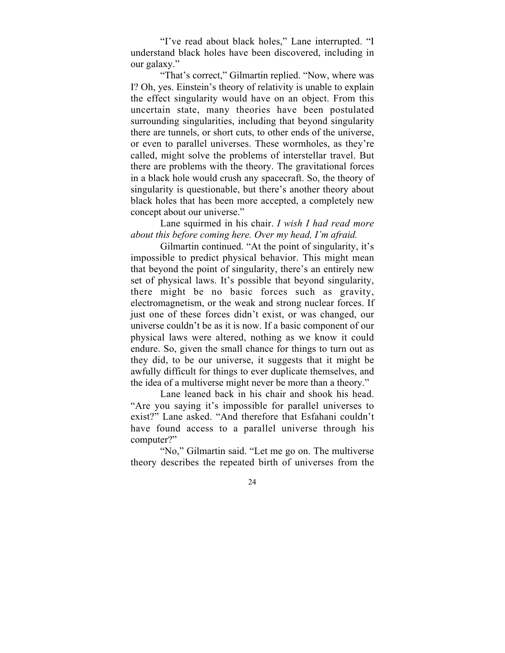"I've read about black holes," Lane interrupted. "I understand black holes have been discovered, including in our galaxy."

"That's correct," Gilmartin replied. "Now, where was I? Oh, yes. Einstein's theory of relativity is unable to explain the effect singularity would have on an object. From this uncertain state, many theories have been postulated surrounding singularities, including that beyond singularity there are tunnels, or short cuts, to other ends of the universe, or even to parallel universes. These wormholes, as they're called, might solve the problems of interstellar travel. But there are problems with the theory. The gravitational forces in a black hole would crush any spacecraft. So, the theory of singularity is questionable, but there's another theory about black holes that has been more accepted, a completely new concept about our universe."

#### Lane squirmed in his chair. *I wish I had read more about this before coming here. Over my head, I'm afraid.*

Gilmartin continued. "At the point of singularity, it's impossible to predict physical behavior. This might mean that beyond the point of singularity, there's an entirely new set of physical laws. It's possible that beyond singularity, there might be no basic forces such as gravity, electromagnetism, or the weak and strong nuclear forces. If just one of these forces didn't exist, or was changed, our universe couldn't be as it is now. If a basic component of our physical laws were altered, nothing as we know it could endure. So, given the small chance for things to turn out as they did, to be our universe, it suggests that it might be awfully difficult for things to ever duplicate themselves, and the idea of a multiverse might never be more than a theory."

Lane leaned back in his chair and shook his head. "Are you saying it's impossible for parallel universes to exist?" Lane asked. "And therefore that Esfahani couldn't have found access to a parallel universe through his computer?"

"No," Gilmartin said. "Let me go on. The multiverse theory describes the repeated birth of universes from the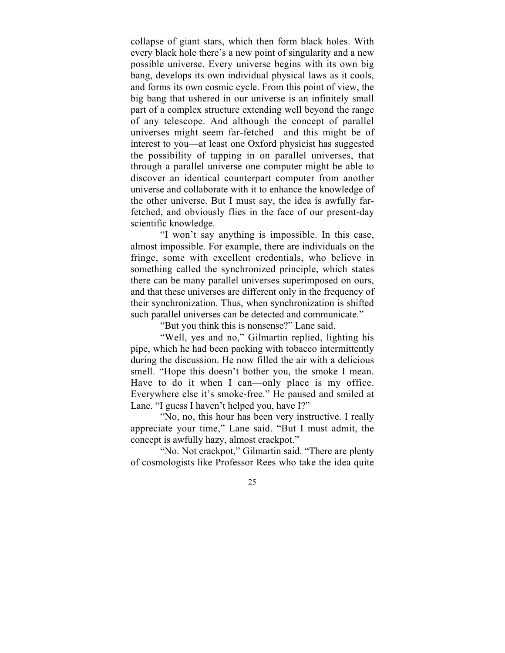collapse of giant stars, which then form black holes. With every black hole there's a new point of singularity and a new possible universe. Every universe begins with its own big bang, develops its own individual physical laws as it cools, and forms its own cosmic cycle. From this point of view, the big bang that ushered in our universe is an infinitely small part of a complex structure extending well beyond the range of any telescope. And although the concept of parallel universes might seem far-fetched—and this might be of interest to you—at least one Oxford physicist has suggested the possibility of tapping in on parallel universes, that through a parallel universe one computer might be able to discover an identical counterpart computer from another universe and collaborate with it to enhance the knowledge of the other universe. But I must say, the idea is awfully farfetched, and obviously flies in the face of our present-day scientific knowledge.

"I won't say anything is impossible. In this case, almost impossible. For example, there are individuals on the fringe, some with excellent credentials, who believe in something called the synchronized principle, which states there can be many parallel universes superimposed on ours, and that these universes are different only in the frequency of their synchronization. Thus, when synchronization is shifted such parallel universes can be detected and communicate."

"But you think this is nonsense?" Lane said.

"Well, yes and no," Gilmartin replied, lighting his pipe, which he had been packing with tobacco intermittently during the discussion. He now filled the air with a delicious smell. "Hope this doesn't bother you, the smoke I mean. Have to do it when I can—only place is my office. Everywhere else it's smoke-free." He paused and smiled at Lane. "I guess I haven't helped you, have I?"

"No, no, this hour has been very instructive. I really appreciate your time," Lane said. "But I must admit, the concept is awfully hazy, almost crackpot."

"No. Not crackpot," Gilmartin said. "There are plenty of cosmologists like Professor Rees who take the idea quite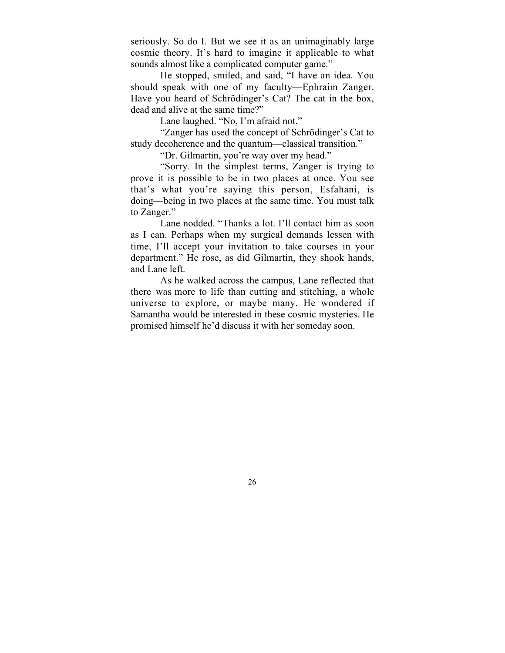seriously. So do I. But we see it as an unimaginably large cosmic theory. It's hard to imagine it applicable to what sounds almost like a complicated computer game."

He stopped, smiled, and said, "I have an idea. You should speak with one of my faculty—Ephraim Zanger. Have you heard of Schrödinger's Cat? The cat in the box, dead and alive at the same time?"

Lane laughed. "No, I'm afraid not."

"Zanger has used the concept of Schrödinger's Cat to study decoherence and the quantum—classical transition."

"Dr. Gilmartin, you're way over my head."

"Sorry. In the simplest terms, Zanger is trying to prove it is possible to be in two places at once. You see that's what you're saying this person, Esfahani, is doing—being in two places at the same time. You must talk to Zanger."

Lane nodded. "Thanks a lot. I'll contact him as soon as I can. Perhaps when my surgical demands lessen with time, I'll accept your invitation to take courses in your department." He rose, as did Gilmartin, they shook hands, and Lane left.

As he walked across the campus, Lane reflected that there was more to life than cutting and stitching, a whole universe to explore, or maybe many. He wondered if Samantha would be interested in these cosmic mysteries. He promised himself he'd discuss it with her someday soon.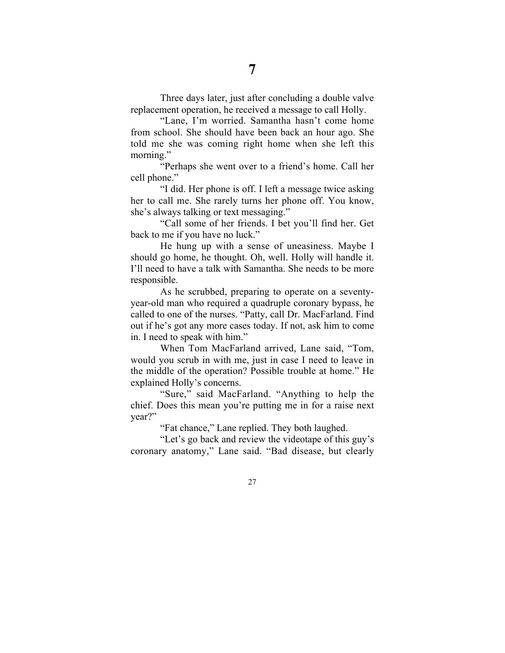Three days later, just after concluding a double valve replacement operation, he received a message to call Holly.

"Lane, I'm worried. Samantha hasn't come home from school. She should have been back an hour ago. She told me she was coming right home when she left this morning."

"Perhaps she went over to a friend's home. Call her cell phone."

"I did. Her phone is off. I left a message twice asking her to call me. She rarely turns her phone off. You know, she's always talking or text messaging."

"Call some of her friends. I bet you'll find her. Get back to me if you have no luck."

He hung up with a sense of uneasiness. Maybe I should go home, he thought. Oh, well. Holly will handle it. I'll need to have a talk with Samantha. She needs to be more responsible.

As he scrubbed, preparing to operate on a seventyyear-old man who required a quadruple coronary bypass, he called to one of the nurses. "Patty, call Dr. MacFarland. Find out if he's got any more cases today. If not, ask him to come in. I need to speak with him."

When Tom MacFarland arrived, Lane said, "Tom, would you scrub in with me, just in case I need to leave in the middle of the operation? Possible trouble at home." He explained Holly's concerns.

"Sure," said MacFarland. "Anything to help the chief. Does this mean you're putting me in for a raise next year?"

"Fat chance," Lane replied. They both laughed.

"Let's go back and review the videotape of this guy's coronary anatomy," Lane said. "Bad disease, but clearly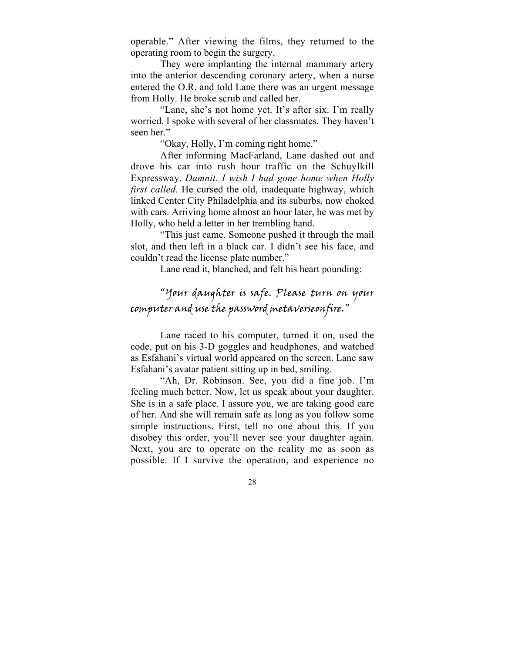operable." After viewing the films, they returned to the operating room to begin the surgery.

They were implanting the internal mammary artery into the anterior descending coronary artery, when a nurse entered the O.R. and told Lane there was an urgent message from Holly. He broke scrub and called her.

"Lane, she's not home yet. It's after six. I'm really worried. I spoke with several of her classmates. They haven't seen her."

"Okay, Holly, I'm coming right home."

After informing MacFarland, Lane dashed out and drove his car into rush hour traffic on the Schuylkill Expressway. *Damnit. I wish I had gone home when Holly first called.* He cursed the old, inadequate highway, which linked Center City Philadelphia and its suburbs, now choked with cars. Arriving home almost an hour later, he was met by Holly, who held a letter in her trembling hand.

"This just came. Someone pushed it through the mail slot, and then left in a black car. I didn't see his face, and couldn't read the license plate number."

Lane read it, blanched, and felt his heart pounding:

## "Your daughter is safe. Please turn on your computer and use the password metaverseonfire."

Lane raced to his computer, turned it on, used the code, put on his 3-D goggles and headphones, and watched as Esfahani's virtual world appeared on the screen. Lane saw Esfahani's avatar patient sitting up in bed, smiling.

"Ah, Dr. Robinson. See, you did a fine job. I'm feeling much better. Now, let us speak about your daughter. She is in a safe place. I assure you, we are taking good care of her. And she will remain safe as long as you follow some simple instructions. First, tell no one about this. If you disobey this order, you'll never see your daughter again. Next, you are to operate on the reality me as soon as possible. If I survive the operation, and experience no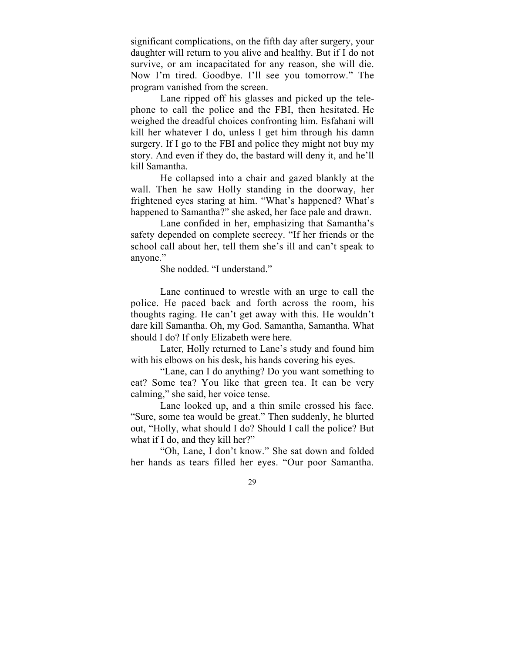significant complications, on the fifth day after surgery, your daughter will return to you alive and healthy. But if I do not survive, or am incapacitated for any reason, she will die. Now I'm tired. Goodbye. I'll see you tomorrow." The program vanished from the screen.

Lane ripped off his glasses and picked up the telephone to call the police and the FBI, then hesitated. He weighed the dreadful choices confronting him. Esfahani will kill her whatever I do, unless I get him through his damn surgery. If I go to the FBI and police they might not buy my story. And even if they do, the bastard will deny it, and he'll kill Samantha.

He collapsed into a chair and gazed blankly at the wall. Then he saw Holly standing in the doorway, her frightened eyes staring at him. "What's happened? What's happened to Samantha?" she asked, her face pale and drawn.

Lane confided in her, emphasizing that Samantha's safety depended on complete secrecy. "If her friends or the school call about her, tell them she's ill and can't speak to anyone."

She nodded. "I understand."

Lane continued to wrestle with an urge to call the police. He paced back and forth across the room, his thoughts raging. He can't get away with this. He wouldn't dare kill Samantha. Oh, my God. Samantha, Samantha. What should I do? If only Elizabeth were here.

Later*,* Holly returned to Lane's study and found him with his elbows on his desk, his hands covering his eyes.

"Lane, can I do anything? Do you want something to eat? Some tea? You like that green tea. It can be very calming," she said, her voice tense.

Lane looked up, and a thin smile crossed his face. "Sure, some tea would be great." Then suddenly, he blurted out, "Holly, what should I do? Should I call the police? But what if I do, and they kill her?"

"Oh, Lane, I don't know." She sat down and folded her hands as tears filled her eyes. "Our poor Samantha.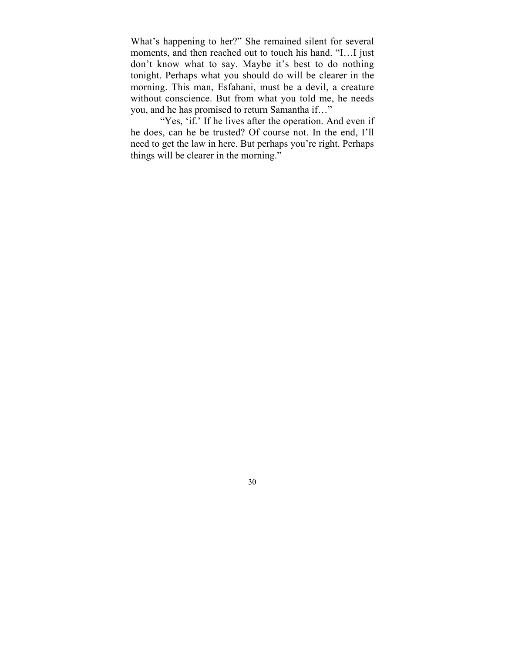What's happening to her?" She remained silent for several moments, and then reached out to touch his hand. "I…I just don't know what to say. Maybe it's best to do nothing tonight. Perhaps what you should do will be clearer in the morning. This man, Esfahani, must be a devil, a creature without conscience. But from what you told me, he needs you, and he has promised to return Samantha if…"

"Yes, 'if.' If he lives after the operation. And even if he does, can he be trusted? Of course not. In the end, I'll need to get the law in here. But perhaps you're right. Perhaps things will be clearer in the morning."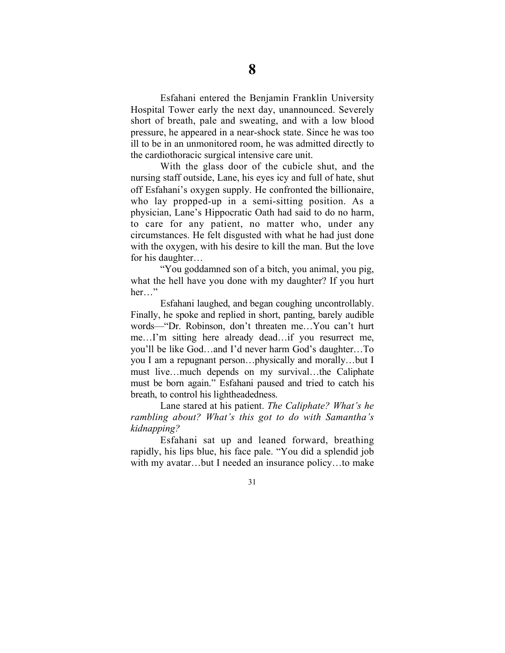Esfahani entered the Benjamin Franklin University Hospital Tower early the next day, unannounced. Severely short of breath, pale and sweating, and with a low blood pressure, he appeared in a near-shock state. Since he was too ill to be in an unmonitored room, he was admitted directly to the cardiothoracic surgical intensive care unit.

With the glass door of the cubicle shut, and the nursing staff outside, Lane, his eyes icy and full of hate, shut off Esfahani's oxygen supply. He confronted the billionaire, who lay propped-up in a semi-sitting position. As a physician, Lane's Hippocratic Oath had said to do no harm, to care for any patient, no matter who, under any circumstances. He felt disgusted with what he had just done with the oxygen, with his desire to kill the man. But the love for his daughter…

"You goddamned son of a bitch, you animal, you pig, what the hell have you done with my daughter? If you hurt her…"

Esfahani laughed, and began coughing uncontrollably. Finally, he spoke and replied in short, panting, barely audible words—"Dr. Robinson, don't threaten me…You can't hurt me…I'm sitting here already dead…if you resurrect me, you'll be like God…and I'd never harm God's daughter…To you I am a repugnant person…physically and morally…but I must live…much depends on my survival…the Caliphate must be born again." Esfahani paused and tried to catch his breath, to control his lightheadedness.

Lane stared at his patient. *The Caliphate? What's he rambling about? What's this got to do with Samantha's kidnapping?*

Esfahani sat up and leaned forward, breathing rapidly, his lips blue, his face pale. "You did a splendid job with my avatar…but I needed an insurance policy…to make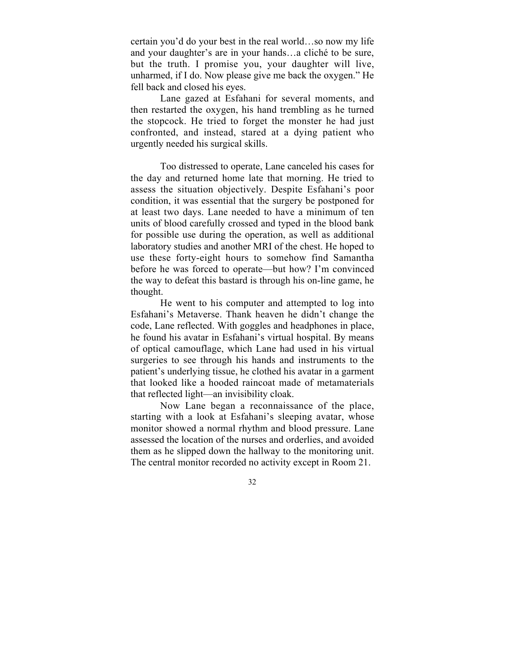certain you'd do your best in the real world…so now my life and your daughter's are in your hands…a cliché to be sure, but the truth. I promise you, your daughter will live, unharmed, if I do. Now please give me back the oxygen." He fell back and closed his eyes.

Lane gazed at Esfahani for several moments, and then restarted the oxygen, his hand trembling as he turned the stopcock. He tried to forget the monster he had just confronted, and instead, stared at a dying patient who urgently needed his surgical skills.

Too distressed to operate, Lane canceled his cases for the day and returned home late that morning. He tried to assess the situation objectively. Despite Esfahani's poor condition, it was essential that the surgery be postponed for at least two days. Lane needed to have a minimum of ten units of blood carefully crossed and typed in the blood bank for possible use during the operation, as well as additional laboratory studies and another MRI of the chest. He hoped to use these forty-eight hours to somehow find Samantha before he was forced to operate—but how? I'm convinced the way to defeat this bastard is through his on-line game, he thought.

He went to his computer and attempted to log into Esfahani's Metaverse. Thank heaven he didn't change the code, Lane reflected. With goggles and headphones in place, he found his avatar in Esfahani's virtual hospital. By means of optical camouflage, which Lane had used in his virtual surgeries to see through his hands and instruments to the patient's underlying tissue, he clothed his avatar in a garment that looked like a hooded raincoat made of metamaterials that reflected light—an invisibility cloak.

Now Lane began a reconnaissance of the place, starting with a look at Esfahani's sleeping avatar, whose monitor showed a normal rhythm and blood pressure. Lane assessed the location of the nurses and orderlies, and avoided them as he slipped down the hallway to the monitoring unit. The central monitor recorded no activity except in Room 21.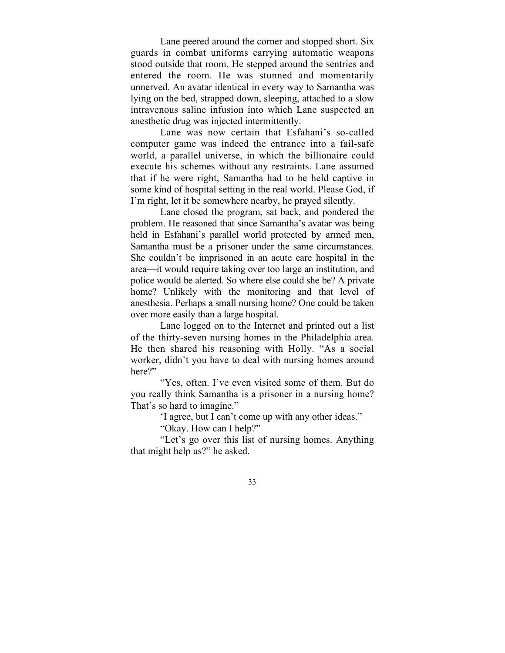Lane peered around the corner and stopped short. Six guards in combat uniforms carrying automatic weapons stood outside that room. He stepped around the sentries and entered the room. He was stunned and momentarily unnerved. An avatar identical in every way to Samantha was lying on the bed, strapped down, sleeping, attached to a slow intravenous saline infusion into which Lane suspected an anesthetic drug was injected intermittently.

Lane was now certain that Esfahani's so-called computer game was indeed the entrance into a fail-safe world, a parallel universe, in which the billionaire could execute his schemes without any restraints. Lane assumed that if he were right, Samantha had to be held captive in some kind of hospital setting in the real world. Please God, if I'm right, let it be somewhere nearby, he prayed silently.

Lane closed the program, sat back, and pondered the problem. He reasoned that since Samantha's avatar was being held in Esfahani's parallel world protected by armed men, Samantha must be a prisoner under the same circumstances. She couldn't be imprisoned in an acute care hospital in the area—it would require taking over too large an institution, and police would be alerted. So where else could she be? A private home? Unlikely with the monitoring and that level of anesthesia. Perhaps a small nursing home? One could be taken over more easily than a large hospital.

Lane logged on to the Internet and printed out a list of the thirty-seven nursing homes in the Philadelphia area. He then shared his reasoning with Holly. "As a social worker, didn't you have to deal with nursing homes around here?"

"Yes, often. I've even visited some of them. But do you really think Samantha is a prisoner in a nursing home? That's so hard to imagine."

'I agree, but I can't come up with any other ideas."

"Okay. How can I help?"

"Let's go over this list of nursing homes. Anything that might help us?" he asked.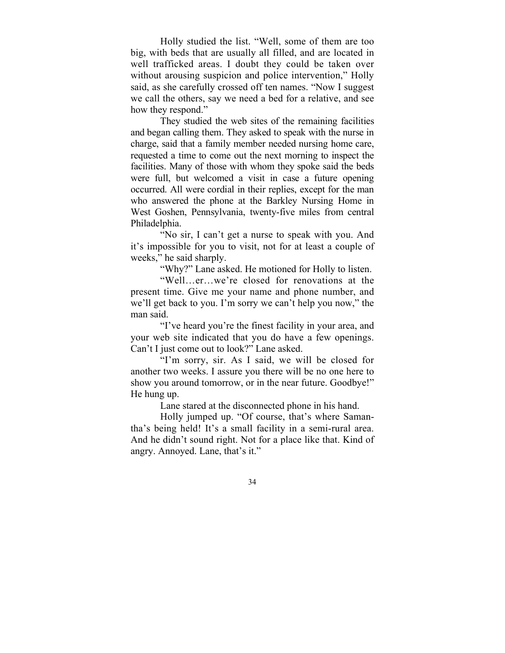Holly studied the list. "Well, some of them are too big, with beds that are usually all filled, and are located in well trafficked areas. I doubt they could be taken over without arousing suspicion and police intervention," Holly said, as she carefully crossed off ten names. "Now I suggest we call the others, say we need a bed for a relative, and see how they respond."

They studied the web sites of the remaining facilities and began calling them. They asked to speak with the nurse in charge, said that a family member needed nursing home care, requested a time to come out the next morning to inspect the facilities. Many of those with whom they spoke said the beds were full, but welcomed a visit in case a future opening occurred. All were cordial in their replies, except for the man who answered the phone at the Barkley Nursing Home in West Goshen, Pennsylvania, twenty-five miles from central Philadelphia.

"No sir, I can't get a nurse to speak with you. And it's impossible for you to visit, not for at least a couple of weeks," he said sharply.

"Why?" Lane asked. He motioned for Holly to listen.

"Well…er…we're closed for renovations at the present time. Give me your name and phone number, and we'll get back to you. I'm sorry we can't help you now," the man said.

"I've heard you're the finest facility in your area, and your web site indicated that you do have a few openings. Can't I just come out to look?" Lane asked.

"I'm sorry, sir. As I said, we will be closed for another two weeks. I assure you there will be no one here to show you around tomorrow, or in the near future. Goodbye!" He hung up.

Lane stared at the disconnected phone in his hand.

Holly jumped up. "Of course, that's where Samantha's being held! It's a small facility in a semi-rural area. And he didn't sound right. Not for a place like that. Kind of angry. Annoyed. Lane, that's it."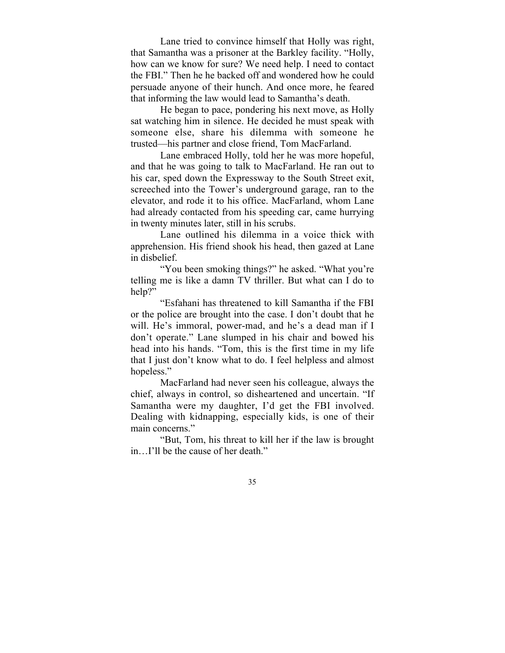Lane tried to convince himself that Holly was right, that Samantha was a prisoner at the Barkley facility. "Holly, how can we know for sure? We need help. I need to contact the FBI." Then he he backed off and wondered how he could persuade anyone of their hunch. And once more, he feared that informing the law would lead to Samantha's death.

He began to pace, pondering his next move, as Holly sat watching him in silence. He decided he must speak with someone else, share his dilemma with someone he trusted—his partner and close friend, Tom MacFarland.

Lane embraced Holly, told her he was more hopeful, and that he was going to talk to MacFarland. He ran out to his car, sped down the Expressway to the South Street exit, screeched into the Tower's underground garage, ran to the elevator, and rode it to his office. MacFarland, whom Lane had already contacted from his speeding car, came hurrying in twenty minutes later, still in his scrubs.

Lane outlined his dilemma in a voice thick with apprehension. His friend shook his head, then gazed at Lane in disbelief.

"You been smoking things?" he asked. "What you're telling me is like a damn TV thriller. But what can I do to help?"

"Esfahani has threatened to kill Samantha if the FBI or the police are brought into the case. I don't doubt that he will. He's immoral, power-mad, and he's a dead man if I don't operate." Lane slumped in his chair and bowed his head into his hands. "Tom, this is the first time in my life that I just don't know what to do. I feel helpless and almost hopeless."

MacFarland had never seen his colleague, always the chief, always in control, so disheartened and uncertain. "If Samantha were my daughter, I'd get the FBI involved. Dealing with kidnapping, especially kids, is one of their main concerns."

"But, Tom, his threat to kill her if the law is brought in…I'll be the cause of her death."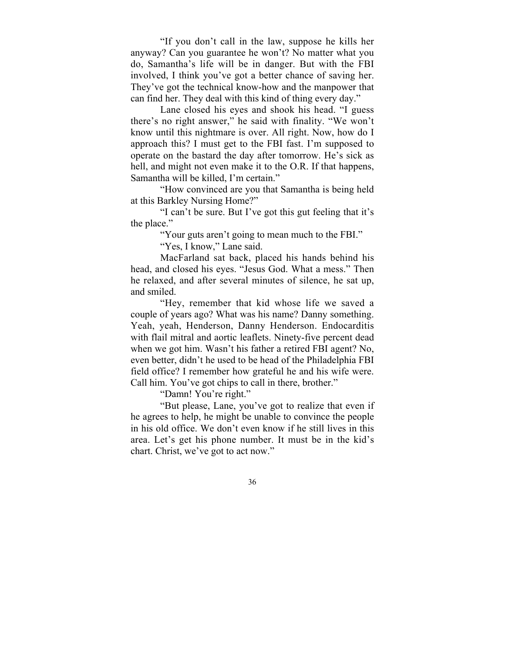"If you don't call in the law, suppose he kills her anyway? Can you guarantee he won't? No matter what you do, Samantha's life will be in danger. But with the FBI involved, I think you've got a better chance of saving her. They've got the technical know-how and the manpower that can find her. They deal with this kind of thing every day."

Lane closed his eyes and shook his head. "I guess there's no right answer," he said with finality. "We won't know until this nightmare is over. All right. Now, how do I approach this? I must get to the FBI fast. I'm supposed to operate on the bastard the day after tomorrow. He's sick as hell, and might not even make it to the O.R. If that happens, Samantha will be killed, I'm certain."

"How convinced are you that Samantha is being held at this Barkley Nursing Home?"

"I can't be sure. But I've got this gut feeling that it's the place."

"Your guts aren't going to mean much to the FBI."

"Yes, I know," Lane said.

MacFarland sat back, placed his hands behind his head, and closed his eyes. "Jesus God. What a mess." Then he relaxed, and after several minutes of silence, he sat up, and smiled.

"Hey, remember that kid whose life we saved a couple of years ago? What was his name? Danny something. Yeah, yeah, Henderson, Danny Henderson. Endocarditis with flail mitral and aortic leaflets. Ninety-five percent dead when we got him. Wasn't his father a retired FBI agent? No, even better, didn't he used to be head of the Philadelphia FBI field office? I remember how grateful he and his wife were. Call him. You've got chips to call in there, brother."

"Damn! You're right."

"But please, Lane, you've got to realize that even if he agrees to help, he might be unable to convince the people in his old office. We don't even know if he still lives in this area. Let's get his phone number. It must be in the kid's chart. Christ, we've got to act now."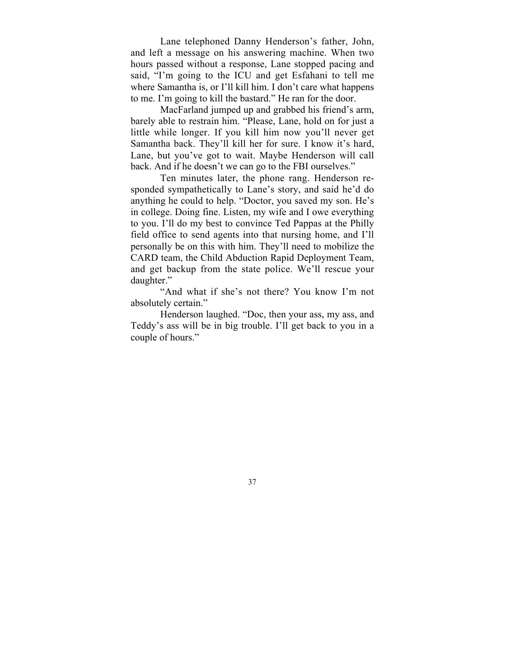Lane telephoned Danny Henderson's father, John, and left a message on his answering machine. When two hours passed without a response, Lane stopped pacing and said, "I'm going to the ICU and get Esfahani to tell me where Samantha is, or I'll kill him. I don't care what happens to me. I'm going to kill the bastard." He ran for the door.

MacFarland jumped up and grabbed his friend's arm, barely able to restrain him. "Please, Lane, hold on for just a little while longer. If you kill him now you'll never get Samantha back. They'll kill her for sure. I know it's hard, Lane, but you've got to wait. Maybe Henderson will call back. And if he doesn't we can go to the FBI ourselves."

Ten minutes later, the phone rang. Henderson responded sympathetically to Lane's story, and said he'd do anything he could to help. "Doctor, you saved my son. He's in college. Doing fine. Listen, my wife and I owe everything to you. I'll do my best to convince Ted Pappas at the Philly field office to send agents into that nursing home, and I'll personally be on this with him. They'll need to mobilize the CARD team, the Child Abduction Rapid Deployment Team, and get backup from the state police. We'll rescue your daughter."

"And what if she's not there? You know I'm not absolutely certain."

Henderson laughed. "Doc, then your ass, my ass, and Teddy's ass will be in big trouble. I'll get back to you in a couple of hours."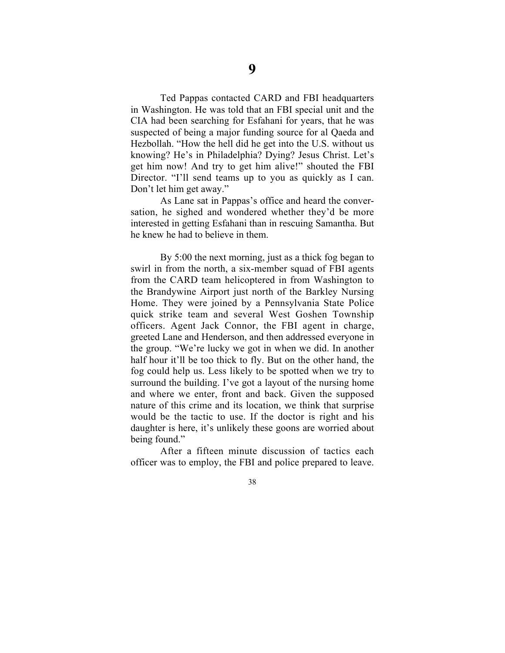Ted Pappas contacted CARD and FBI headquarters in Washington. He was told that an FBI special unit and the CIA had been searching for Esfahani for years, that he was suspected of being a major funding source for al Qaeda and Hezbollah. "How the hell did he get into the U.S. without us knowing? He's in Philadelphia? Dying? Jesus Christ. Let's get him now! And try to get him alive!" shouted the FBI Director. "I'll send teams up to you as quickly as I can. Don't let him get away."

As Lane sat in Pappas's office and heard the conversation, he sighed and wondered whether they'd be more interested in getting Esfahani than in rescuing Samantha. But he knew he had to believe in them.

By 5:00 the next morning, just as a thick fog began to swirl in from the north, a six-member squad of FBI agents from the CARD team helicoptered in from Washington to the Brandywine Airport just north of the Barkley Nursing Home. They were joined by a Pennsylvania State Police quick strike team and several West Goshen Township officers. Agent Jack Connor, the FBI agent in charge, greeted Lane and Henderson, and then addressed everyone in the group. "We're lucky we got in when we did. In another half hour it'll be too thick to fly. But on the other hand, the fog could help us. Less likely to be spotted when we try to surround the building. I've got a layout of the nursing home and where we enter, front and back. Given the supposed nature of this crime and its location, we think that surprise would be the tactic to use. If the doctor is right and his daughter is here, it's unlikely these goons are worried about being found."

After a fifteen minute discussion of tactics each officer was to employ, the FBI and police prepared to leave.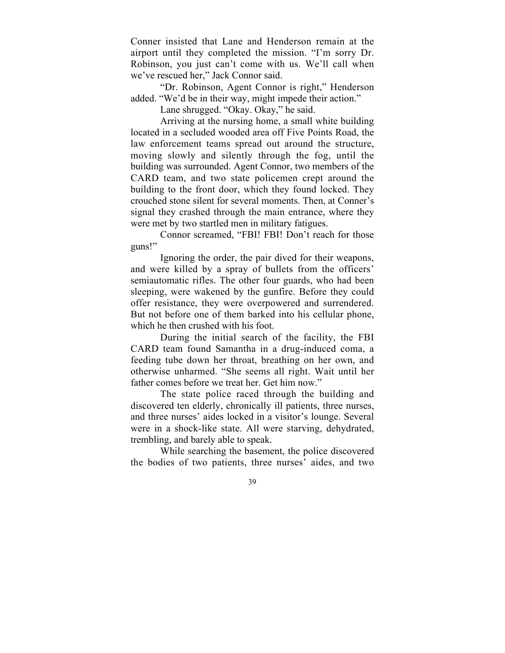Conner insisted that Lane and Henderson remain at the airport until they completed the mission. "I'm sorry Dr. Robinson, you just can't come with us. We'll call when we've rescued her," Jack Connor said.

"Dr. Robinson, Agent Connor is right," Henderson added. "We'd be in their way, might impede their action."

Lane shrugged. "Okay. Okay," he said.

Arriving at the nursing home, a small white building located in a secluded wooded area off Five Points Road, the law enforcement teams spread out around the structure, moving slowly and silently through the fog, until the building was surrounded. Agent Connor, two members of the CARD team, and two state policemen crept around the building to the front door, which they found locked. They crouched stone silent for several moments. Then, at Conner's signal they crashed through the main entrance, where they were met by two startled men in military fatigues.

Connor screamed, "FBI! FBI! Don't reach for those guns!"

Ignoring the order, the pair dived for their weapons, and were killed by a spray of bullets from the officers' semiautomatic rifles. The other four guards, who had been sleeping, were wakened by the gunfire. Before they could offer resistance, they were overpowered and surrendered. But not before one of them barked into his cellular phone, which he then crushed with his foot.

During the initial search of the facility, the FBI CARD team found Samantha in a drug-induced coma, a feeding tube down her throat, breathing on her own, and otherwise unharmed. "She seems all right. Wait until her father comes before we treat her. Get him now."

The state police raced through the building and discovered ten elderly, chronically ill patients, three nurses, and three nurses' aides locked in a visitor's lounge. Several were in a shock-like state. All were starving, dehydrated, trembling, and barely able to speak.

While searching the basement, the police discovered the bodies of two patients, three nurses' aides, and two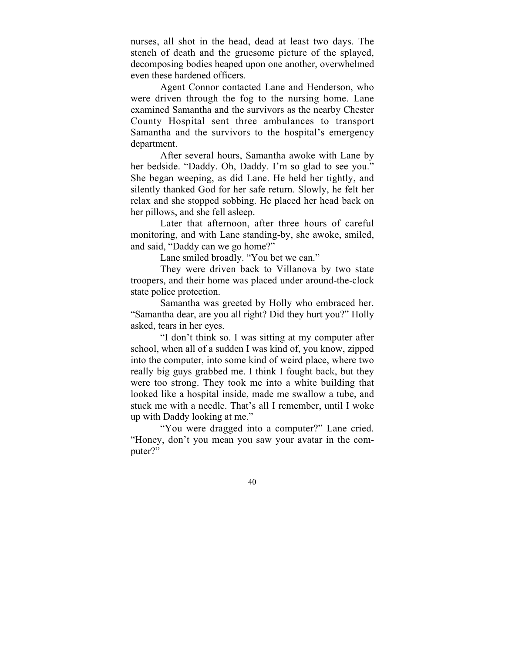nurses, all shot in the head, dead at least two days. The stench of death and the gruesome picture of the splayed, decomposing bodies heaped upon one another, overwhelmed even these hardened officers.

Agent Connor contacted Lane and Henderson, who were driven through the fog to the nursing home. Lane examined Samantha and the survivors as the nearby Chester County Hospital sent three ambulances to transport Samantha and the survivors to the hospital's emergency department.

After several hours, Samantha awoke with Lane by her bedside. "Daddy. Oh, Daddy. I'm so glad to see you." She began weeping, as did Lane. He held her tightly, and silently thanked God for her safe return. Slowly, he felt her relax and she stopped sobbing. He placed her head back on her pillows, and she fell asleep.

Later that afternoon, after three hours of careful monitoring, and with Lane standing-by, she awoke, smiled, and said, "Daddy can we go home?"

Lane smiled broadly. "You bet we can."

They were driven back to Villanova by two state troopers, and their home was placed under around-the-clock state police protection.

Samantha was greeted by Holly who embraced her. "Samantha dear, are you all right? Did they hurt you?" Holly asked, tears in her eyes.

"I don't think so. I was sitting at my computer after school, when all of a sudden I was kind of, you know, zipped into the computer, into some kind of weird place, where two really big guys grabbed me. I think I fought back, but they were too strong. They took me into a white building that looked like a hospital inside, made me swallow a tube, and stuck me with a needle. That's all I remember, until I woke up with Daddy looking at me."

"You were dragged into a computer?" Lane cried. "Honey, don't you mean you saw your avatar in the computer?"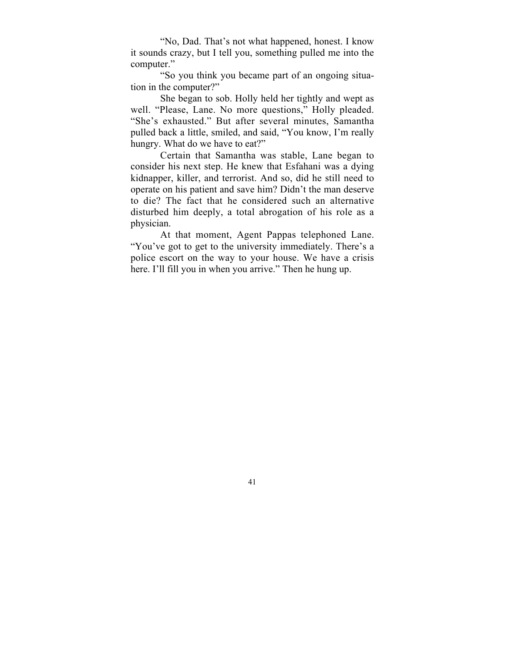"No, Dad. That's not what happened, honest. I know it sounds crazy, but I tell you, something pulled me into the computer."

"So you think you became part of an ongoing situation in the computer?"

She began to sob. Holly held her tightly and wept as well. "Please, Lane. No more questions," Holly pleaded. "She's exhausted." But after several minutes, Samantha pulled back a little, smiled, and said, "You know, I'm really hungry. What do we have to eat?"

Certain that Samantha was stable, Lane began to consider his next step. He knew that Esfahani was a dying kidnapper, killer, and terrorist. And so, did he still need to operate on his patient and save him? Didn't the man deserve to die? The fact that he considered such an alternative disturbed him deeply, a total abrogation of his role as a physician.

At that moment, Agent Pappas telephoned Lane. "You've got to get to the university immediately. There's a police escort on the way to your house. We have a crisis here. I'll fill you in when you arrive." Then he hung up.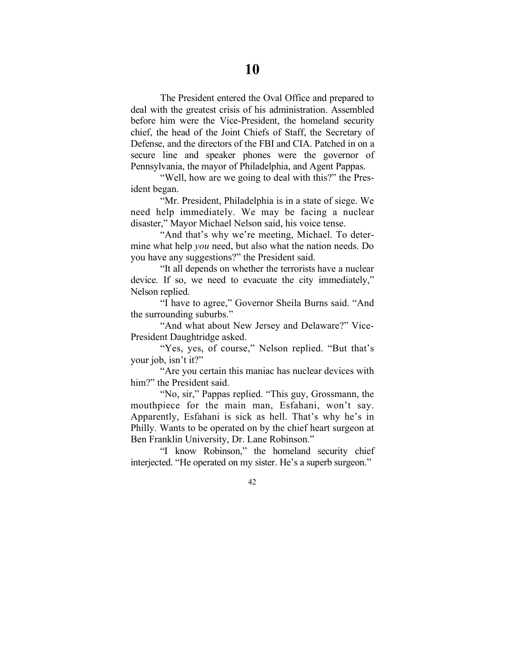The President entered the Oval Office and prepared to deal with the greatest crisis of his administration. Assembled before him were the Vice-President, the homeland security chief, the head of the Joint Chiefs of Staff, the Secretary of Defense, and the directors of the FBI and CIA. Patched in on a secure line and speaker phones were the governor of Pennsylvania, the mayor of Philadelphia, and Agent Pappas.

"Well, how are we going to deal with this?" the President began.

"Mr. President, Philadelphia is in a state of siege. We need help immediately. We may be facing a nuclear disaster," Mayor Michael Nelson said, his voice tense.

"And that's why we're meeting, Michael. To determine what help *you* need, but also what the nation needs. Do you have any suggestions?" the President said.

"It all depends on whether the terrorists have a nuclear device. If so, we need to evacuate the city immediately," Nelson replied.

"I have to agree," Governor Sheila Burns said. "And the surrounding suburbs."

"And what about New Jersey and Delaware?" Vice-President Daughtridge asked.

"Yes, yes, of course," Nelson replied. "But that's your job, isn't it?"

"Are you certain this maniac has nuclear devices with him?" the President said.

"No, sir," Pappas replied. "This guy, Grossmann, the mouthpiece for the main man, Esfahani, won't say. Apparently, Esfahani is sick as hell. That's why he's in Philly. Wants to be operated on by the chief heart surgeon at Ben Franklin University, Dr. Lane Robinson."

"I know Robinson," the homeland security chief interjected. "He operated on my sister. He's a superb surgeon."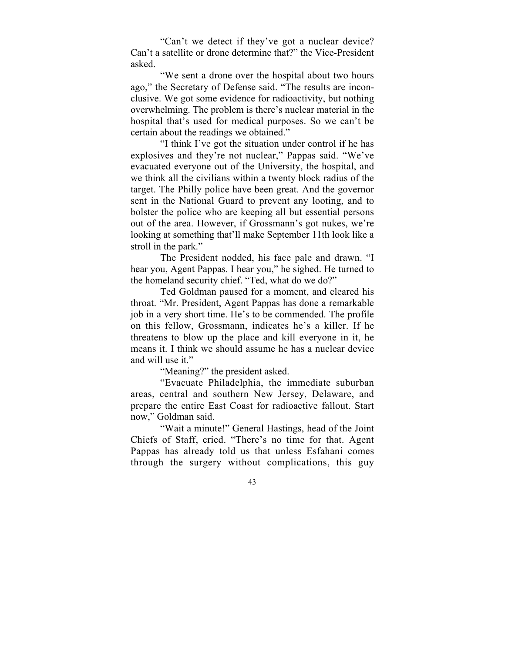"Can't we detect if they've got a nuclear device? Can't a satellite or drone determine that?" the Vice-President asked.

"We sent a drone over the hospital about two hours ago," the Secretary of Defense said. "The results are inconclusive. We got some evidence for radioactivity, but nothing overwhelming. The problem is there's nuclear material in the hospital that's used for medical purposes. So we can't be certain about the readings we obtained."

"I think I've got the situation under control if he has explosives and they're not nuclear," Pappas said. "We've evacuated everyone out of the University, the hospital, and we think all the civilians within a twenty block radius of the target. The Philly police have been great. And the governor sent in the National Guard to prevent any looting, and to bolster the police who are keeping all but essential persons out of the area. However, if Grossmann's got nukes, we're looking at something that'll make September 11th look like a stroll in the park."

The President nodded, his face pale and drawn. "I hear you, Agent Pappas. I hear you," he sighed. He turned to the homeland security chief. "Ted, what do we do?"

Ted Goldman paused for a moment, and cleared his throat. "Mr. President, Agent Pappas has done a remarkable job in a very short time. He's to be commended. The profile on this fellow, Grossmann, indicates he's a killer. If he threatens to blow up the place and kill everyone in it, he means it. I think we should assume he has a nuclear device and will use it."

"Meaning?" the president asked.

"Evacuate Philadelphia, the immediate suburban areas, central and southern New Jersey, Delaware, and prepare the entire East Coast for radioactive fallout. Start now," Goldman said.

"Wait a minute!" General Hastings, head of the Joint Chiefs of Staff, cried. "There's no time for that. Agent Pappas has already told us that unless Esfahani comes through the surgery without complications, this guy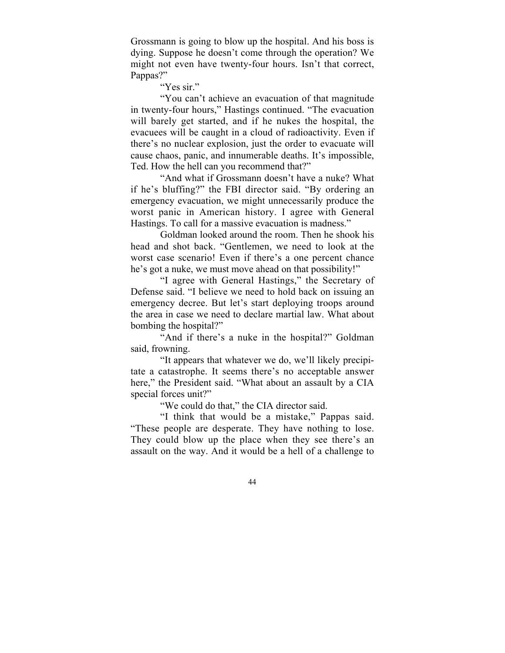Grossmann is going to blow up the hospital. And his boss is dying. Suppose he doesn't come through the operation? We might not even have twenty-four hours. Isn't that correct, Pappas?"

"Yes sir."

"You can't achieve an evacuation of that magnitude in twenty-four hours," Hastings continued. "The evacuation will barely get started, and if he nukes the hospital, the evacuees will be caught in a cloud of radioactivity. Even if there's no nuclear explosion, just the order to evacuate will cause chaos, panic, and innumerable deaths. It's impossible, Ted. How the hell can you recommend that?"

"And what if Grossmann doesn't have a nuke? What if he's bluffing?" the FBI director said. "By ordering an emergency evacuation, we might unnecessarily produce the worst panic in American history. I agree with General Hastings. To call for a massive evacuation is madness."

Goldman looked around the room. Then he shook his head and shot back. "Gentlemen, we need to look at the worst case scenario! Even if there's a one percent chance he's got a nuke, we must move ahead on that possibility!"

"I agree with General Hastings," the Secretary of Defense said. "I believe we need to hold back on issuing an emergency decree. But let's start deploying troops around the area in case we need to declare martial law. What about bombing the hospital?"

"And if there's a nuke in the hospital?" Goldman said, frowning.

"It appears that whatever we do, we'll likely precipitate a catastrophe. It seems there's no acceptable answer here," the President said. "What about an assault by a CIA special forces unit?"

"We could do that," the CIA director said.

"I think that would be a mistake," Pappas said. "These people are desperate. They have nothing to lose. They could blow up the place when they see there's an assault on the way. And it would be a hell of a challenge to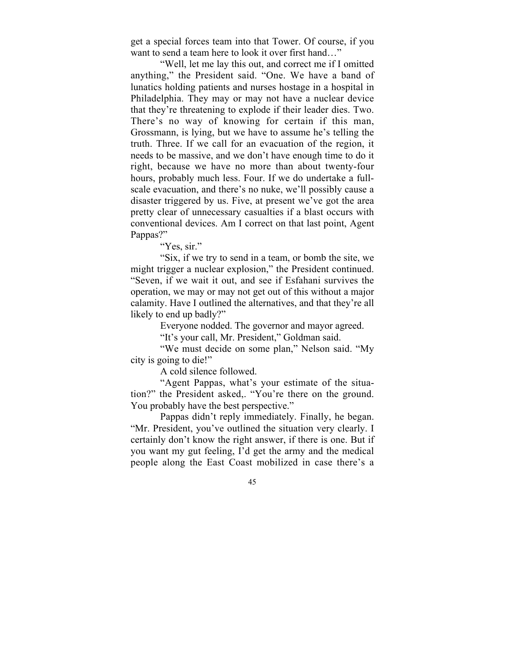get a special forces team into that Tower. Of course, if you want to send a team here to look it over first hand…"

"Well, let me lay this out, and correct me if I omitted anything," the President said. "One. We have a band of lunatics holding patients and nurses hostage in a hospital in Philadelphia. They may or may not have a nuclear device that they're threatening to explode if their leader dies. Two. There's no way of knowing for certain if this man, Grossmann, is lying, but we have to assume he's telling the truth. Three. If we call for an evacuation of the region, it needs to be massive, and we don't have enough time to do it right, because we have no more than about twenty-four hours, probably much less. Four. If we do undertake a fullscale evacuation, and there's no nuke, we'll possibly cause a disaster triggered by us. Five, at present we've got the area pretty clear of unnecessary casualties if a blast occurs with conventional devices. Am I correct on that last point, Agent Pappas?"

"Yes, sir."

"Six, if we try to send in a team, or bomb the site, we might trigger a nuclear explosion," the President continued. "Seven, if we wait it out, and see if Esfahani survives the operation, we may or may not get out of this without a major calamity. Have I outlined the alternatives, and that they're all likely to end up badly?"

Everyone nodded. The governor and mayor agreed.

"It's your call, Mr. President," Goldman said.

"We must decide on some plan," Nelson said. "My city is going to die!"

A cold silence followed.

"Agent Pappas, what's your estimate of the situation?" the President asked,. "You're there on the ground. You probably have the best perspective."

Pappas didn't reply immediately. Finally, he began. "Mr. President, you've outlined the situation very clearly. I certainly don't know the right answer, if there is one. But if you want my gut feeling, I'd get the army and the medical people along the East Coast mobilized in case there's a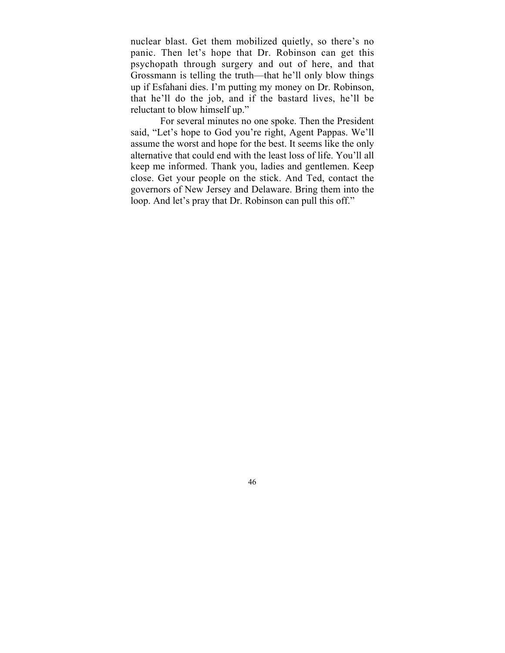nuclear blast. Get them mobilized quietly, so there's no panic. Then let's hope that Dr. Robinson can get this psychopath through surgery and out of here, and that Grossmann is telling the truth—that he'll only blow things up if Esfahani dies. I'm putting my money on Dr. Robinson, that he'll do the job, and if the bastard lives, he'll be reluctant to blow himself up."

For several minutes no one spoke. Then the President said, "Let's hope to God you're right, Agent Pappas. We'll assume the worst and hope for the best. It seems like the only alternative that could end with the least loss of life. You'll all keep me informed. Thank you, ladies and gentlemen. Keep close. Get your people on the stick. And Ted, contact the governors of New Jersey and Delaware. Bring them into the loop. And let's pray that Dr. Robinson can pull this off."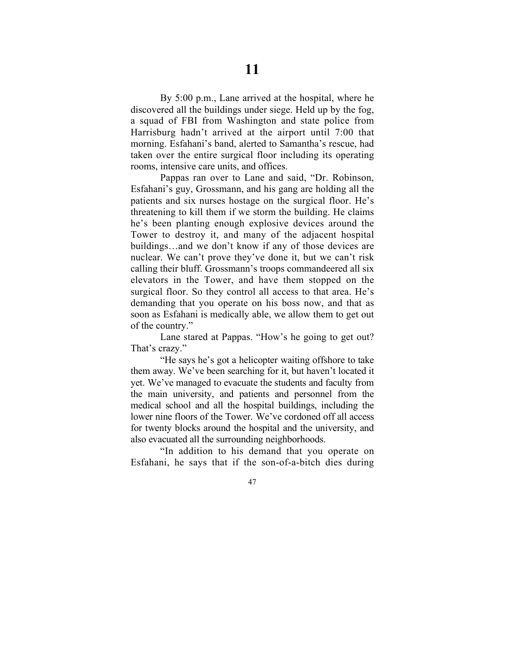By 5:00 p.m., Lane arrived at the hospital, where he discovered all the buildings under siege. Held up by the fog, a squad of FBI from Washington and state police from Harrisburg hadn't arrived at the airport until 7:00 that morning. Esfahani's band, alerted to Samantha's rescue, had taken over the entire surgical floor including its operating rooms, intensive care units, and offices.

Pappas ran over to Lane and said, "Dr. Robinson, Esfahani's guy, Grossmann, and his gang are holding all the patients and six nurses hostage on the surgical floor. He's threatening to kill them if we storm the building. He claims he's been planting enough explosive devices around the Tower to destroy it, and many of the adjacent hospital buildings…and we don't know if any of those devices are nuclear. We can't prove they've done it, but we can't risk calling their bluff. Grossmann's troops commandeered all six elevators in the Tower, and have them stopped on the surgical floor. So they control all access to that area. He's demanding that you operate on his boss now, and that as soon as Esfahani is medically able, we allow them to get out of the country."

Lane stared at Pappas. "How's he going to get out? That's crazy."

"He says he's got a helicopter waiting offshore to take them away. We've been searching for it, but haven't located it yet. We've managed to evacuate the students and faculty from the main university, and patients and personnel from the medical school and all the hospital buildings, including the lower nine floors of the Tower. We've cordoned off all access for twenty blocks around the hospital and the university, and also evacuated all the surrounding neighborhoods.

"In addition to his demand that you operate on Esfahani, he says that if the son-of-a-bitch dies during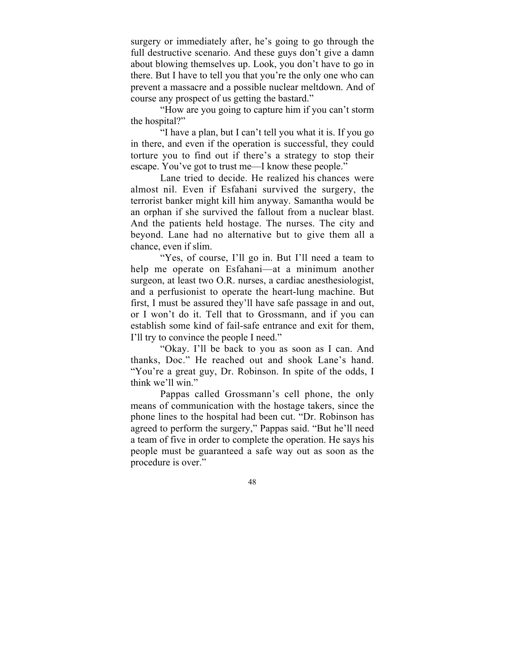surgery or immediately after, he's going to go through the full destructive scenario. And these guys don't give a damn about blowing themselves up. Look, you don't have to go in there. But I have to tell you that you're the only one who can prevent a massacre and a possible nuclear meltdown. And of course any prospect of us getting the bastard."

"How are you going to capture him if you can't storm the hospital?"

"I have a plan, but I can't tell you what it is. If you go in there, and even if the operation is successful, they could torture you to find out if there's a strategy to stop their escape. You've got to trust me—I know these people."

Lane tried to decide. He realized his chances were almost nil. Even if Esfahani survived the surgery, the terrorist banker might kill him anyway. Samantha would be an orphan if she survived the fallout from a nuclear blast. And the patients held hostage. The nurses. The city and beyond. Lane had no alternative but to give them all a chance, even if slim.

"Yes, of course, I'll go in. But I'll need a team to help me operate on Esfahani—at a minimum another surgeon, at least two O.R. nurses, a cardiac anesthesiologist, and a perfusionist to operate the heart-lung machine. But first, I must be assured they'll have safe passage in and out, or I won't do it. Tell that to Grossmann, and if you can establish some kind of fail-safe entrance and exit for them, I'll try to convince the people I need."

"Okay. I'll be back to you as soon as I can. And thanks, Doc." He reached out and shook Lane's hand. "You're a great guy, Dr. Robinson. In spite of the odds, I think we'll win."

Pappas called Grossmann's cell phone, the only means of communication with the hostage takers, since the phone lines to the hospital had been cut. "Dr. Robinson has agreed to perform the surgery," Pappas said. "But he'll need a team of five in order to complete the operation. He says his people must be guaranteed a safe way out as soon as the procedure is over."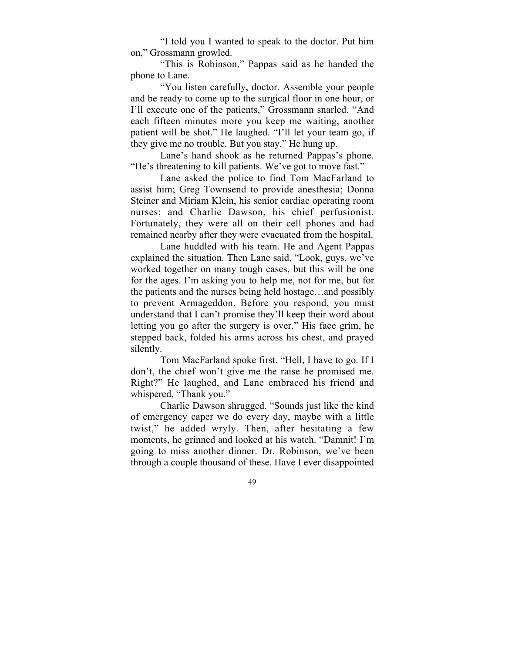"I told you I wanted to speak to the doctor. Put him on," Grossmann growled.

"This is Robinson," Pappas said as he handed the phone to Lane.

"You listen carefully, doctor. Assemble your people and be ready to come up to the surgical floor in one hour, or I'll execute one of the patients," Grossmann snarled. "And each fifteen minutes more you keep me waiting, another patient will be shot." He laughed. "I'll let your team go, if they give me no trouble. But you stay." He hung up.

Lane's hand shook as he returned Pappas's phone. "He's threatening to kill patients. We've got to move fast."

Lane asked the police to find Tom MacFarland to assist him; Greg Townsend to provide anesthesia; Donna Steiner and Miriam Klein, his senior cardiac operating room nurses; and Charlie Dawson, his chief perfusionist. Fortunately, they were all on their cell phones and had remained nearby after they were evacuated from the hospital.

Lane huddled with his team. He and Agent Pappas explained the situation. Then Lane said, "Look, guys, we've worked together on many tough cases, but this will be one for the ages. I'm asking you to help me, not for me, but for the patients and the nurses being held hostage…and possibly to prevent Armageddon. Before you respond, you must understand that I can't promise they'll keep their word about letting you go after the surgery is over." His face grim, he stepped back, folded his arms across his chest, and prayed silently.

Tom MacFarland spoke first. "Hell, I have to go. If I don't, the chief won't give me the raise he promised me. Right?" He laughed, and Lane embraced his friend and whispered, "Thank you."

Charlie Dawson shrugged. "Sounds just like the kind of emergency caper we do every day, maybe with a little twist," he added wryly. Then, after hesitating a few moments, he grinned and looked at his watch. "Damnit! I'm going to miss another dinner. Dr. Robinson, we've been through a couple thousand of these. Have I ever disappointed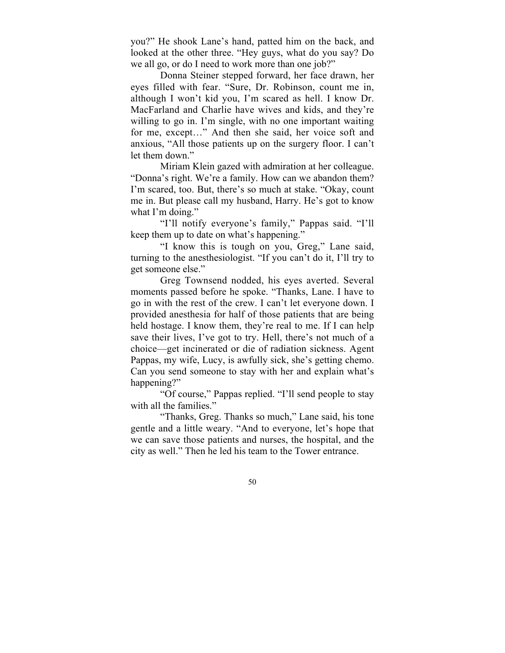you?" He shook Lane's hand, patted him on the back, and looked at the other three. "Hey guys, what do you say? Do we all go, or do I need to work more than one job?"

Donna Steiner stepped forward, her face drawn, her eyes filled with fear. "Sure, Dr. Robinson, count me in, although I won't kid you, I'm scared as hell. I know Dr. MacFarland and Charlie have wives and kids, and they're willing to go in. I'm single, with no one important waiting for me, except…" And then she said, her voice soft and anxious, "All those patients up on the surgery floor. I can't let them down."

Miriam Klein gazed with admiration at her colleague. "Donna's right. We're a family. How can we abandon them? I'm scared, too. But, there's so much at stake. "Okay, count me in. But please call my husband, Harry. He's got to know what I'm doing."

"I'll notify everyone's family," Pappas said. "I'll keep them up to date on what's happening."

"I know this is tough on you, Greg," Lane said, turning to the anesthesiologist. "If you can't do it, I'll try to get someone else."

Greg Townsend nodded, his eyes averted. Several moments passed before he spoke. "Thanks, Lane. I have to go in with the rest of the crew. I can't let everyone down. I provided anesthesia for half of those patients that are being held hostage. I know them, they're real to me. If I can help save their lives, I've got to try. Hell, there's not much of a choice—get incinerated or die of radiation sickness. Agent Pappas, my wife, Lucy, is awfully sick, she's getting chemo. Can you send someone to stay with her and explain what's happening?"

"Of course," Pappas replied. "I'll send people to stay with all the families."

"Thanks, Greg. Thanks so much," Lane said, his tone gentle and a little weary. "And to everyone, let's hope that we can save those patients and nurses, the hospital, and the city as well." Then he led his team to the Tower entrance.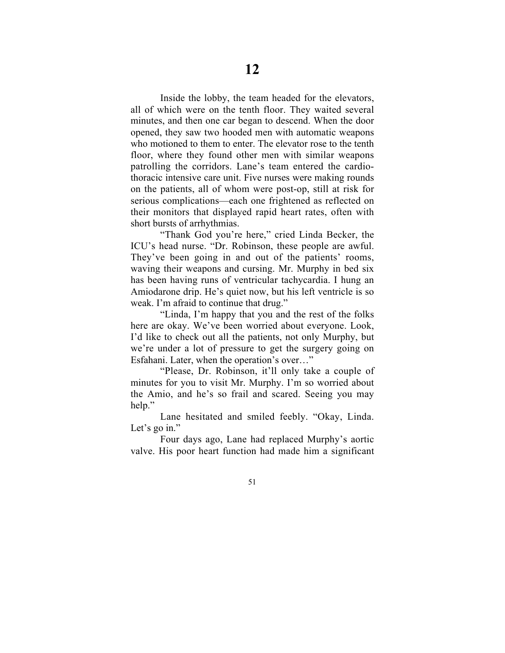Inside the lobby, the team headed for the elevators, all of which were on the tenth floor. They waited several minutes, and then one car began to descend. When the door opened, they saw two hooded men with automatic weapons who motioned to them to enter. The elevator rose to the tenth floor, where they found other men with similar weapons patrolling the corridors. Lane's team entered the cardiothoracic intensive care unit. Five nurses were making rounds on the patients, all of whom were post-op, still at risk for serious complications—each one frightened as reflected on their monitors that displayed rapid heart rates, often with short bursts of arrhythmias.

"Thank God you're here," cried Linda Becker, the ICU's head nurse. "Dr. Robinson, these people are awful. They've been going in and out of the patients' rooms, waving their weapons and cursing. Mr. Murphy in bed six has been having runs of ventricular tachycardia. I hung an Amiodarone drip. He's quiet now, but his left ventricle is so weak. I'm afraid to continue that drug."

"Linda, I'm happy that you and the rest of the folks here are okay. We've been worried about everyone. Look, I'd like to check out all the patients, not only Murphy, but we're under a lot of pressure to get the surgery going on Esfahani. Later, when the operation's over…"

"Please, Dr. Robinson, it'll only take a couple of minutes for you to visit Mr. Murphy. I'm so worried about the Amio, and he's so frail and scared. Seeing you may help."

Lane hesitated and smiled feebly. "Okay, Linda. Let's go in."

Four days ago, Lane had replaced Murphy's aortic valve. His poor heart function had made him a significant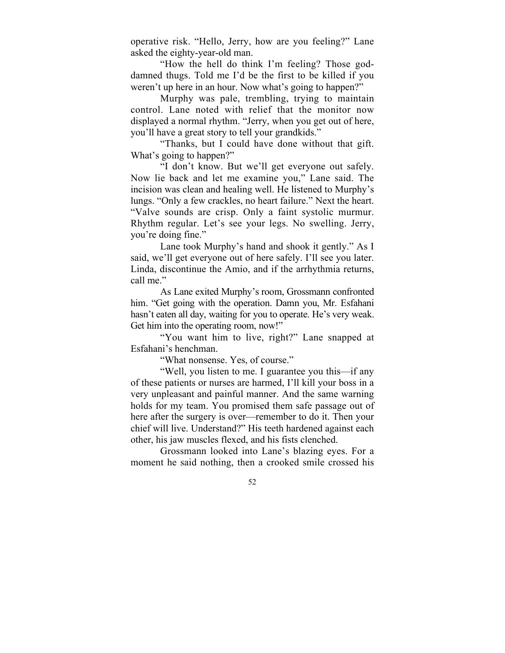operative risk. "Hello, Jerry, how are you feeling?" Lane asked the eighty-year-old man.

"How the hell do think I'm feeling? Those goddamned thugs. Told me I'd be the first to be killed if you weren't up here in an hour. Now what's going to happen?"

Murphy was pale, trembling, trying to maintain control. Lane noted with relief that the monitor now displayed a normal rhythm. "Jerry, when you get out of here, you'll have a great story to tell your grandkids."

"Thanks, but I could have done without that gift. What's going to happen?"

"I don't know. But we'll get everyone out safely. Now lie back and let me examine you," Lane said. The incision was clean and healing well. He listened to Murphy's lungs. "Only a few crackles, no heart failure." Next the heart. "Valve sounds are crisp. Only a faint systolic murmur. Rhythm regular. Let's see your legs. No swelling. Jerry, you're doing fine."

Lane took Murphy's hand and shook it gently." As I said, we'll get everyone out of here safely. I'll see you later. Linda, discontinue the Amio, and if the arrhythmia returns, call me."

As Lane exited Murphy's room, Grossmann confronted him. "Get going with the operation. Damn you, Mr. Esfahani hasn't eaten all day, waiting for you to operate. He's very weak. Get him into the operating room, now!"

"You want him to live, right?" Lane snapped at Esfahani's henchman.

"What nonsense. Yes, of course."

"Well, you listen to me. I guarantee you this—if any of these patients or nurses are harmed, I'll kill your boss in a very unpleasant and painful manner. And the same warning holds for my team. You promised them safe passage out of here after the surgery is over—remember to do it. Then your chief will live. Understand?" His teeth hardened against each other, his jaw muscles flexed, and his fists clenched.

Grossmann looked into Lane's blazing eyes. For a moment he said nothing, then a crooked smile crossed his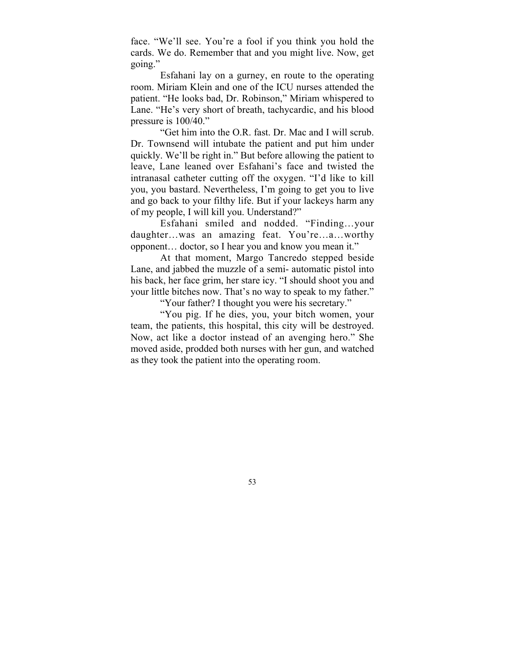face. "We'll see. You're a fool if you think you hold the cards. We do. Remember that and you might live. Now, get going."

Esfahani lay on a gurney, en route to the operating room. Miriam Klein and one of the ICU nurses attended the patient. "He looks bad, Dr. Robinson," Miriam whispered to Lane. "He's very short of breath, tachycardic, and his blood pressure is 100/40."

"Get him into the O.R. fast. Dr. Mac and I will scrub. Dr. Townsend will intubate the patient and put him under quickly. We'll be right in." But before allowing the patient to leave, Lane leaned over Esfahani's face and twisted the intranasal catheter cutting off the oxygen. "I'd like to kill you, you bastard. Nevertheless, I'm going to get you to live and go back to your filthy life. But if your lackeys harm any of my people, I will kill you. Understand?"

Esfahani smiled and nodded. "Finding…your daughter…was an amazing feat. You're…a…worthy opponent… doctor, so I hear you and know you mean it."

At that moment, Margo Tancredo stepped beside Lane, and jabbed the muzzle of a semi- automatic pistol into his back, her face grim, her stare icy. "I should shoot you and your little bitches now. That's no way to speak to my father."

"Your father? I thought you were his secretary."

"You pig. If he dies, you, your bitch women, your team, the patients, this hospital, this city will be destroyed. Now, act like a doctor instead of an avenging hero." She moved aside, prodded both nurses with her gun, and watched as they took the patient into the operating room.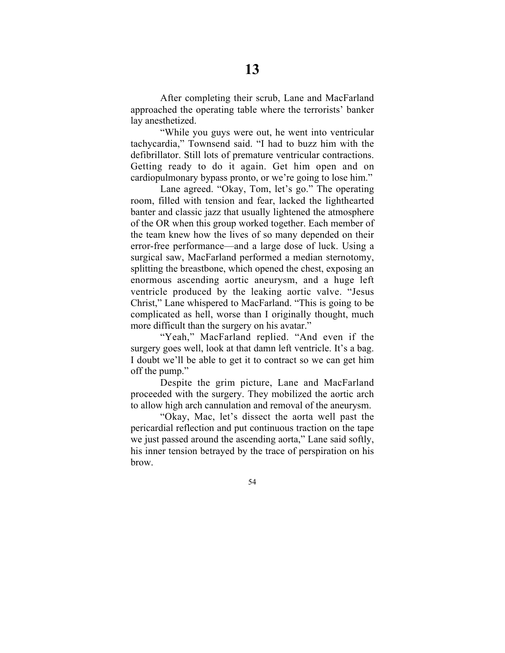After completing their scrub, Lane and MacFarland approached the operating table where the terrorists' banker lay anesthetized.

"While you guys were out, he went into ventricular tachycardia," Townsend said. "I had to buzz him with the defibrillator. Still lots of premature ventricular contractions. Getting ready to do it again. Get him open and on cardiopulmonary bypass pronto, or we're going to lose him."

Lane agreed. "Okay, Tom, let's go." The operating room, filled with tension and fear, lacked the lighthearted banter and classic jazz that usually lightened the atmosphere of the OR when this group worked together. Each member of the team knew how the lives of so many depended on their error-free performance—and a large dose of luck. Using a surgical saw, MacFarland performed a median sternotomy, splitting the breastbone, which opened the chest, exposing an enormous ascending aortic aneurysm, and a huge left ventricle produced by the leaking aortic valve. "Jesus Christ," Lane whispered to MacFarland. "This is going to be complicated as hell, worse than I originally thought, much more difficult than the surgery on his avatar."

"Yeah," MacFarland replied. "And even if the surgery goes well, look at that damn left ventricle. It's a bag. I doubt we'll be able to get it to contract so we can get him off the pump."

Despite the grim picture, Lane and MacFarland proceeded with the surgery. They mobilized the aortic arch to allow high arch cannulation and removal of the aneurysm.

"Okay, Mac, let's dissect the aorta well past the pericardial reflection and put continuous traction on the tape we just passed around the ascending aorta," Lane said softly, his inner tension betrayed by the trace of perspiration on his brow.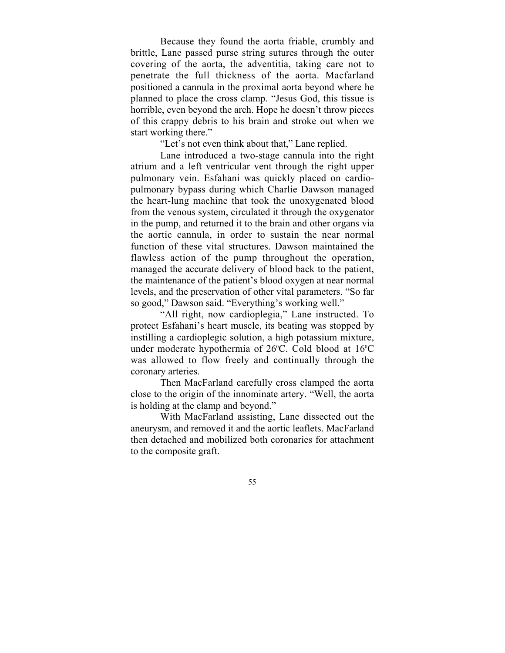Because they found the aorta friable, crumbly and brittle, Lane passed purse string sutures through the outer covering of the aorta, the adventitia, taking care not to penetrate the full thickness of the aorta. Macfarland positioned a cannula in the proximal aorta beyond where he planned to place the cross clamp. "Jesus God, this tissue is horrible, even beyond the arch. Hope he doesn't throw pieces of this crappy debris to his brain and stroke out when we start working there."

"Let's not even think about that," Lane replied.

Lane introduced a two-stage cannula into the right atrium and a left ventricular vent through the right upper pulmonary vein. Esfahani was quickly placed on cardiopulmonary bypass during which Charlie Dawson managed the heart-lung machine that took the unoxygenated blood from the venous system, circulated it through the oxygenator in the pump, and returned it to the brain and other organs via the aortic cannula, in order to sustain the near normal function of these vital structures. Dawson maintained the flawless action of the pump throughout the operation, managed the accurate delivery of blood back to the patient, the maintenance of the patient's blood oxygen at near normal levels, and the preservation of other vital parameters. "So far so good," Dawson said. "Everything's working well."

"All right, now cardioplegia," Lane instructed. To protect Esfahani's heart muscle, its beating was stopped by instilling a cardioplegic solution, a high potassium mixture, under moderate hypothermia of 26°C. Cold blood at 16°C was allowed to flow freely and continually through the coronary arteries.

Then MacFarland carefully cross clamped the aorta close to the origin of the innominate artery. "Well, the aorta is holding at the clamp and beyond."

With MacFarland assisting, Lane dissected out the aneurysm, and removed it and the aortic leaflets. MacFarland then detached and mobilized both coronaries for attachment to the composite graft.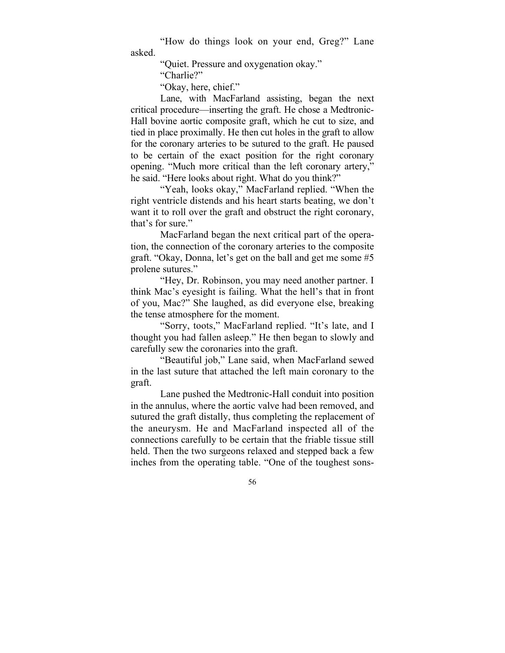"How do things look on your end, Greg?" Lane asked.

"Quiet. Pressure and oxygenation okay."

"Charlie?"

"Okay, here, chief."

Lane, with MacFarland assisting, began the next critical procedure—inserting the graft. He chose a Medtronic-Hall bovine aortic composite graft, which he cut to size, and tied in place proximally. He then cut holes in the graft to allow for the coronary arteries to be sutured to the graft. He paused to be certain of the exact position for the right coronary opening. "Much more critical than the left coronary artery," he said. "Here looks about right. What do you think?"

"Yeah, looks okay," MacFarland replied. "When the right ventricle distends and his heart starts beating, we don't want it to roll over the graft and obstruct the right coronary, that's for sure."

MacFarland began the next critical part of the operation, the connection of the coronary arteries to the composite graft. "Okay, Donna, let's get on the ball and get me some #5 prolene sutures."

"Hey, Dr. Robinson, you may need another partner. I think Mac's eyesight is failing. What the hell's that in front of you, Mac?" She laughed, as did everyone else, breaking the tense atmosphere for the moment.

"Sorry, toots," MacFarland replied. "It's late, and I thought you had fallen asleep." He then began to slowly and carefully sew the coronaries into the graft.

"Beautiful job," Lane said, when MacFarland sewed in the last suture that attached the left main coronary to the graft.

Lane pushed the Medtronic-Hall conduit into position in the annulus, where the aortic valve had been removed, and sutured the graft distally, thus completing the replacement of the aneurysm. He and MacFarland inspected all of the connections carefully to be certain that the friable tissue still held. Then the two surgeons relaxed and stepped back a few inches from the operating table. "One of the toughest sons-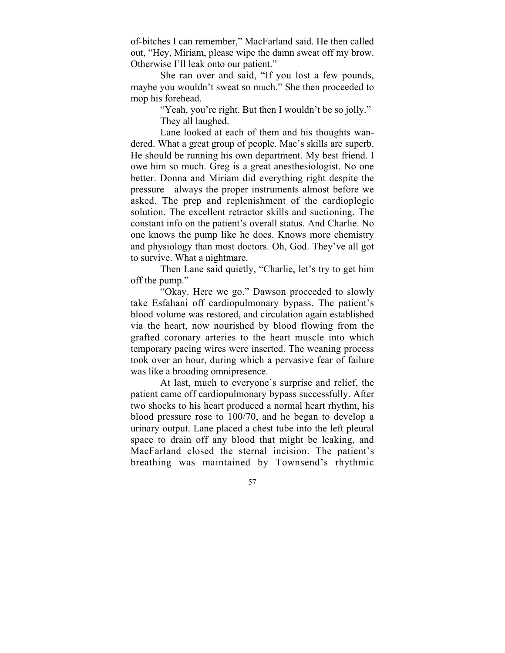of-bitches I can remember," MacFarland said. He then called out, "Hey, Miriam, please wipe the damn sweat off my brow. Otherwise I'll leak onto our patient."

She ran over and said, "If you lost a few pounds, maybe you wouldn't sweat so much." She then proceeded to mop his forehead.

> "Yeah, you're right. But then I wouldn't be so jolly." They all laughed.

Lane looked at each of them and his thoughts wandered. What a great group of people. Mac's skills are superb. He should be running his own department. My best friend. I owe him so much. Greg is a great anesthesiologist. No one better. Donna and Miriam did everything right despite the pressure—always the proper instruments almost before we asked. The prep and replenishment of the cardioplegic solution. The excellent retractor skills and suctioning. The constant info on the patient's overall status. And Charlie. No one knows the pump like he does. Knows more chemistry and physiology than most doctors. Oh, God. They've all got to survive. What a nightmare.

Then Lane said quietly, "Charlie, let's try to get him off the pump."

"Okay. Here we go." Dawson proceeded to slowly take Esfahani off cardiopulmonary bypass. The patient's blood volume was restored, and circulation again established via the heart, now nourished by blood flowing from the grafted coronary arteries to the heart muscle into which temporary pacing wires were inserted. The weaning process took over an hour, during which a pervasive fear of failure was like a brooding omnipresence.

At last, much to everyone's surprise and relief, the patient came off cardiopulmonary bypass successfully. After two shocks to his heart produced a normal heart rhythm, his blood pressure rose to 100/70, and he began to develop a urinary output. Lane placed a chest tube into the left pleural space to drain off any blood that might be leaking, and MacFarland closed the sternal incision. The patient's breathing was maintained by Townsend's rhythmic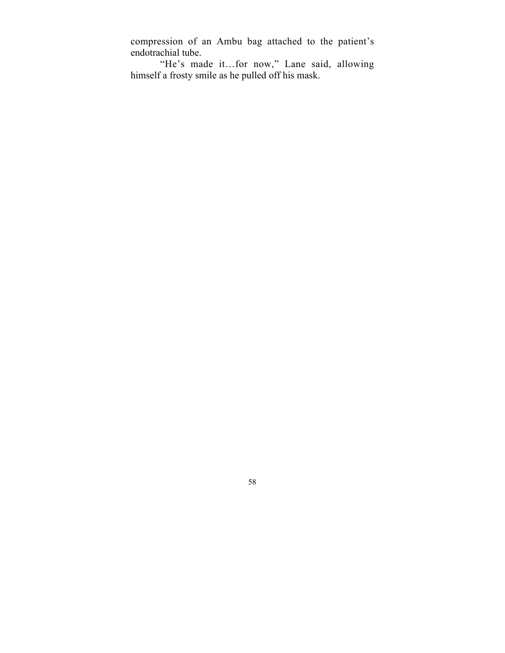compression of an Ambu bag attached to the patient's endotrachial tube.

"He's made it…for now," Lane said, allowing himself a frosty smile as he pulled off his mask.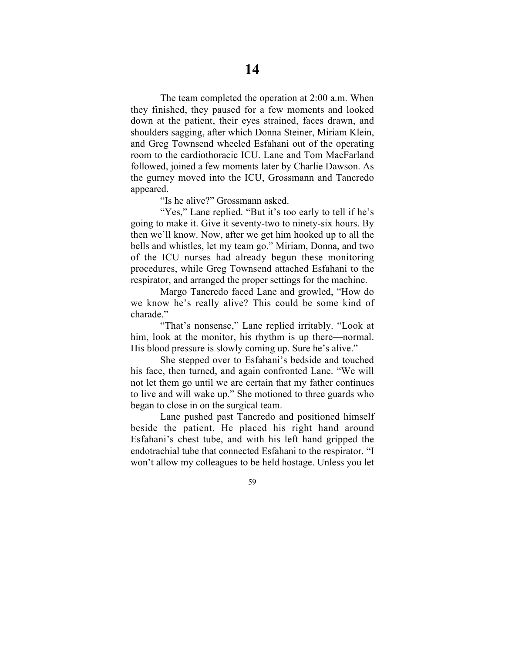The team completed the operation at 2:00 a.m. When they finished, they paused for a few moments and looked down at the patient, their eyes strained, faces drawn, and shoulders sagging, after which Donna Steiner, Miriam Klein, and Greg Townsend wheeled Esfahani out of the operating room to the cardiothoracic ICU. Lane and Tom MacFarland followed, joined a few moments later by Charlie Dawson. As the gurney moved into the ICU, Grossmann and Tancredo appeared.

"Is he alive?" Grossmann asked.

"Yes," Lane replied. "But it's too early to tell if he's going to make it. Give it seventy-two to ninety-six hours. By then we'll know. Now, after we get him hooked up to all the bells and whistles, let my team go." Miriam, Donna, and two of the ICU nurses had already begun these monitoring procedures, while Greg Townsend attached Esfahani to the respirator, and arranged the proper settings for the machine.

Margo Tancredo faced Lane and growled, "How do we know he's really alive? This could be some kind of charade."

"That's nonsense," Lane replied irritably. "Look at him, look at the monitor, his rhythm is up there—normal. His blood pressure is slowly coming up. Sure he's alive."

She stepped over to Esfahani's bedside and touched his face, then turned, and again confronted Lane. "We will not let them go until we are certain that my father continues to live and will wake up." She motioned to three guards who began to close in on the surgical team.

Lane pushed past Tancredo and positioned himself beside the patient. He placed his right hand around Esfahani's chest tube, and with his left hand gripped the endotrachial tube that connected Esfahani to the respirator. "I won't allow my colleagues to be held hostage. Unless you let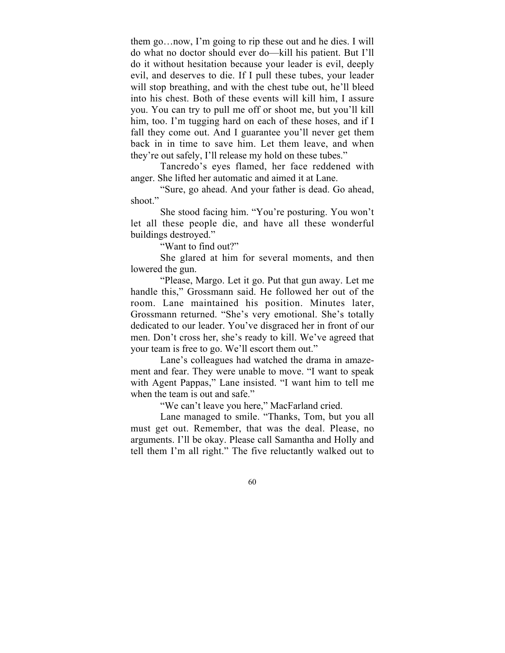them go…now, I'm going to rip these out and he dies. I will do what no doctor should ever do—kill his patient. But I'll do it without hesitation because your leader is evil, deeply evil, and deserves to die. If I pull these tubes, your leader will stop breathing, and with the chest tube out, he'll bleed into his chest. Both of these events will kill him, I assure you. You can try to pull me off or shoot me, but you'll kill him, too. I'm tugging hard on each of these hoses, and if I fall they come out. And I guarantee you'll never get them back in in time to save him. Let them leave, and when they're out safely, I'll release my hold on these tubes."

Tancredo's eyes flamed, her face reddened with anger. She lifted her automatic and aimed it at Lane.

"Sure, go ahead. And your father is dead. Go ahead, shoot."

She stood facing him. "You're posturing. You won't let all these people die, and have all these wonderful buildings destroyed."

"Want to find out?"

She glared at him for several moments, and then lowered the gun.

"Please, Margo. Let it go. Put that gun away. Let me handle this," Grossmann said. He followed her out of the room. Lane maintained his position. Minutes later, Grossmann returned. "She's very emotional. She's totally dedicated to our leader. You've disgraced her in front of our men. Don't cross her, she's ready to kill. We've agreed that your team is free to go. We'll escort them out."

Lane's colleagues had watched the drama in amazement and fear. They were unable to move. "I want to speak with Agent Pappas," Lane insisted. "I want him to tell me when the team is out and safe."

"We can't leave you here," MacFarland cried.

Lane managed to smile. "Thanks, Tom, but you all must get out. Remember, that was the deal. Please, no arguments. I'll be okay. Please call Samantha and Holly and tell them I'm all right." The five reluctantly walked out to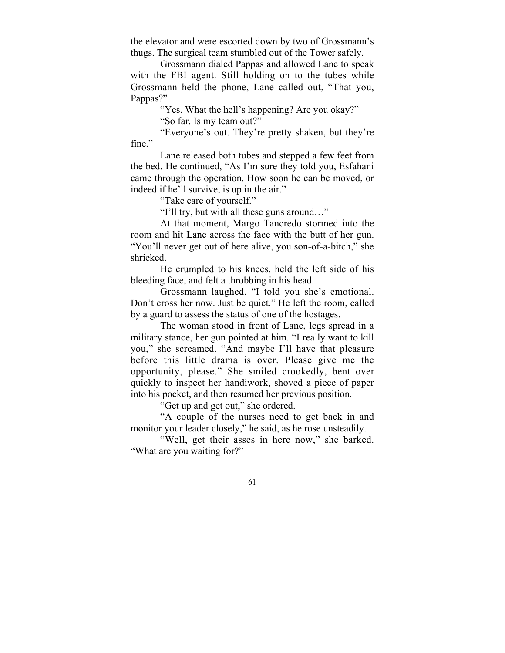the elevator and were escorted down by two of Grossmann's thugs. The surgical team stumbled out of the Tower safely.

Grossmann dialed Pappas and allowed Lane to speak with the FBI agent. Still holding on to the tubes while Grossmann held the phone, Lane called out, "That you, Pappas?"

"Yes. What the hell's happening? Are you okay?"

"So far. Is my team out?"

"Everyone's out. They're pretty shaken, but they're fine."

Lane released both tubes and stepped a few feet from the bed. He continued, "As I'm sure they told you, Esfahani came through the operation. How soon he can be moved, or indeed if he'll survive, is up in the air."

"Take care of yourself."

"I'll try, but with all these guns around…"

At that moment, Margo Tancredo stormed into the room and hit Lane across the face with the butt of her gun. "You'll never get out of here alive, you son-of-a-bitch," she shrieked.

He crumpled to his knees, held the left side of his bleeding face, and felt a throbbing in his head.

Grossmann laughed. "I told you she's emotional. Don't cross her now. Just be quiet." He left the room, called by a guard to assess the status of one of the hostages.

The woman stood in front of Lane, legs spread in a military stance, her gun pointed at him. "I really want to kill you," she screamed. "And maybe I'll have that pleasure before this little drama is over. Please give me the opportunity, please." She smiled crookedly, bent over quickly to inspect her handiwork, shoved a piece of paper into his pocket, and then resumed her previous position.

"Get up and get out," she ordered.

"A couple of the nurses need to get back in and monitor your leader closely," he said, as he rose unsteadily.

"Well, get their asses in here now," she barked. "What are you waiting for?"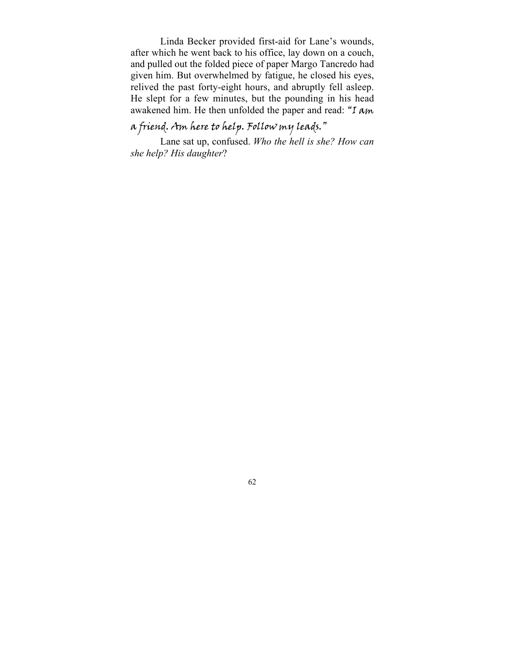Linda Becker provided first-aid for Lane's wounds, after which he went back to his office, lay down on a couch, and pulled out the folded piece of paper Margo Tancredo had given him. But overwhelmed by fatigue, he closed his eyes, relived the past forty-eight hours, and abruptly fell asleep. He slept for a few minutes, but the pounding in his head awakened him. He then unfolded the paper and read: "I  $Am$ 

## a friend. Am here to help. Follow my leads."

Lane sat up, confused. *Who the hell is she? How can she help? His daughter*?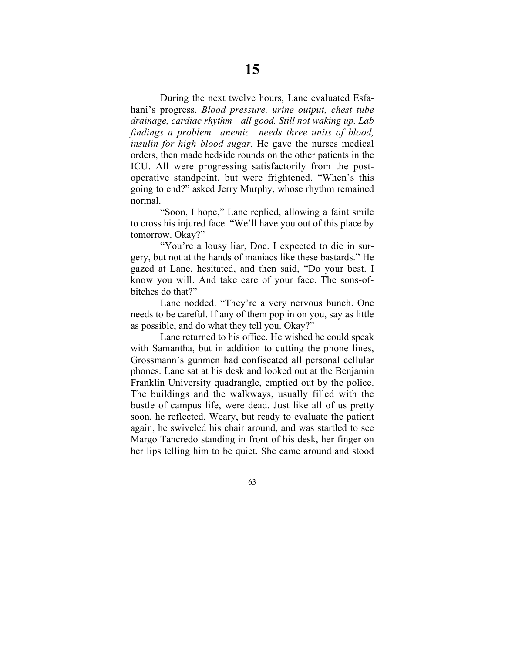During the next twelve hours, Lane evaluated Esfahani's progress. *Blood pressure, urine output, chest tube drainage, cardiac rhythm—all good. Still not waking up. Lab findings a problem—anemic—needs three units of blood, insulin for high blood sugar.* He gave the nurses medical orders, then made bedside rounds on the other patients in the ICU. All were progressing satisfactorily from the postoperative standpoint, but were frightened. "When's this going to end?" asked Jerry Murphy, whose rhythm remained normal.

"Soon, I hope," Lane replied, allowing a faint smile to cross his injured face. "We'll have you out of this place by tomorrow. Okay?"

"You're a lousy liar, Doc. I expected to die in surgery, but not at the hands of maniacs like these bastards." He gazed at Lane, hesitated, and then said, "Do your best. I know you will. And take care of your face. The sons-ofbitches do that?"

Lane nodded. "They're a very nervous bunch. One needs to be careful. If any of them pop in on you, say as little as possible, and do what they tell you. Okay?"

Lane returned to his office. He wished he could speak with Samantha, but in addition to cutting the phone lines, Grossmann's gunmen had confiscated all personal cellular phones. Lane sat at his desk and looked out at the Benjamin Franklin University quadrangle, emptied out by the police. The buildings and the walkways, usually filled with the bustle of campus life, were dead. Just like all of us pretty soon, he reflected. Weary, but ready to evaluate the patient again, he swiveled his chair around, and was startled to see Margo Tancredo standing in front of his desk, her finger on her lips telling him to be quiet. She came around and stood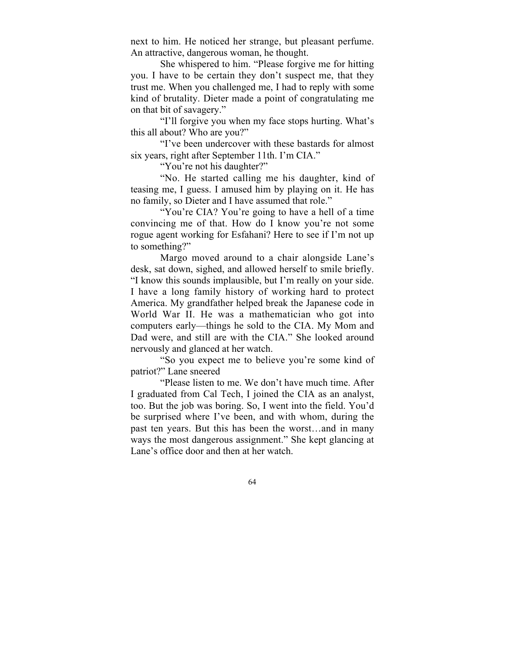next to him. He noticed her strange, but pleasant perfume. An attractive, dangerous woman, he thought.

She whispered to him. "Please forgive me for hitting you. I have to be certain they don't suspect me, that they trust me. When you challenged me, I had to reply with some kind of brutality. Dieter made a point of congratulating me on that bit of savagery."

"I'll forgive you when my face stops hurting. What's this all about? Who are you?"

"I've been undercover with these bastards for almost six years, right after September 11th. I'm CIA."

"You're not his daughter?"

"No. He started calling me his daughter, kind of teasing me, I guess. I amused him by playing on it. He has no family, so Dieter and I have assumed that role."

"You're CIA? You're going to have a hell of a time" convincing me of that. How do I know you're not some rogue agent working for Esfahani? Here to see if I'm not up to something?"

Margo moved around to a chair alongside Lane's desk, sat down, sighed, and allowed herself to smile briefly. "I know this sounds implausible, but I'm really on your side. I have a long family history of working hard to protect America. My grandfather helped break the Japanese code in World War II. He was a mathematician who got into computers early—things he sold to the CIA. My Mom and Dad were, and still are with the CIA." She looked around nervously and glanced at her watch.

"So you expect me to believe you're some kind of patriot?" Lane sneered

"Please listen to me. We don't have much time. After I graduated from Cal Tech, I joined the CIA as an analyst, too. But the job was boring. So, I went into the field. You'd be surprised where I've been, and with whom, during the past ten years. But this has been the worst…and in many ways the most dangerous assignment." She kept glancing at Lane's office door and then at her watch.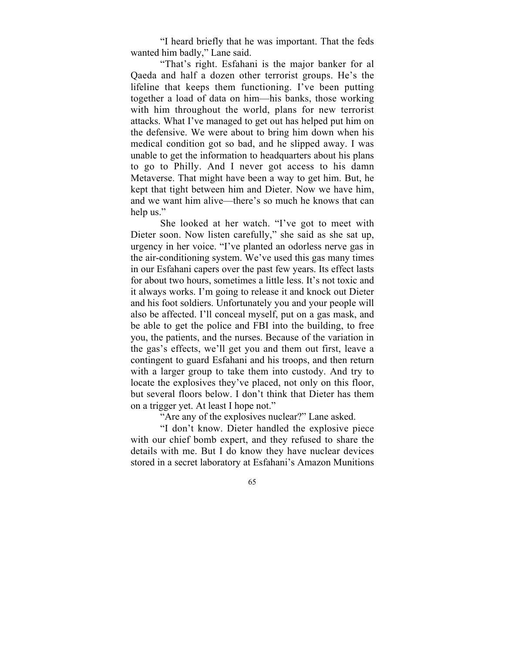"I heard briefly that he was important. That the feds wanted him badly," Lane said.

"That's right. Esfahani is the major banker for al Qaeda and half a dozen other terrorist groups. He's the lifeline that keeps them functioning. I've been putting together a load of data on him—his banks, those working with him throughout the world, plans for new terrorist attacks. What I've managed to get out has helped put him on the defensive. We were about to bring him down when his medical condition got so bad, and he slipped away. I was unable to get the information to headquarters about his plans to go to Philly. And I never got access to his damn Metaverse. That might have been a way to get him. But, he kept that tight between him and Dieter. Now we have him, and we want him alive—there's so much he knows that can help us."

She looked at her watch. "I've got to meet with Dieter soon. Now listen carefully," she said as she sat up, urgency in her voice. "I've planted an odorless nerve gas in the air-conditioning system. We've used this gas many times in our Esfahani capers over the past few years. Its effect lasts for about two hours, sometimes a little less. It's not toxic and it always works. I'm going to release it and knock out Dieter and his foot soldiers. Unfortunately you and your people will also be affected. I'll conceal myself, put on a gas mask, and be able to get the police and FBI into the building, to free you, the patients, and the nurses. Because of the variation in the gas's effects, we'll get you and them out first, leave a contingent to guard Esfahani and his troops, and then return with a larger group to take them into custody. And try to locate the explosives they've placed, not only on this floor, but several floors below. I don't think that Dieter has them on a trigger yet. At least I hope not."

"Are any of the explosives nuclear?" Lane asked.

"I don't know. Dieter handled the explosive piece with our chief bomb expert, and they refused to share the details with me. But I do know they have nuclear devices stored in a secret laboratory at Esfahani's Amazon Munitions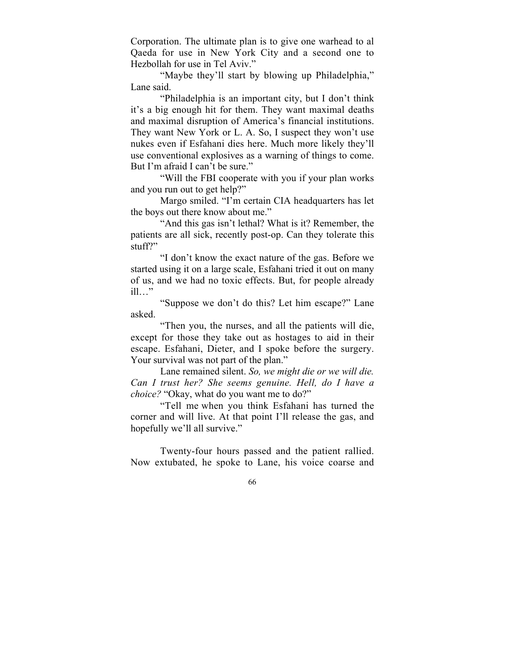Corporation. The ultimate plan is to give one warhead to al Qaeda for use in New York City and a second one to Hezbollah for use in Tel Aviv."

"Maybe they'll start by blowing up Philadelphia," Lane said.

"Philadelphia is an important city, but I don't think it's a big enough hit for them. They want maximal deaths and maximal disruption of America's financial institutions. They want New York or L. A. So, I suspect they won't use nukes even if Esfahani dies here. Much more likely they'll use conventional explosives as a warning of things to come. But I'm afraid I can't be sure."

"Will the FBI cooperate with you if your plan works and you run out to get help?"

Margo smiled. "I'm certain CIA headquarters has let the boys out there know about me."

"And this gas isn't lethal? What is it? Remember, the patients are all sick, recently post-op. Can they tolerate this stuff?"

"I don't know the exact nature of the gas. Before we started using it on a large scale, Esfahani tried it out on many of us, and we had no toxic effects. But, for people already ill…"

"Suppose we don't do this? Let him escape?" Lane asked.

"Then you, the nurses, and all the patients will die, except for those they take out as hostages to aid in their escape. Esfahani, Dieter, and I spoke before the surgery. Your survival was not part of the plan."

Lane remained silent. *So, we might die or we will die. Can I trust her? She seems genuine. Hell, do I have a choice?* "Okay, what do you want me to do?"

"Tell me when you think Esfahani has turned the corner and will live. At that point I'll release the gas, and hopefully we'll all survive."

Twenty-four hours passed and the patient rallied. Now extubated, he spoke to Lane, his voice coarse and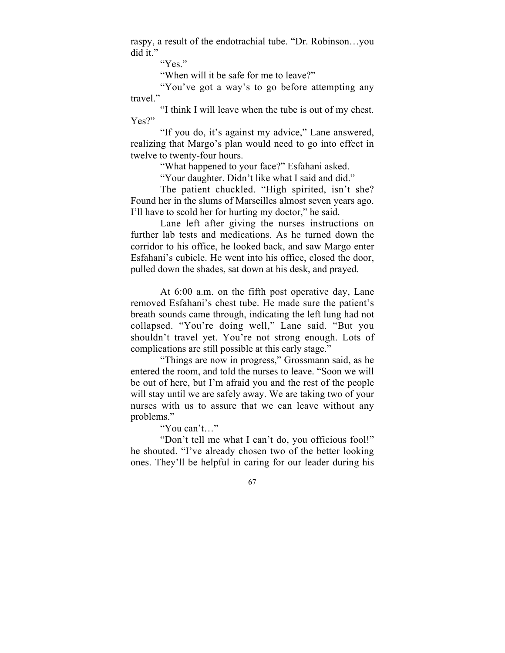raspy, a result of the endotrachial tube. "Dr. Robinson…you did it."

"Yes."

"When will it be safe for me to leave?"

"You've got a way's to go before attempting any travel."

"I think I will leave when the tube is out of my chest. Yes?"

"If you do, it's against my advice," Lane answered, realizing that Margo's plan would need to go into effect in twelve to twenty-four hours.

"What happened to your face?" Esfahani asked.

"Your daughter. Didn't like what I said and did."

The patient chuckled. "High spirited, isn't she? Found her in the slums of Marseilles almost seven years ago. I'll have to scold her for hurting my doctor," he said.

Lane left after giving the nurses instructions on further lab tests and medications. As he turned down the corridor to his office, he looked back, and saw Margo enter Esfahani's cubicle. He went into his office, closed the door, pulled down the shades, sat down at his desk, and prayed.

At 6:00 a.m. on the fifth post operative day, Lane removed Esfahani's chest tube. He made sure the patient's breath sounds came through, indicating the left lung had not collapsed. "You're doing well," Lane said. "But you shouldn't travel yet. You're not strong enough. Lots of complications are still possible at this early stage."

"Things are now in progress," Grossmann said, as he entered the room, and told the nurses to leave. "Soon we will be out of here, but I'm afraid you and the rest of the people will stay until we are safely away. We are taking two of your nurses with us to assure that we can leave without any problems."

"You can't…"

"Don't tell me what I can't do, you officious fool!" he shouted. "I've already chosen two of the better looking ones. They'll be helpful in caring for our leader during his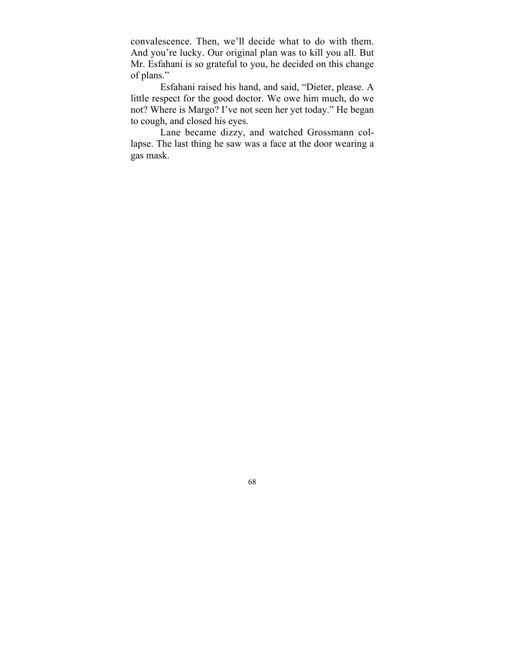convalescence. Then, we'll decide what to do with them. And you're lucky. Our original plan was to kill you all. But Mr. Esfahani is so grateful to you, he decided on this change of plans."

Esfahani raised his hand, and said, "Dieter, please. A little respect for the good doctor. We owe him much, do we not? Where is Margo? I've not seen her yet today." He began to cough, and closed his eyes.

Lane became dizzy, and watched Grossmann collapse. The last thing he saw was a face at the door wearing a gas mask.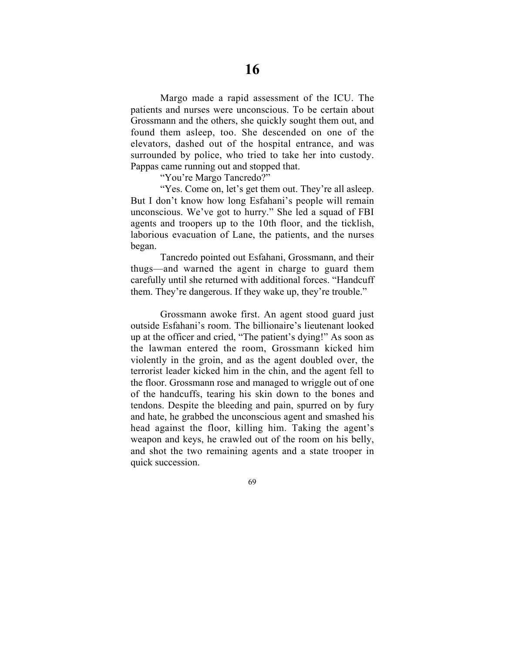Margo made a rapid assessment of the ICU. The patients and nurses were unconscious. To be certain about Grossmann and the others, she quickly sought them out, and found them asleep, too. She descended on one of the elevators, dashed out of the hospital entrance, and was surrounded by police, who tried to take her into custody. Pappas came running out and stopped that.

"You're Margo Tancredo?"

"Yes. Come on, let's get them out. They're all asleep. But I don't know how long Esfahani's people will remain unconscious. We've got to hurry." She led a squad of FBI agents and troopers up to the 10th floor, and the ticklish, laborious evacuation of Lane, the patients, and the nurses began.

Tancredo pointed out Esfahani, Grossmann, and their thugs—and warned the agent in charge to guard them carefully until she returned with additional forces. "Handcuff them. They're dangerous. If they wake up, they're trouble."

Grossmann awoke first. An agent stood guard just outside Esfahani's room. The billionaire's lieutenant looked up at the officer and cried, "The patient's dying!" As soon as the lawman entered the room, Grossmann kicked him violently in the groin, and as the agent doubled over, the terrorist leader kicked him in the chin, and the agent fell to the floor. Grossmann rose and managed to wriggle out of one of the handcuffs, tearing his skin down to the bones and tendons. Despite the bleeding and pain, spurred on by fury and hate, he grabbed the unconscious agent and smashed his head against the floor, killing him. Taking the agent's weapon and keys, he crawled out of the room on his belly, and shot the two remaining agents and a state trooper in quick succession.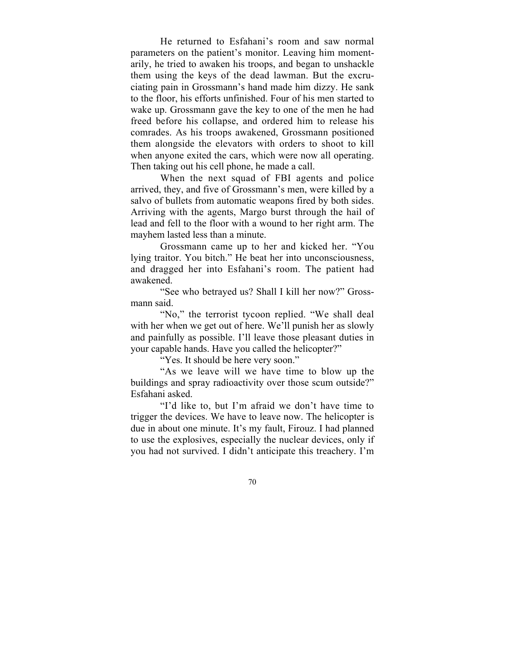He returned to Esfahani's room and saw normal parameters on the patient's monitor. Leaving him momentarily, he tried to awaken his troops, and began to unshackle them using the keys of the dead lawman. But the excruciating pain in Grossmann's hand made him dizzy. He sank to the floor, his efforts unfinished. Four of his men started to wake up. Grossmann gave the key to one of the men he had freed before his collapse, and ordered him to release his comrades. As his troops awakened, Grossmann positioned them alongside the elevators with orders to shoot to kill when anyone exited the cars, which were now all operating. Then taking out his cell phone, he made a call.

When the next squad of FBI agents and police arrived, they, and five of Grossmann's men, were killed by a salvo of bullets from automatic weapons fired by both sides. Arriving with the agents, Margo burst through the hail of lead and fell to the floor with a wound to her right arm. The mayhem lasted less than a minute.

Grossmann came up to her and kicked her. "You lying traitor. You bitch." He beat her into unconsciousness, and dragged her into Esfahani's room. The patient had awakened.

"See who betrayed us? Shall I kill her now?" Grossmann said.

"No," the terrorist tycoon replied. "We shall deal with her when we get out of here. We'll punish her as slowly and painfully as possible. I'll leave those pleasant duties in your capable hands. Have you called the helicopter?"

"Yes. It should be here very soon."

"As we leave will we have time to blow up the buildings and spray radioactivity over those scum outside?" Esfahani asked.

"I'd like to, but I'm afraid we don't have time to trigger the devices. We have to leave now. The helicopter is due in about one minute. It's my fault, Firouz. I had planned to use the explosives, especially the nuclear devices, only if you had not survived. I didn't anticipate this treachery. I'm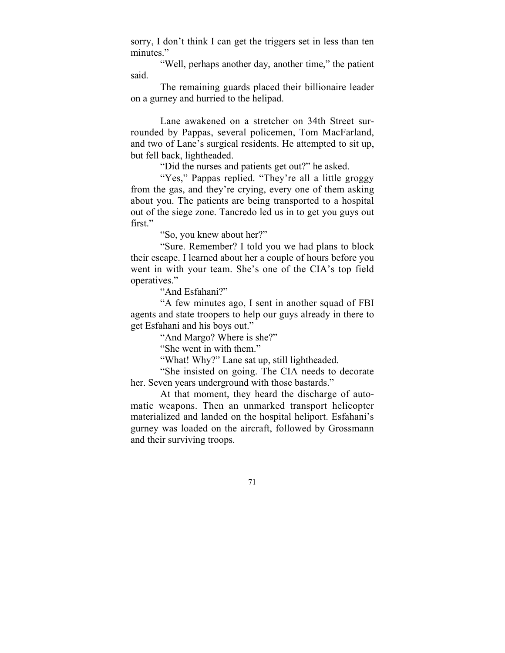sorry, I don't think I can get the triggers set in less than ten minutes."

"Well, perhaps another day, another time," the patient said.

The remaining guards placed their billionaire leader on a gurney and hurried to the helipad.

Lane awakened on a stretcher on 34th Street surrounded by Pappas, several policemen, Tom MacFarland, and two of Lane's surgical residents. He attempted to sit up, but fell back, lightheaded.

"Did the nurses and patients get out?" he asked.

"Yes," Pappas replied. "They're all a little groggy from the gas, and they're crying, every one of them asking about you. The patients are being transported to a hospital out of the siege zone. Tancredo led us in to get you guys out first."

"So, you knew about her?"

"Sure. Remember? I told you we had plans to block their escape. I learned about her a couple of hours before you went in with your team. She's one of the CIA's top field operatives."

"And Esfahani?"

"A few minutes ago, I sent in another squad of FBI agents and state troopers to help our guys already in there to get Esfahani and his boys out."

"And Margo? Where is she?"

"She went in with them."

"What! Why?" Lane sat up, still lightheaded.

"She insisted on going. The CIA needs to decorate her. Seven years underground with those bastards."

At that moment, they heard the discharge of automatic weapons. Then an unmarked transport helicopter materialized and landed on the hospital heliport. Esfahani's gurney was loaded on the aircraft, followed by Grossmann and their surviving troops.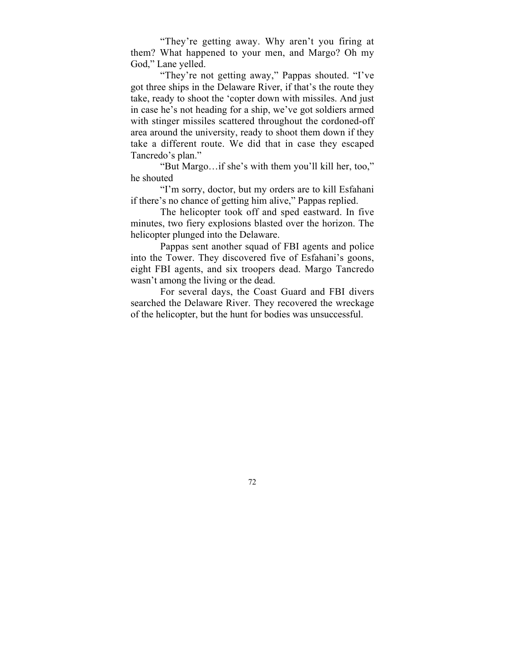"They're getting away. Why aren't you firing at them? What happened to your men, and Margo? Oh my God," Lane yelled.

"They're not getting away," Pappas shouted. "I've got three ships in the Delaware River, if that's the route they take, ready to shoot the 'copter down with missiles. And just in case he's not heading for a ship, we've got soldiers armed with stinger missiles scattered throughout the cordoned-off area around the university, ready to shoot them down if they take a different route. We did that in case they escaped Tancredo's plan."

"But Margo…if she's with them you'll kill her, too," he shouted

"I'm sorry, doctor, but my orders are to kill Esfahani if there's no chance of getting him alive," Pappas replied.

The helicopter took off and sped eastward. In five minutes, two fiery explosions blasted over the horizon. The helicopter plunged into the Delaware.

Pappas sent another squad of FBI agents and police into the Tower. They discovered five of Esfahani's goons, eight FBI agents, and six troopers dead. Margo Tancredo wasn't among the living or the dead.

For several days, the Coast Guard and FBI divers searched the Delaware River. They recovered the wreckage of the helicopter, but the hunt for bodies was unsuccessful.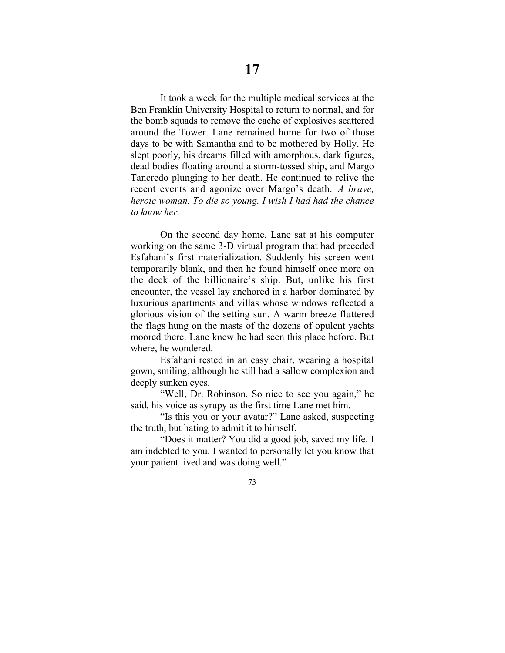It took a week for the multiple medical services at the Ben Franklin University Hospital to return to normal, and for the bomb squads to remove the cache of explosives scattered around the Tower. Lane remained home for two of those days to be with Samantha and to be mothered by Holly. He slept poorly, his dreams filled with amorphous, dark figures, dead bodies floating around a storm-tossed ship, and Margo Tancredo plunging to her death. He continued to relive the recent events and agonize over Margo's death. *A brave, heroic woman. To die so young. I wish I had had the chance to know her.*

On the second day home, Lane sat at his computer working on the same 3-D virtual program that had preceded Esfahani's first materialization. Suddenly his screen went temporarily blank, and then he found himself once more on the deck of the billionaire's ship. But, unlike his first encounter, the vessel lay anchored in a harbor dominated by luxurious apartments and villas whose windows reflected a glorious vision of the setting sun. A warm breeze fluttered the flags hung on the masts of the dozens of opulent yachts moored there. Lane knew he had seen this place before. But where, he wondered.

Esfahani rested in an easy chair, wearing a hospital gown, smiling, although he still had a sallow complexion and deeply sunken eyes.

"Well, Dr. Robinson. So nice to see you again," he said, his voice as syrupy as the first time Lane met him.

"Is this you or your avatar?" Lane asked, suspecting the truth, but hating to admit it to himself.

"Does it matter? You did a good job, saved my life. I am indebted to you. I wanted to personally let you know that your patient lived and was doing well."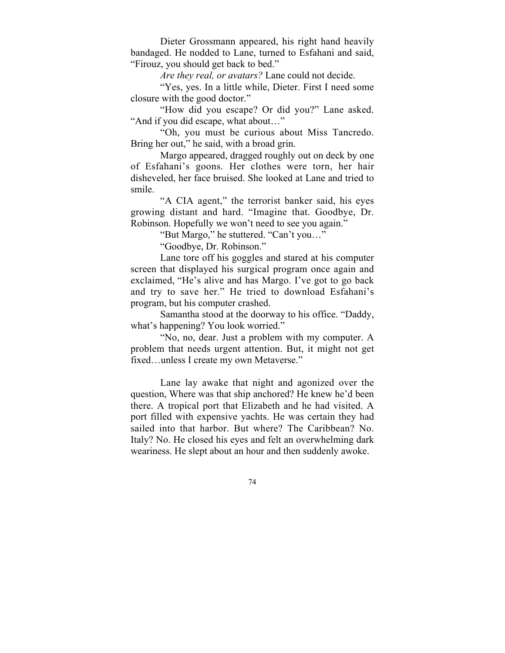Dieter Grossmann appeared, his right hand heavily bandaged. He nodded to Lane, turned to Esfahani and said, "Firouz, you should get back to bed."

*Are they real, or avatars?* Lane could not decide.

"Yes, yes. In a little while, Dieter. First I need some closure with the good doctor."

"How did you escape? Or did you?" Lane asked. "And if you did escape, what about…"

"Oh, you must be curious about Miss Tancredo. Bring her out," he said, with a broad grin.

Margo appeared, dragged roughly out on deck by one of Esfahani's goons. Her clothes were torn, her hair disheveled, her face bruised. She looked at Lane and tried to smile.

"A CIA agent," the terrorist banker said, his eyes growing distant and hard. "Imagine that. Goodbye, Dr. Robinson. Hopefully we won't need to see you again."

"But Margo," he stuttered. "Can't you…"

"Goodbye, Dr. Robinson."

Lane tore off his goggles and stared at his computer screen that displayed his surgical program once again and exclaimed, "He's alive and has Margo. I've got to go back and try to save her." He tried to download Esfahani's program, but his computer crashed.

Samantha stood at the doorway to his office. "Daddy, what's happening? You look worried."

"No, no, dear. Just a problem with my computer. A problem that needs urgent attention. But, it might not get fixed…unless I create my own Metaverse."

Lane lay awake that night and agonized over the question, Where was that ship anchored? He knew he'd been there. A tropical port that Elizabeth and he had visited. A port filled with expensive yachts. He was certain they had sailed into that harbor. But where? The Caribbean? No. Italy? No. He closed his eyes and felt an overwhelming dark weariness. He slept about an hour and then suddenly awoke.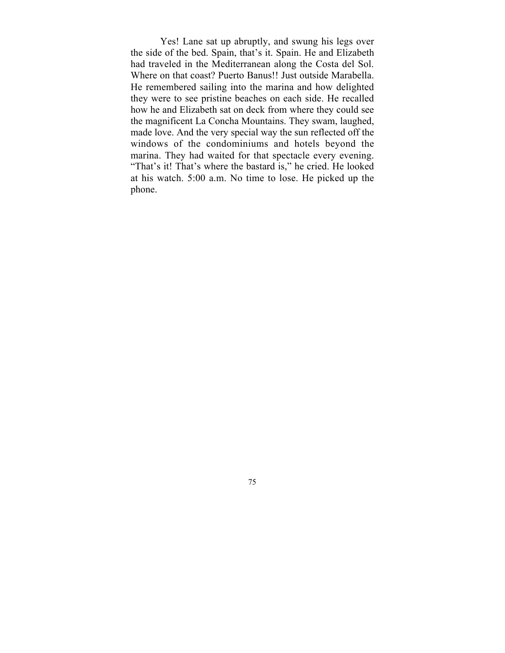Yes! Lane sat up abruptly, and swung his legs over the side of the bed. Spain, that's it. Spain. He and Elizabeth had traveled in the Mediterranean along the Costa del Sol. Where on that coast? Puerto Banus!! Just outside Marabella. He remembered sailing into the marina and how delighted they were to see pristine beaches on each side. He recalled how he and Elizabeth sat on deck from where they could see the magnificent La Concha Mountains. They swam, laughed, made love. And the very special way the sun reflected off the windows of the condominiums and hotels beyond the marina. They had waited for that spectacle every evening. "That's it! That's where the bastard is," he cried. He looked at his watch. 5:00 a.m. No time to lose. He picked up the phone.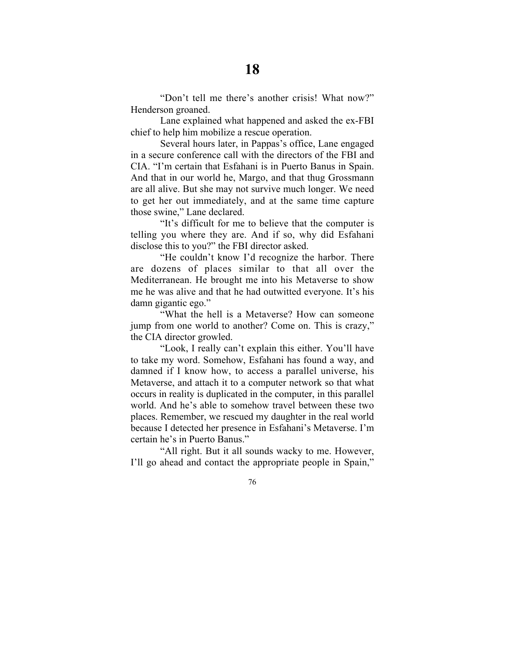"Don't tell me there's another crisis! What now?" Henderson groaned.

Lane explained what happened and asked the ex-FBI chief to help him mobilize a rescue operation.

Several hours later, in Pappas's office, Lane engaged in a secure conference call with the directors of the FBI and CIA. "I'm certain that Esfahani is in Puerto Banus in Spain. And that in our world he, Margo, and that thug Grossmann are all alive. But she may not survive much longer. We need to get her out immediately, and at the same time capture those swine," Lane declared.

"It's difficult for me to believe that the computer is telling you where they are. And if so, why did Esfahani disclose this to you?" the FBI director asked.

"He couldn't know I'd recognize the harbor. There are dozens of places similar to that all over the Mediterranean. He brought me into his Metaverse to show me he was alive and that he had outwitted everyone. It's his damn gigantic ego."

"What the hell is a Metaverse? How can someone jump from one world to another? Come on. This is crazy," the CIA director growled.

"Look, I really can't explain this either. You'll have to take my word. Somehow, Esfahani has found a way, and damned if I know how, to access a parallel universe, his Metaverse, and attach it to a computer network so that what occurs in reality is duplicated in the computer, in this parallel world. And he's able to somehow travel between these two places. Remember, we rescued my daughter in the real world because I detected her presence in Esfahani's Metaverse. I'm certain he's in Puerto Banus."

"All right. But it all sounds wacky to me. However, I'll go ahead and contact the appropriate people in Spain,"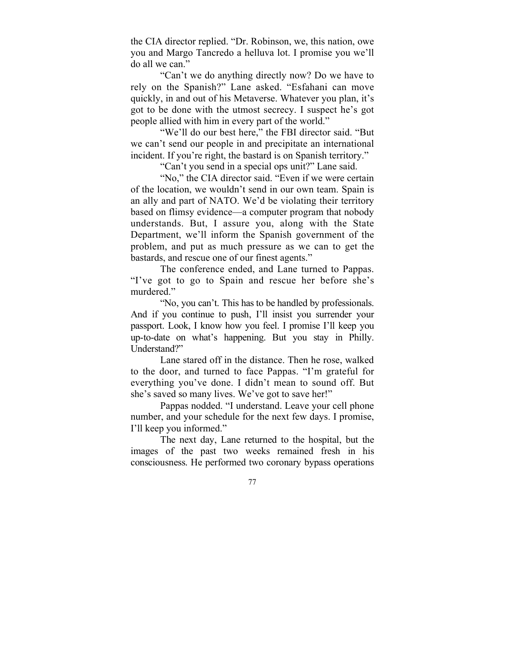the CIA director replied. "Dr. Robinson, we, this nation, owe you and Margo Tancredo a helluva lot. I promise you we'll do all we can."

"Can't we do anything directly now? Do we have to rely on the Spanish?" Lane asked. "Esfahani can move quickly, in and out of his Metaverse. Whatever you plan, it's got to be done with the utmost secrecy. I suspect he's got people allied with him in every part of the world."

"We'll do our best here," the FBI director said. "But we can't send our people in and precipitate an international incident. If you're right, the bastard is on Spanish territory."

"Can't you send in a special ops unit?" Lane said.

"No," the CIA director said. "Even if we were certain of the location, we wouldn't send in our own team. Spain is an ally and part of NATO. We'd be violating their territory based on flimsy evidence—a computer program that nobody understands. But, I assure you, along with the State Department, we'll inform the Spanish government of the problem, and put as much pressure as we can to get the bastards, and rescue one of our finest agents."

The conference ended, and Lane turned to Pappas. "I've got to go to Spain and rescue her before she's murdered."

"No, you can't. This has to be handled by professionals. And if you continue to push, I'll insist you surrender your passport. Look, I know how you feel. I promise I'll keep you up-to-date on what's happening. But you stay in Philly. Understand?"

Lane stared off in the distance. Then he rose, walked to the door, and turned to face Pappas. "I'm grateful for everything you've done. I didn't mean to sound off. But she's saved so many lives. We've got to save her!"

Pappas nodded. "I understand. Leave your cell phone number, and your schedule for the next few days. I promise, I'll keep you informed."

The next day, Lane returned to the hospital, but the images of the past two weeks remained fresh in his consciousness. He performed two coronary bypass operations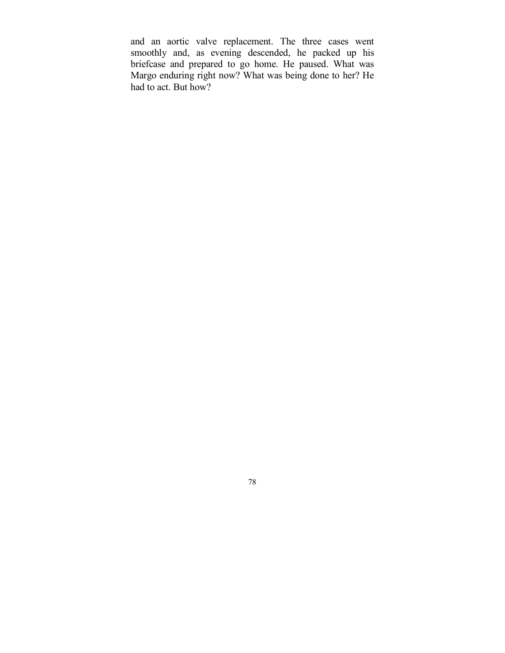and an aortic valve replacement. The three cases went smoothly and, as evening descended, he packed up his briefcase and prepared to go home. He paused. What was Margo enduring right now? What was being done to her? He had to act. But how?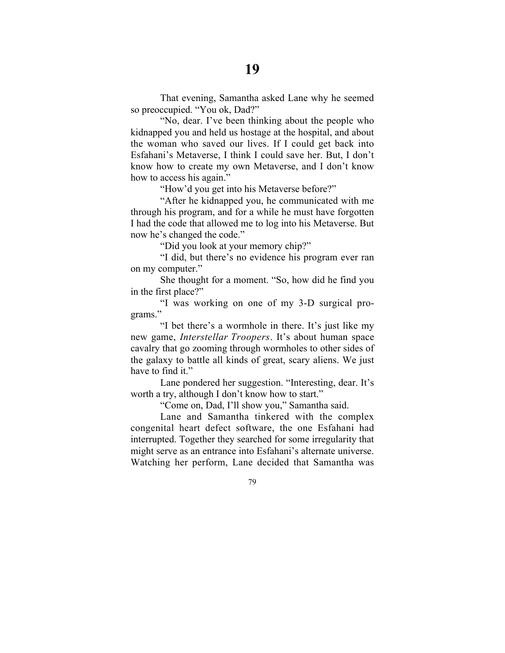That evening, Samantha asked Lane why he seemed so preoccupied. "You ok, Dad?"

"No, dear. I've been thinking about the people who kidnapped you and held us hostage at the hospital, and about the woman who saved our lives. If I could get back into Esfahani's Metaverse, I think I could save her. But, I don't know how to create my own Metaverse, and I don't know how to access his again."

"How'd you get into his Metaverse before?"

"After he kidnapped you, he communicated with me through his program, and for a while he must have forgotten I had the code that allowed me to log into his Metaverse. But now he's changed the code."

"Did you look at your memory chip?"

"I did, but there's no evidence his program ever ran on my computer."

She thought for a moment. "So, how did he find you in the first place?"

"I was working on one of my 3-D surgical programs."

"I bet there's a wormhole in there. It's just like my new game, *Interstellar Troopers*. It's about human space cavalry that go zooming through wormholes to other sides of the galaxy to battle all kinds of great, scary aliens. We just have to find it."

Lane pondered her suggestion. "Interesting, dear. It's worth a try, although I don't know how to start."

"Come on, Dad, I'll show you," Samantha said.

Lane and Samantha tinkered with the complex congenital heart defect software, the one Esfahani had interrupted. Together they searched for some irregularity that might serve as an entrance into Esfahani's alternate universe. Watching her perform, Lane decided that Samantha was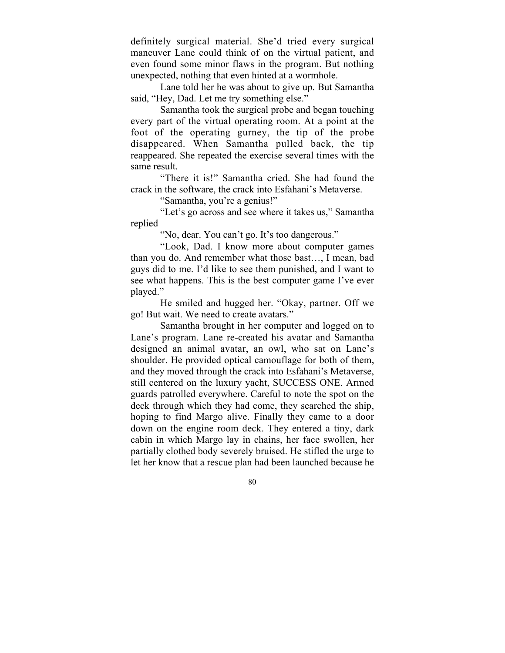definitely surgical material. She'd tried every surgical maneuver Lane could think of on the virtual patient, and even found some minor flaws in the program. But nothing unexpected, nothing that even hinted at a wormhole.

Lane told her he was about to give up. But Samantha said, "Hey, Dad. Let me try something else."

Samantha took the surgical probe and began touching every part of the virtual operating room. At a point at the foot of the operating gurney, the tip of the probe disappeared. When Samantha pulled back, the tip reappeared. She repeated the exercise several times with the same result.

"There it is!" Samantha cried. She had found the crack in the software, the crack into Esfahani's Metaverse.

"Samantha, you're a genius!"

"Let's go across and see where it takes us," Samantha replied

"No, dear. You can't go. It's too dangerous."

"Look, Dad. I know more about computer games than you do. And remember what those bast…, I mean, bad guys did to me. I'd like to see them punished, and I want to see what happens. This is the best computer game I've ever played."

He smiled and hugged her. "Okay, partner. Off we go! But wait. We need to create avatars."

Samantha brought in her computer and logged on to Lane's program. Lane re-created his avatar and Samantha designed an animal avatar, an owl, who sat on Lane's shoulder. He provided optical camouflage for both of them, and they moved through the crack into Esfahani's Metaverse, still centered on the luxury yacht, SUCCESS ONE. Armed guards patrolled everywhere. Careful to note the spot on the deck through which they had come, they searched the ship, hoping to find Margo alive. Finally they came to a door down on the engine room deck. They entered a tiny, dark cabin in which Margo lay in chains, her face swollen, her partially clothed body severely bruised. He stifled the urge to let her know that a rescue plan had been launched because he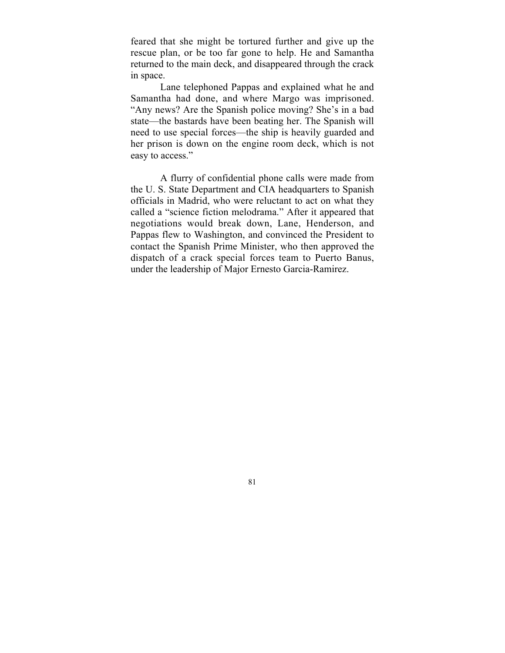feared that she might be tortured further and give up the rescue plan, or be too far gone to help. He and Samantha returned to the main deck, and disappeared through the crack in space.

Lane telephoned Pappas and explained what he and Samantha had done, and where Margo was imprisoned. "Any news? Are the Spanish police moving? She's in a bad state—the bastards have been beating her. The Spanish will need to use special forces—the ship is heavily guarded and her prison is down on the engine room deck, which is not easy to access."

A flurry of confidential phone calls were made from the U. S. State Department and CIA headquarters to Spanish officials in Madrid, who were reluctant to act on what they called a "science fiction melodrama." After it appeared that negotiations would break down, Lane, Henderson, and Pappas flew to Washington, and convinced the President to contact the Spanish Prime Minister, who then approved the dispatch of a crack special forces team to Puerto Banus, under the leadership of Major Ernesto Garcia-Ramirez.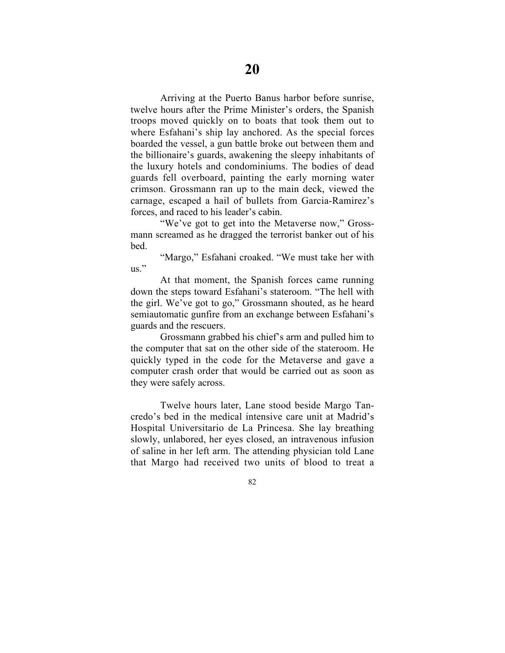Arriving at the Puerto Banus harbor before sunrise, twelve hours after the Prime Minister's orders, the Spanish troops moved quickly on to boats that took them out to where Esfahani's ship lay anchored. As the special forces boarded the vessel, a gun battle broke out between them and the billionaire's guards, awakening the sleepy inhabitants of the luxury hotels and condominiums. The bodies of dead guards fell overboard, painting the early morning water crimson. Grossmann ran up to the main deck, viewed the carnage, escaped a hail of bullets from Garcia-Ramirez's forces, and raced to his leader's cabin.

"We've got to get into the Metaverse now," Grossmann screamed as he dragged the terrorist banker out of his bed.

"Margo," Esfahani croaked. "We must take her with us."

At that moment, the Spanish forces came running down the steps toward Esfahani's stateroom. "The hell with the girl. We've got to go," Grossmann shouted, as he heard semiautomatic gunfire from an exchange between Esfahani's guards and the rescuers.

Grossmann grabbed his chief's arm and pulled him to the computer that sat on the other side of the stateroom. He quickly typed in the code for the Metaverse and gave a computer crash order that would be carried out as soon as they were safely across.

Twelve hours later, Lane stood beside Margo Tancredo's bed in the medical intensive care unit at Madrid's Hospital Universitario de La Princesa. She lay breathing slowly, unlabored, her eyes closed, an intravenous infusion of saline in her left arm. The attending physician told Lane that Margo had received two units of blood to treat a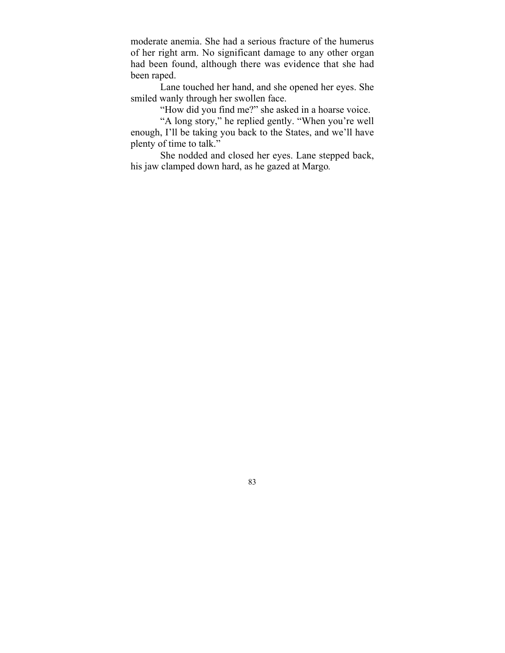moderate anemia. She had a serious fracture of the humerus of her right arm. No significant damage to any other organ had been found, although there was evidence that she had been raped.

Lane touched her hand, and she opened her eyes. She smiled wanly through her swollen face.

"How did you find me?" she asked in a hoarse voice.

"A long story," he replied gently. "When you're well enough, I'll be taking you back to the States, and we'll have plenty of time to talk."

She nodded and closed her eyes. Lane stepped back, his jaw clamped down hard, as he gazed at Margo*.*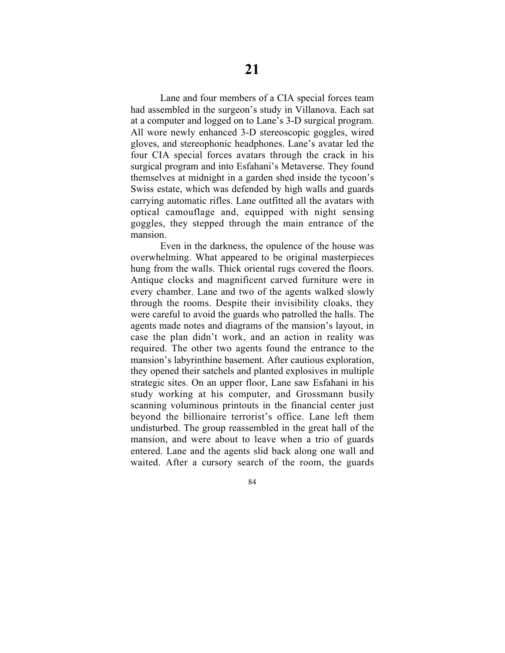Lane and four members of a CIA special forces team had assembled in the surgeon's study in Villanova. Each sat at a computer and logged on to Lane's 3-D surgical program. All wore newly enhanced 3-D stereoscopic goggles, wired gloves, and stereophonic headphones. Lane's avatar led the four CIA special forces avatars through the crack in his surgical program and into Esfahani's Metaverse. They found themselves at midnight in a garden shed inside the tycoon's Swiss estate, which was defended by high walls and guards carrying automatic rifles. Lane outfitted all the avatars with optical camouflage and, equipped with night sensing goggles, they stepped through the main entrance of the mansion.

Even in the darkness, the opulence of the house was overwhelming. What appeared to be original masterpieces hung from the walls. Thick oriental rugs covered the floors. Antique clocks and magnificent carved furniture were in every chamber. Lane and two of the agents walked slowly through the rooms. Despite their invisibility cloaks, they were careful to avoid the guards who patrolled the halls. The agents made notes and diagrams of the mansion's layout, in case the plan didn't work, and an action in reality was required. The other two agents found the entrance to the mansion's labyrinthine basement. After cautious exploration, they opened their satchels and planted explosives in multiple strategic sites. On an upper floor, Lane saw Esfahani in his study working at his computer, and Grossmann busily scanning voluminous printouts in the financial center just beyond the billionaire terrorist's office. Lane left them undisturbed. The group reassembled in the great hall of the mansion, and were about to leave when a trio of guards entered. Lane and the agents slid back along one wall and waited. After a cursory search of the room, the guards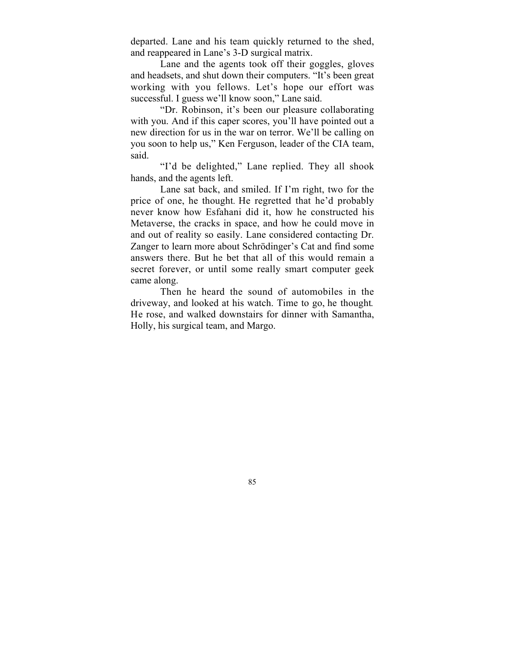departed. Lane and his team quickly returned to the shed, and reappeared in Lane's 3-D surgical matrix.

Lane and the agents took off their goggles, gloves and headsets, and shut down their computers. "It's been great working with you fellows. Let's hope our effort was successful. I guess we'll know soon," Lane said.

"Dr. Robinson, it's been our pleasure collaborating with you. And if this caper scores, you'll have pointed out a new direction for us in the war on terror. We'll be calling on you soon to help us," Ken Ferguson, leader of the CIA team, said.

"I'd be delighted," Lane replied. They all shook hands, and the agents left.

Lane sat back, and smiled. If I'm right, two for the price of one, he thought*.* He regretted that he'd probably never know how Esfahani did it, how he constructed his Metaverse, the cracks in space, and how he could move in and out of reality so easily. Lane considered contacting Dr. Zanger to learn more about Schrödinger's Cat and find some answers there. But he bet that all of this would remain a secret forever, or until some really smart computer geek came along.

Then he heard the sound of automobiles in the driveway, and looked at his watch. Time to go, he thought*.* He rose, and walked downstairs for dinner with Samantha, Holly, his surgical team, and Margo.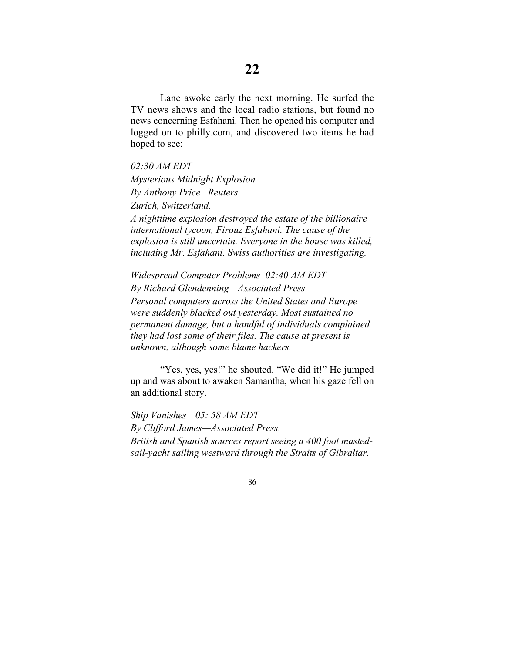Lane awoke early the next morning. He surfed the TV news shows and the local radio stations, but found no news concerning Esfahani. Then he opened his computer and logged on to philly.com, and discovered two items he had hoped to see:

*02:30 AM EDT Mysterious Midnight Explosion By Anthony Price– Reuters Zurich, Switzerland. A nighttime explosion destroyed the estate of the billionaire international tycoon, Firouz Esfahani. The cause of the explosion is still uncertain. Everyone in the house was killed, including Mr. Esfahani. Swiss authorities are investigating.*

*Widespread Computer Problems–02:40 AM EDT By Richard Glendenning—Associated Press Personal computers across the United States and Europe were suddenly blacked out yesterday. Most sustained no permanent damage, but a handful of individuals complained they had lost some of their files. The cause at present is unknown, although some blame hackers.*

"Yes, yes, yes!" he shouted. "We did it!" He jumped up and was about to awaken Samantha, when his gaze fell on an additional story.

*Ship Vanishes—05: 58 AM EDT By Clifford James—Associated Press. British and Spanish sources report seeing a 400 foot mastedsail-yacht sailing westward through the Straits of Gibraltar.*